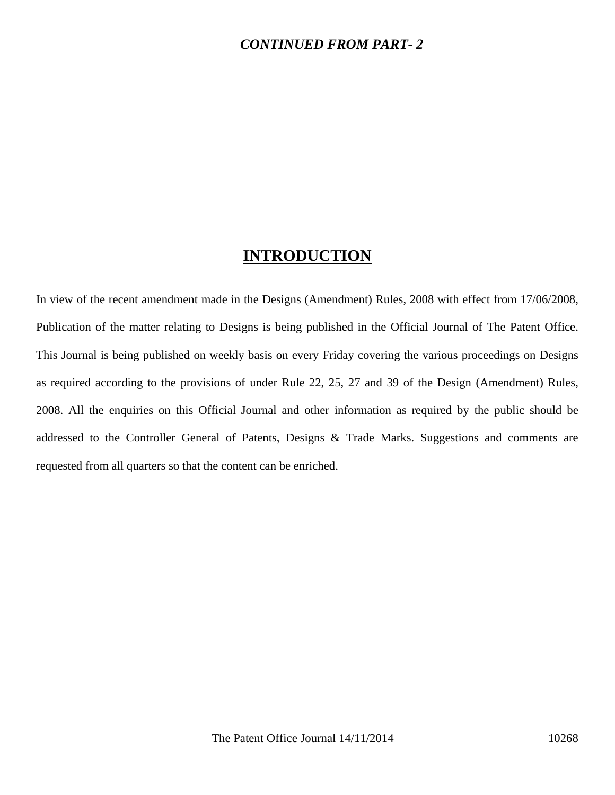#### *CONTINUED FROM PART- 2*

## **INTRODUCTION**

In view of the recent amendment made in the Designs (Amendment) Rules, 2008 with effect from 17/06/2008, Publication of the matter relating to Designs is being published in the Official Journal of The Patent Office. This Journal is being published on weekly basis on every Friday covering the various proceedings on Designs as required according to the provisions of under Rule 22, 25, 27 and 39 of the Design (Amendment) Rules, 2008. All the enquiries on this Official Journal and other information as required by the public should be addressed to the Controller General of Patents, Designs & Trade Marks. Suggestions and comments are requested from all quarters so that the content can be enriched.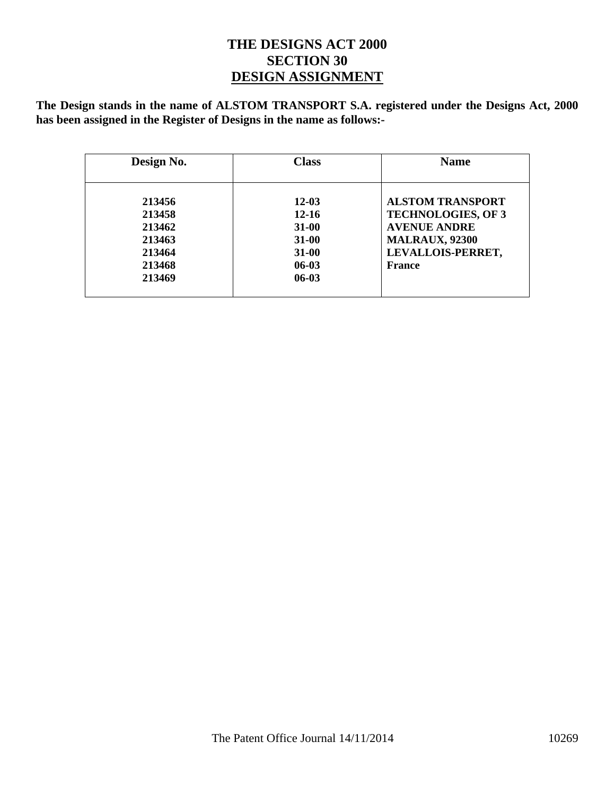### **THE DESIGNS ACT 2000 SECTION 30 DESIGN ASSIGNMENT**

**The Design stands in the name of ALSTOM TRANSPORT S.A. registered under the Designs Act, 2000 has been assigned in the Register of Designs in the name as follows:-** 

| Design No. | <b>Class</b> | <b>Name</b>               |
|------------|--------------|---------------------------|
|            |              |                           |
| 213456     | $12 - 03$    | <b>ALSTOM TRANSPORT</b>   |
| 213458     | $12 - 16$    | <b>TECHNOLOGIES, OF 3</b> |
| 213462     | $31 - 00$    | <b>AVENUE ANDRE</b>       |
| 213463     | <b>31-00</b> | <b>MALRAUX, 92300</b>     |
| 213464     | <b>31-00</b> | LEVALLOIS-PERRET,         |
| 213468     | $06-03$      | France                    |
| 213469     | $06-03$      |                           |
|            |              |                           |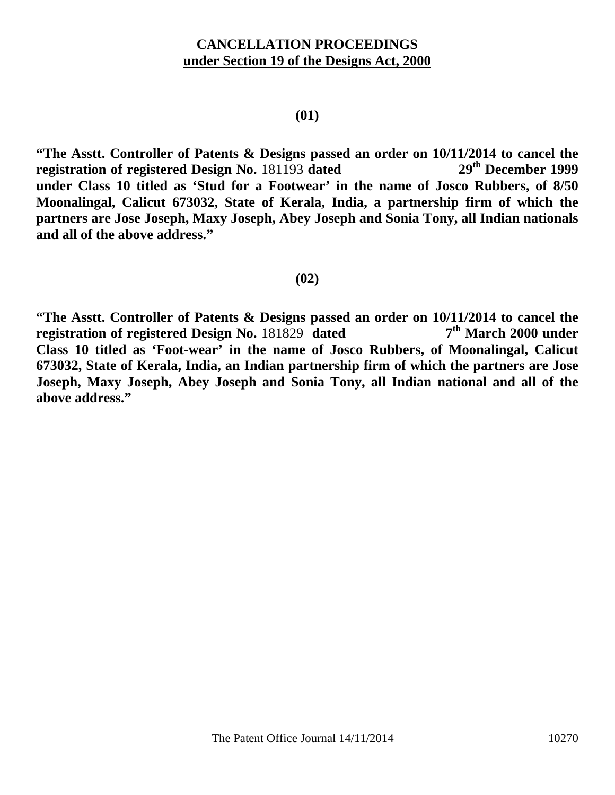### **CANCELLATION PROCEEDINGS under Section 19 of the Designs Act, 2000**

#### **(01)**

**"The Asstt. Controller of Patents & Designs passed an order on 10/11/2014 to cancel the registration of registered Design No.** 181193 **dated 29th December 1999 under Class 10 titled as 'Stud for a Footwear' in the name of Josco Rubbers, of 8/50 Moonalingal, Calicut 673032, State of Kerala, India, a partnership firm of which the partners are Jose Joseph, Maxy Joseph, Abey Joseph and Sonia Tony, all Indian nationals and all of the above address."** 

#### **(02)**

**"The Asstt. Controller of Patents & Designs passed an order on 10/11/2014 to cancel the registration of registered Design No.** 181829 dated  $7<sup>th</sup>$  March 2000 under **registration of registered Design No. 181829 dated Class 10 titled as 'Foot-wear' in the name of Josco Rubbers, of Moonalingal, Calicut 673032, State of Kerala, India, an Indian partnership firm of which the partners are Jose Joseph, Maxy Joseph, Abey Joseph and Sonia Tony, all Indian national and all of the above address."**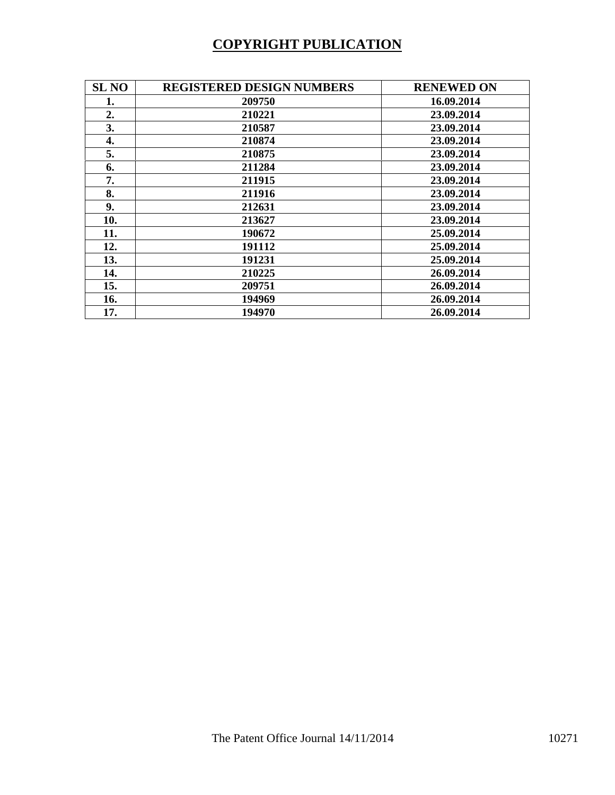# **COPYRIGHT PUBLICATION**

| <b>SL NO</b> | <b>REGISTERED DESIGN NUMBERS</b> | <b>RENEWED ON</b> |
|--------------|----------------------------------|-------------------|
| 1.           | 209750                           | 16.09.2014        |
| 2.           | 210221                           | 23.09.2014        |
| 3.           | 210587                           | 23.09.2014        |
| 4.           | 210874                           | 23.09.2014        |
| 5.           | 210875                           | 23.09.2014        |
| 6.           | 211284                           | 23.09.2014        |
| 7.           | 211915                           | 23.09.2014        |
| 8.           | 211916                           | 23.09.2014        |
| 9.           | 212631                           | 23.09.2014        |
| 10.          | 213627                           | 23.09.2014        |
| 11.          | 190672                           | 25.09.2014        |
| 12.          | 191112                           | 25.09.2014        |
| 13.          | 191231                           | 25.09.2014        |
| 14.          | 210225                           | 26.09.2014        |
| 15.          | 209751                           | 26.09.2014        |
| 16.          | 194969                           | 26.09.2014        |
| 17.          | 194970                           | 26.09.2014        |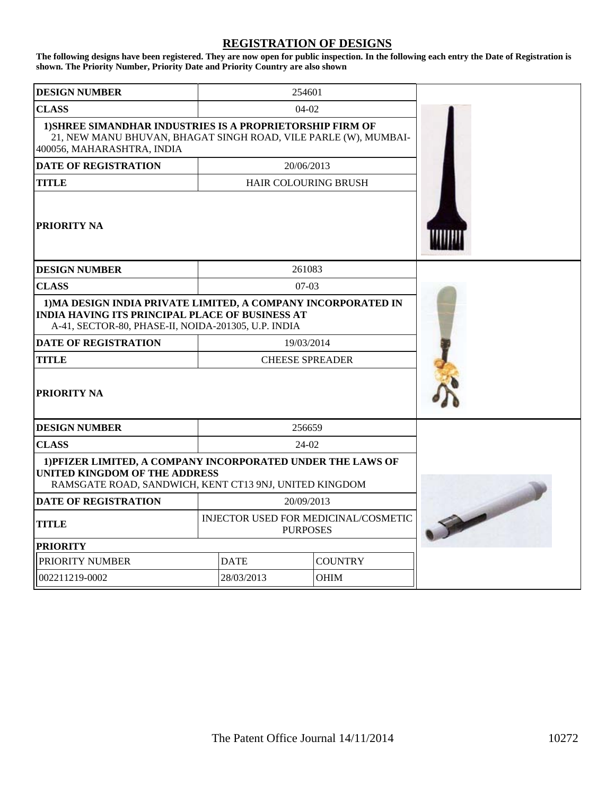#### **REGISTRATION OF DESIGNS**

**The following designs have been registered. They are now open for public inspection. In the following each entry the Date of Registration is shown. The Priority Number, Priority Date and Priority Country are also shown**

| <b>DESIGN NUMBER</b>                                                                                                                                                           |                                                         | 254601     |                             |  |
|--------------------------------------------------------------------------------------------------------------------------------------------------------------------------------|---------------------------------------------------------|------------|-----------------------------|--|
| <b>CLASS</b>                                                                                                                                                                   | $04-02$                                                 |            |                             |  |
| 1) SHREE SIMANDHAR INDUSTRIES IS A PROPRIETORSHIP FIRM OF<br>21, NEW MANU BHUVAN, BHAGAT SINGH ROAD, VILE PARLE (W), MUMBAI-<br>400056, MAHARASHTRA, INDIA                     |                                                         |            |                             |  |
| <b>DATE OF REGISTRATION</b>                                                                                                                                                    |                                                         | 20/06/2013 |                             |  |
| <b>TITLE</b>                                                                                                                                                                   |                                                         |            | <b>HAIR COLOURING BRUSH</b> |  |
| PRIORITY NA                                                                                                                                                                    |                                                         |            |                             |  |
| <b>DESIGN NUMBER</b>                                                                                                                                                           |                                                         | 261083     |                             |  |
| <b>CLASS</b>                                                                                                                                                                   |                                                         | $07-03$    |                             |  |
| 1) MA DESIGN INDIA PRIVATE LIMITED, A COMPANY INCORPORATED IN<br><b>INDIA HAVING ITS PRINCIPAL PLACE OF BUSINESS AT</b><br>A-41, SECTOR-80, PHASE-II, NOIDA-201305, U.P. INDIA |                                                         |            |                             |  |
| <b>DATE OF REGISTRATION</b>                                                                                                                                                    |                                                         | 19/03/2014 |                             |  |
| <b>TITLE</b>                                                                                                                                                                   | <b>CHEESE SPREADER</b>                                  |            |                             |  |
| <b>PRIORITY NA</b>                                                                                                                                                             |                                                         |            |                             |  |
| <b>DESIGN NUMBER</b>                                                                                                                                                           |                                                         | 256659     |                             |  |
| <b>CLASS</b>                                                                                                                                                                   |                                                         | $24-02$    |                             |  |
| 1) PFIZER LIMITED, A COMPANY INCORPORATED UNDER THE LAWS OF<br><b>UNITED KINGDOM OF THE ADDRESS</b><br>RAMSGATE ROAD, SANDWICH, KENT CT13 9NJ, UNITED KINGDOM                  |                                                         |            |                             |  |
| <b>DATE OF REGISTRATION</b>                                                                                                                                                    |                                                         | 20/09/2013 |                             |  |
| <b>TITLE</b>                                                                                                                                                                   | INJECTOR USED FOR MEDICINAL/COSMETIC<br><b>PURPOSES</b> |            |                             |  |
| <b>PRIORITY</b>                                                                                                                                                                |                                                         |            |                             |  |
| PRIORITY NUMBER                                                                                                                                                                | <b>DATE</b><br><b>COUNTRY</b>                           |            |                             |  |
| 002211219-0002                                                                                                                                                                 | 28/03/2013<br><b>OHIM</b>                               |            |                             |  |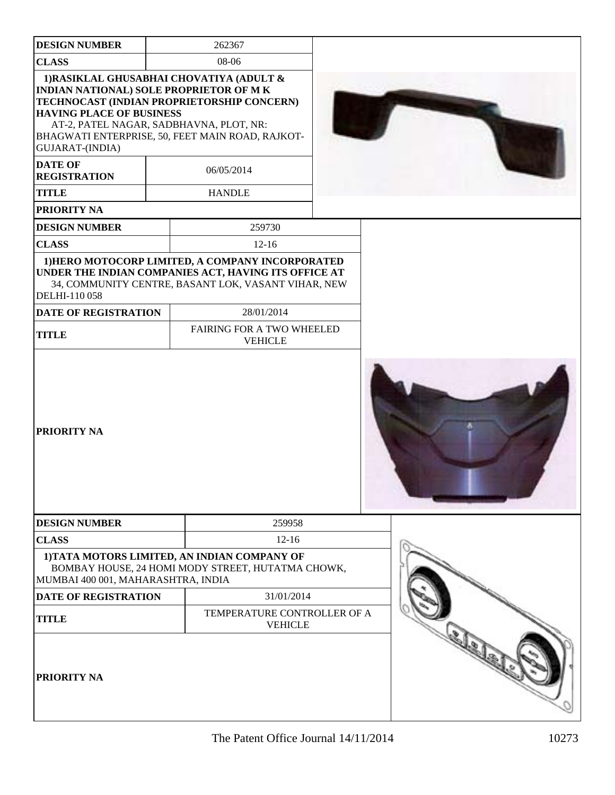| <b>DESIGN NUMBER</b>                                                                                                                                                                        | 262367                                                                                                                                                          |  |
|---------------------------------------------------------------------------------------------------------------------------------------------------------------------------------------------|-----------------------------------------------------------------------------------------------------------------------------------------------------------------|--|
| <b>CLASS</b>                                                                                                                                                                                | 08-06                                                                                                                                                           |  |
| 1) RASIKLAL GHUSABHAI CHOVATIYA (ADULT &<br>INDIAN NATIONAL) SOLE PROPRIETOR OF M K<br><b>HAVING PLACE OF BUSINESS</b><br>AT-2, PATEL NAGAR, SADBHAVNA, PLOT, NR:<br><b>GUJARAT-(INDIA)</b> | TECHNOCAST (INDIAN PROPRIETORSHIP CONCERN)<br>BHAGWATI ENTERPRISE, 50, FEET MAIN ROAD, RAJKOT-                                                                  |  |
| <b>DATE OF</b><br><b>REGISTRATION</b>                                                                                                                                                       | 06/05/2014                                                                                                                                                      |  |
| <b>TITLE</b>                                                                                                                                                                                | <b>HANDLE</b>                                                                                                                                                   |  |
| <b>PRIORITY NA</b>                                                                                                                                                                          |                                                                                                                                                                 |  |
| <b>DESIGN NUMBER</b>                                                                                                                                                                        | 259730                                                                                                                                                          |  |
| <b>CLASS</b>                                                                                                                                                                                | $12-16$                                                                                                                                                         |  |
| DELHI-110 058                                                                                                                                                                               | 1) HERO MOTOCORP LIMITED, A COMPANY INCORPORATED<br>UNDER THE INDIAN COMPANIES ACT, HAVING ITS OFFICE AT<br>34, COMMUNITY CENTRE, BASANT LOK, VASANT VIHAR, NEW |  |
| <b>DATE OF REGISTRATION</b>                                                                                                                                                                 | 28/01/2014                                                                                                                                                      |  |
| <b>TITLE</b>                                                                                                                                                                                | FAIRING FOR A TWO WHEELED<br><b>VEHICLE</b>                                                                                                                     |  |
| <b>PRIORITY NA</b>                                                                                                                                                                          |                                                                                                                                                                 |  |
| <b>DESIGN NUMBER</b>                                                                                                                                                                        | 259958                                                                                                                                                          |  |
| <b>CLASS</b>                                                                                                                                                                                | $12 - 16$                                                                                                                                                       |  |
| MUMBAI 400 001, MAHARASHTRA, INDIA                                                                                                                                                          | 1) TATA MOTORS LIMITED, AN INDIAN COMPANY OF<br>BOMBAY HOUSE, 24 HOMI MODY STREET, HUTATMA CHOWK,                                                               |  |
| <b>DATE OF REGISTRATION</b>                                                                                                                                                                 | 31/01/2014                                                                                                                                                      |  |
| <b>TITLE</b>                                                                                                                                                                                | TEMPERATURE CONTROLLER OF A<br><b>VEHICLE</b>                                                                                                                   |  |
| <b>PRIORITY NA</b>                                                                                                                                                                          |                                                                                                                                                                 |  |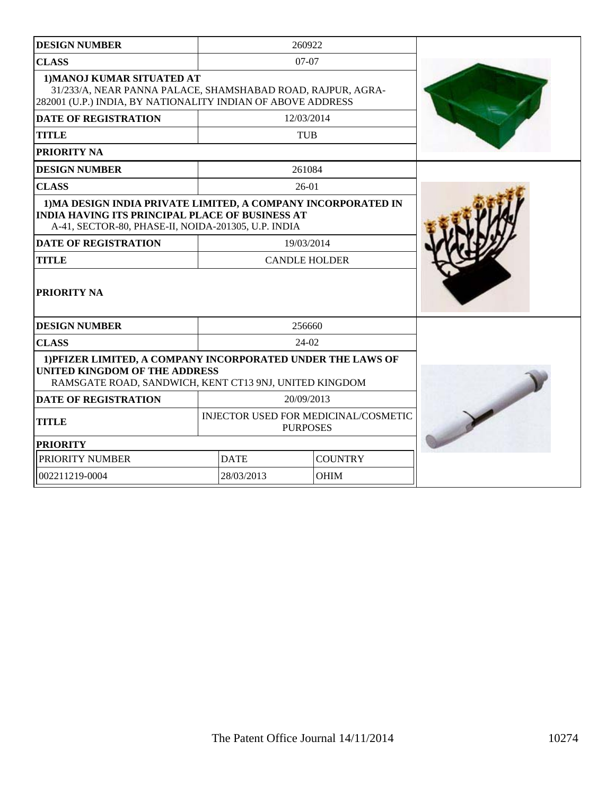| <b>DESIGN NUMBER</b>                                                                                                                                                           |                                                                | 260922     |  |
|--------------------------------------------------------------------------------------------------------------------------------------------------------------------------------|----------------------------------------------------------------|------------|--|
| <b>CLASS</b>                                                                                                                                                                   | $07-07$                                                        |            |  |
| 1) MANOJ KUMAR SITUATED AT<br>31/233/A, NEAR PANNA PALACE, SHAMSHABAD ROAD, RAJPUR, AGRA-<br>282001 (U.P.) INDIA, BY NATIONALITY INDIAN OF ABOVE ADDRESS                       |                                                                |            |  |
| <b>DATE OF REGISTRATION</b>                                                                                                                                                    |                                                                | 12/03/2014 |  |
| <b>TITLE</b>                                                                                                                                                                   |                                                                | <b>TUB</b> |  |
| PRIORITY NA                                                                                                                                                                    |                                                                |            |  |
| <b>DESIGN NUMBER</b>                                                                                                                                                           |                                                                | 261084     |  |
| <b>CLASS</b>                                                                                                                                                                   |                                                                | $26-01$    |  |
| 1) MA DESIGN INDIA PRIVATE LIMITED, A COMPANY INCORPORATED IN<br><b>INDIA HAVING ITS PRINCIPAL PLACE OF BUSINESS AT</b><br>A-41, SECTOR-80, PHASE-II, NOIDA-201305, U.P. INDIA |                                                                |            |  |
| <b>DATE OF REGISTRATION</b>                                                                                                                                                    |                                                                | 19/03/2014 |  |
| <b>TITLE</b>                                                                                                                                                                   | <b>CANDLE HOLDER</b>                                           |            |  |
| PRIORITY NA                                                                                                                                                                    |                                                                |            |  |
| <b>DESIGN NUMBER</b>                                                                                                                                                           |                                                                | 256660     |  |
| <b>CLASS</b>                                                                                                                                                                   |                                                                | $24-02$    |  |
| 1) PFIZER LIMITED, A COMPANY INCORPORATED UNDER THE LAWS OF<br><b>UNITED KINGDOM OF THE ADDRESS</b><br>RAMSGATE ROAD, SANDWICH, KENT CT13 9NJ, UNITED KINGDOM                  |                                                                |            |  |
| <b>DATE OF REGISTRATION</b>                                                                                                                                                    |                                                                | 20/09/2013 |  |
| <b>TITLE</b>                                                                                                                                                                   | <b>INJECTOR USED FOR MEDICINAL/COSMETIC</b><br><b>PURPOSES</b> |            |  |
| <b>PRIORITY</b>                                                                                                                                                                |                                                                |            |  |
| PRIORITY NUMBER                                                                                                                                                                | <b>DATE</b><br><b>COUNTRY</b>                                  |            |  |
| 002211219-0004                                                                                                                                                                 | 28/03/2013<br><b>OHIM</b>                                      |            |  |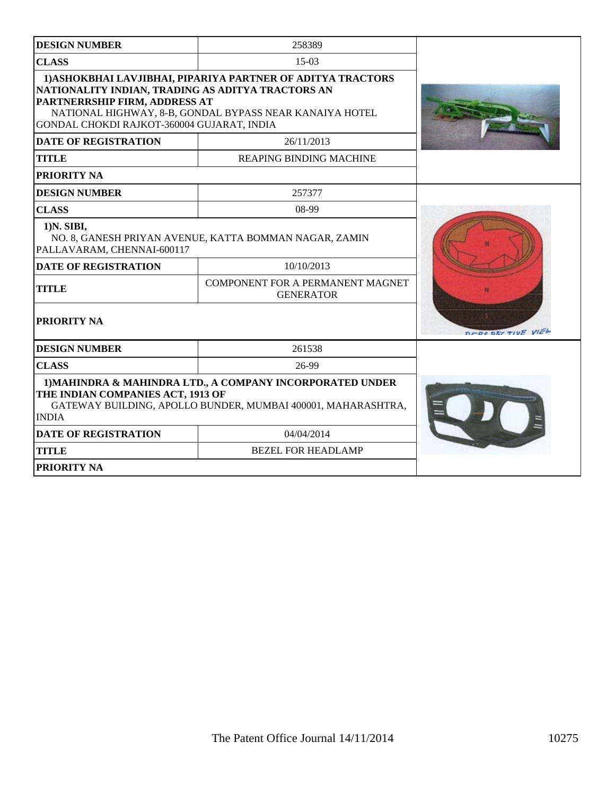| <b>DESIGN NUMBER</b>                                                                                                                                                           | 258389                                                                                                                 |                   |
|--------------------------------------------------------------------------------------------------------------------------------------------------------------------------------|------------------------------------------------------------------------------------------------------------------------|-------------------|
| <b>CLASS</b>                                                                                                                                                                   | $15-03$                                                                                                                |                   |
| NATIONALITY INDIAN, TRADING AS ADITYA TRACTORS AN<br>PARTNERRSHIP FIRM, ADDRESS AT<br>GONDAL CHOKDI RAJKOT-360004 GUJARAT, INDIA                                               | 1) ASHOKBHAI LAVJIBHAI, PIPARIYA PARTNER OF ADITYA TRACTORS<br>NATIONAL HIGHWAY, 8-B, GONDAL BYPASS NEAR KANAIYA HOTEL |                   |
| <b>DATE OF REGISTRATION</b>                                                                                                                                                    | 26/11/2013                                                                                                             |                   |
| <b>TITLE</b>                                                                                                                                                                   | <b>REAPING BINDING MACHINE</b>                                                                                         |                   |
| PRIORITY NA                                                                                                                                                                    |                                                                                                                        |                   |
| <b>DESIGN NUMBER</b>                                                                                                                                                           | 257377                                                                                                                 |                   |
| <b>CLASS</b>                                                                                                                                                                   | 08-99                                                                                                                  |                   |
| 1) N. SIBI,<br>PALLAVARAM, CHENNAI-600117                                                                                                                                      | NO. 8, GANESH PRIYAN AVENUE, KATTA BOMMAN NAGAR, ZAMIN                                                                 |                   |
| <b>DATE OF REGISTRATION</b>                                                                                                                                                    | 10/10/2013                                                                                                             |                   |
| <b>TITLE</b>                                                                                                                                                                   |                                                                                                                        |                   |
| PRIORITY NA                                                                                                                                                                    |                                                                                                                        | DEBERTY TIVE VIEW |
| <b>DESIGN NUMBER</b>                                                                                                                                                           | 261538                                                                                                                 |                   |
| <b>CLASS</b>                                                                                                                                                                   | 26-99                                                                                                                  |                   |
| 1) MAHINDRA & MAHINDRA LTD., A COMPANY INCORPORATED UNDER<br>THE INDIAN COMPANIES ACT, 1913 OF<br>GATEWAY BUILDING, APOLLO BUNDER, MUMBAI 400001, MAHARASHTRA,<br><b>INDIA</b> |                                                                                                                        |                   |
| <b>DATE OF REGISTRATION</b>                                                                                                                                                    | 04/04/2014                                                                                                             |                   |
| <b>TITLE</b>                                                                                                                                                                   | <b>BEZEL FOR HEADLAMP</b>                                                                                              |                   |
| PRIORITY NA                                                                                                                                                                    |                                                                                                                        |                   |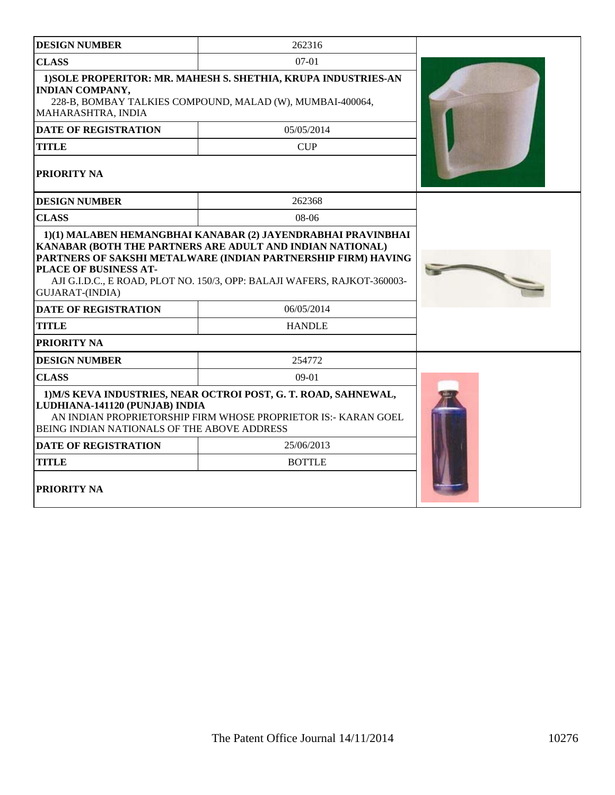| <b>DESIGN NUMBER</b>                                                                                                                                                                                               | 262316        |  |
|--------------------------------------------------------------------------------------------------------------------------------------------------------------------------------------------------------------------|---------------|--|
| <b>CLASS</b>                                                                                                                                                                                                       | $07 - 01$     |  |
| 1) SOLE PROPERITOR: MR. MAHESH S. SHETHIA, KRUPA INDUSTRIES-AN<br><b>INDIAN COMPANY,</b><br>228-B, BOMBAY TALKIES COMPOUND, MALAD (W), MUMBAI-400064,<br>MAHARASHTRA, INDIA                                        |               |  |
| <b>DATE OF REGISTRATION</b>                                                                                                                                                                                        | 05/05/2014    |  |
| <b>TITLE</b>                                                                                                                                                                                                       | CUP           |  |
| <b>PRIORITY NA</b>                                                                                                                                                                                                 |               |  |
| <b>DESIGN NUMBER</b>                                                                                                                                                                                               | 262368        |  |
| <b>CLASS</b>                                                                                                                                                                                                       | $08-06$       |  |
| PARTNERS OF SAKSHI METALWARE (INDIAN PARTNERSHIP FIRM) HAVING<br>PLACE OF BUSINESS AT-<br>AJI G.I.D.C., E ROAD, PLOT NO. 150/3, OPP: BALAJI WAFERS, RAJKOT-360003-<br>GUJARAT-(INDIA)                              |               |  |
| <b>DATE OF REGISTRATION</b>                                                                                                                                                                                        | 06/05/2014    |  |
| <b>TITLE</b>                                                                                                                                                                                                       | <b>HANDLE</b> |  |
| PRIORITY NA                                                                                                                                                                                                        |               |  |
| <b>DESIGN NUMBER</b>                                                                                                                                                                                               | 254772        |  |
| <b>CLASS</b>                                                                                                                                                                                                       | $09-01$       |  |
| 1) M/S KEVA INDUSTRIES, NEAR OCTROI POST, G. T. ROAD, SAHNEWAL,<br>LUDHIANA-141120 (PUNJAB) INDIA<br>AN INDIAN PROPRIETORSHIP FIRM WHOSE PROPRIETOR IS:- KARAN GOEL<br>BEING INDIAN NATIONALS OF THE ABOVE ADDRESS |               |  |
| <b>DATE OF REGISTRATION</b>                                                                                                                                                                                        | 25/06/2013    |  |
| <b>TITLE</b>                                                                                                                                                                                                       | <b>BOTTLE</b> |  |
| PRIORITY NA                                                                                                                                                                                                        |               |  |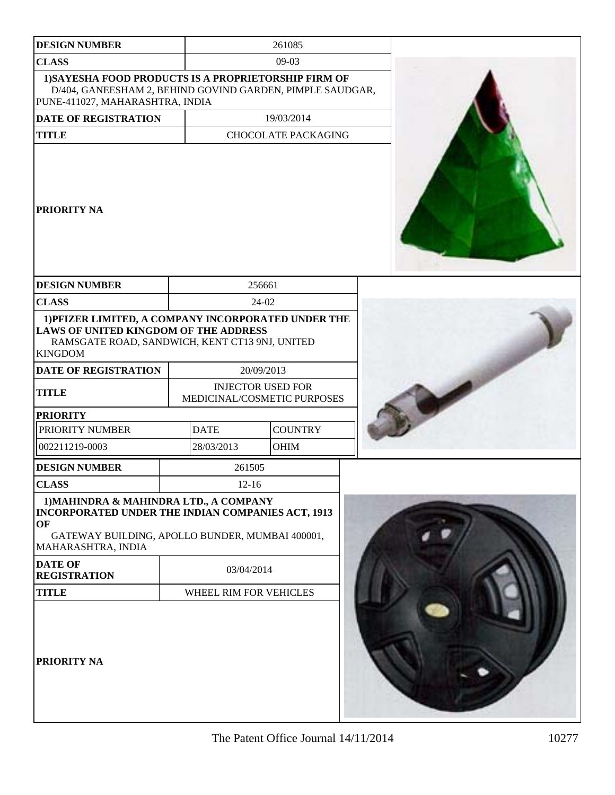| <b>DESIGN NUMBER</b>                                                                                                                                                       |                        | 261085                                                  |  |
|----------------------------------------------------------------------------------------------------------------------------------------------------------------------------|------------------------|---------------------------------------------------------|--|
| <b>CLASS</b>                                                                                                                                                               |                        | $09-03$                                                 |  |
| 1) SAYESHA FOOD PRODUCTS IS A PROPRIETORSHIP FIRM OF<br>D/404, GANEESHAM 2, BEHIND GOVIND GARDEN, PIMPLE SAUDGAR,<br>PUNE-411027, MAHARASHTRA, INDIA                       |                        |                                                         |  |
| DATE OF REGISTRATION                                                                                                                                                       |                        | 19/03/2014                                              |  |
| <b>TITLE</b>                                                                                                                                                               |                        | <b>CHOCOLATE PACKAGING</b>                              |  |
| <b>PRIORITY NA</b>                                                                                                                                                         |                        |                                                         |  |
| <b>DESIGN NUMBER</b>                                                                                                                                                       |                        | 256661                                                  |  |
| <b>CLASS</b>                                                                                                                                                               |                        | 24-02                                                   |  |
| 1) PFIZER LIMITED, A COMPANY INCORPORATED UNDER THE<br><b>LAWS OF UNITED KINGDOM OF THE ADDRESS</b><br>RAMSGATE ROAD, SANDWICH, KENT CT13 9NJ, UNITED<br><b>KINGDOM</b>    |                        |                                                         |  |
| <b>DATE OF REGISTRATION</b>                                                                                                                                                |                        | 20/09/2013                                              |  |
| <b>TITLE</b>                                                                                                                                                               |                        | <b>INJECTOR USED FOR</b><br>MEDICINAL/COSMETIC PURPOSES |  |
| <b>PRIORITY</b>                                                                                                                                                            |                        |                                                         |  |
| PRIORITY NUMBER                                                                                                                                                            | <b>DATE</b>            | <b>COUNTRY</b>                                          |  |
| 002211219-0003                                                                                                                                                             | 28/03/2013             | <b>OHIM</b>                                             |  |
| <b>DESIGN NUMBER</b>                                                                                                                                                       | 261505                 |                                                         |  |
| <b>CLASS</b>                                                                                                                                                               | $12-16$                |                                                         |  |
| 1) MAHINDRA & MAHINDRA LTD., A COMPANY<br>INCORPORATED UNDER THE INDIAN COMPANIES ACT, 1913<br>OF<br>GATEWAY BUILDING, APOLLO BUNDER, MUMBAI 400001,<br>MAHARASHTRA, INDIA |                        |                                                         |  |
| <b>DATE OF</b><br><b>REGISTRATION</b>                                                                                                                                      | 03/04/2014             |                                                         |  |
| <b>TITLE</b>                                                                                                                                                               | WHEEL RIM FOR VEHICLES |                                                         |  |
| PRIORITY NA                                                                                                                                                                |                        |                                                         |  |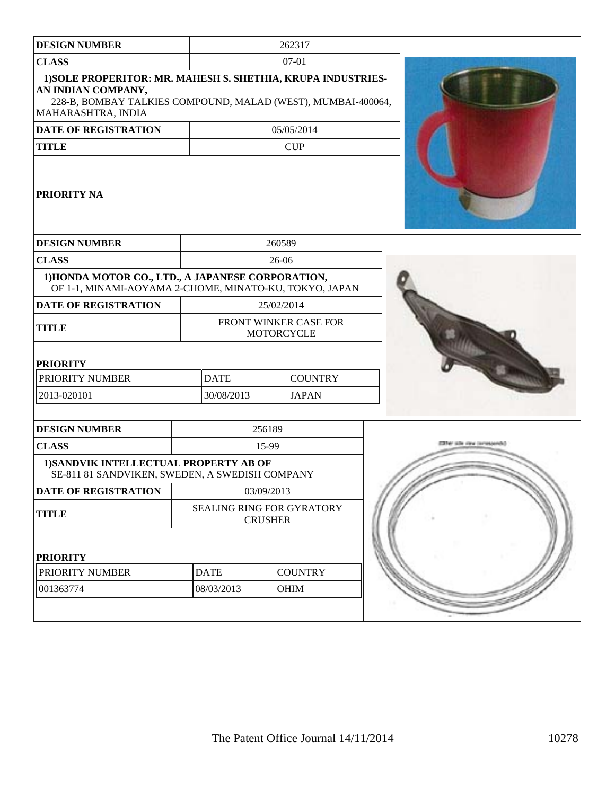| <b>DESIGN NUMBER</b>                                                                                                                                                     |                                                    | 262317         |  |
|--------------------------------------------------------------------------------------------------------------------------------------------------------------------------|----------------------------------------------------|----------------|--|
| <b>CLASS</b>                                                                                                                                                             |                                                    | $07 - 01$      |  |
| 1) SOLE PROPERITOR: MR. MAHESH S. SHETHIA, KRUPA INDUSTRIES-<br>AN INDIAN COMPANY,<br>228-B, BOMBAY TALKIES COMPOUND, MALAD (WEST), MUMBAI-400064,<br>MAHARASHTRA, INDIA |                                                    |                |  |
| <b>DATE OF REGISTRATION</b>                                                                                                                                              |                                                    | 05/05/2014     |  |
| <b>TITLE</b>                                                                                                                                                             |                                                    | <b>CUP</b>     |  |
| <b>PRIORITY NA</b>                                                                                                                                                       |                                                    |                |  |
| <b>DESIGN NUMBER</b>                                                                                                                                                     |                                                    | 260589         |  |
| <b>CLASS</b>                                                                                                                                                             |                                                    | 26-06          |  |
| 1) HONDA MOTOR CO., LTD., A JAPANESE CORPORATION,<br>OF 1-1, MINAMI-AOYAMA 2-CHOME, MINATO-KU, TOKYO, JAPAN                                                              |                                                    |                |  |
| <b>DATE OF REGISTRATION</b>                                                                                                                                              |                                                    | 25/02/2014     |  |
| <b>TITLE</b>                                                                                                                                                             | FRONT WINKER CASE FOR<br><b>MOTORCYCLE</b>         |                |  |
| <b>PRIORITY</b>                                                                                                                                                          |                                                    |                |  |
| PRIORITY NUMBER                                                                                                                                                          | <b>DATE</b>                                        | <b>COUNTRY</b> |  |
| 2013-020101                                                                                                                                                              | 30/08/2013                                         | <b>JAPAN</b>   |  |
| <b>DESIGN NUMBER</b>                                                                                                                                                     | 256189                                             |                |  |
| <b>CLASS</b>                                                                                                                                                             | 15-99                                              |                |  |
| 1) SANDVIK INTELLECTUAL PROPERTY AB OF<br>SE-811 81 SANDVIKEN, SWEDEN, A SWEDISH COMPANY                                                                                 |                                                    |                |  |
| DATE OF REGISTRATION                                                                                                                                                     | 03/09/2013                                         |                |  |
| <b>TITLE</b>                                                                                                                                                             | <b>SEALING RING FOR GYRATORY</b><br><b>CRUSHER</b> |                |  |
| <b>PRIORITY</b>                                                                                                                                                          |                                                    |                |  |
| PRIORITY NUMBER                                                                                                                                                          | <b>DATE</b>                                        | <b>COUNTRY</b> |  |
| 001363774                                                                                                                                                                | 08/03/2013                                         | <b>OHIM</b>    |  |
|                                                                                                                                                                          |                                                    |                |  |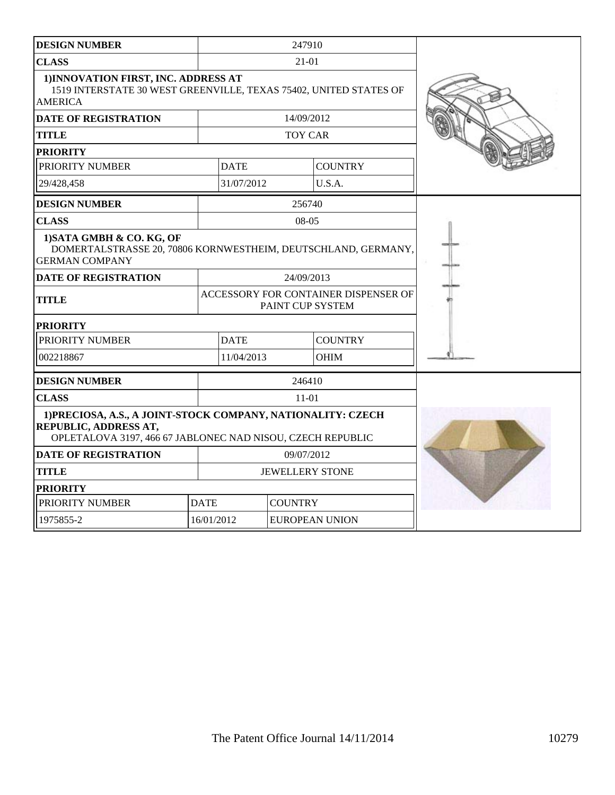| <b>DESIGN NUMBER</b>                                                                                                                                |                        | 247910           |                                      |  |
|-----------------------------------------------------------------------------------------------------------------------------------------------------|------------------------|------------------|--------------------------------------|--|
| <b>CLASS</b>                                                                                                                                        |                        | 21-01            |                                      |  |
| 1) INNOVATION FIRST, INC. ADDRESS AT<br>1519 INTERSTATE 30 WEST GREENVILLE, TEXAS 75402, UNITED STATES OF<br><b>AMERICA</b>                         |                        |                  |                                      |  |
| <b>DATE OF REGISTRATION</b>                                                                                                                         |                        | 14/09/2012       |                                      |  |
| <b>TITLE</b>                                                                                                                                        |                        | <b>TOY CAR</b>   |                                      |  |
| <b>PRIORITY</b>                                                                                                                                     |                        |                  |                                      |  |
| PRIORITY NUMBER                                                                                                                                     | <b>DATE</b>            |                  | <b>COUNTRY</b>                       |  |
| 29/428,458                                                                                                                                          | 31/07/2012             |                  | U.S.A.                               |  |
| <b>DESIGN NUMBER</b>                                                                                                                                |                        | 256740           |                                      |  |
| <b>CLASS</b>                                                                                                                                        |                        | $08-05$          |                                      |  |
| 1) SATA GMBH & CO. KG, OF<br>DOMERTALSTRASSE 20, 70806 KORNWESTHEIM, DEUTSCHLAND, GERMANY,<br><b>GERMAN COMPANY</b>                                 |                        |                  |                                      |  |
| DATE OF REGISTRATION                                                                                                                                |                        | 24/09/2013       |                                      |  |
| <b>TITLE</b>                                                                                                                                        |                        | PAINT CUP SYSTEM | ACCESSORY FOR CONTAINER DISPENSER OF |  |
| <b>PRIORITY</b>                                                                                                                                     |                        |                  |                                      |  |
| PRIORITY NUMBER                                                                                                                                     | <b>DATE</b>            |                  | <b>COUNTRY</b>                       |  |
| 002218867                                                                                                                                           | 11/04/2013             |                  | <b>OHIM</b>                          |  |
| <b>DESIGN NUMBER</b>                                                                                                                                |                        | 246410           |                                      |  |
| <b>CLASS</b>                                                                                                                                        |                        | 11-01            |                                      |  |
| 1) PRECIOSA, A.S., A JOINT-STOCK COMPANY, NATIONALITY: CZECH<br>REPUBLIC, ADDRESS AT,<br>OPLETALOVA 3197, 466 67 JABLONEC NAD NISOU, CZECH REPUBLIC |                        |                  |                                      |  |
| <b>DATE OF REGISTRATION</b>                                                                                                                         | 09/07/2012             |                  |                                      |  |
| <b>TITLE</b>                                                                                                                                        | <b>JEWELLERY STONE</b> |                  |                                      |  |
| <b>PRIORITY</b>                                                                                                                                     |                        |                  |                                      |  |
| PRIORITY NUMBER                                                                                                                                     | <b>DATE</b>            | <b>COUNTRY</b>   |                                      |  |
| 1975855-2                                                                                                                                           | 16/01/2012             |                  | <b>EUROPEAN UNION</b>                |  |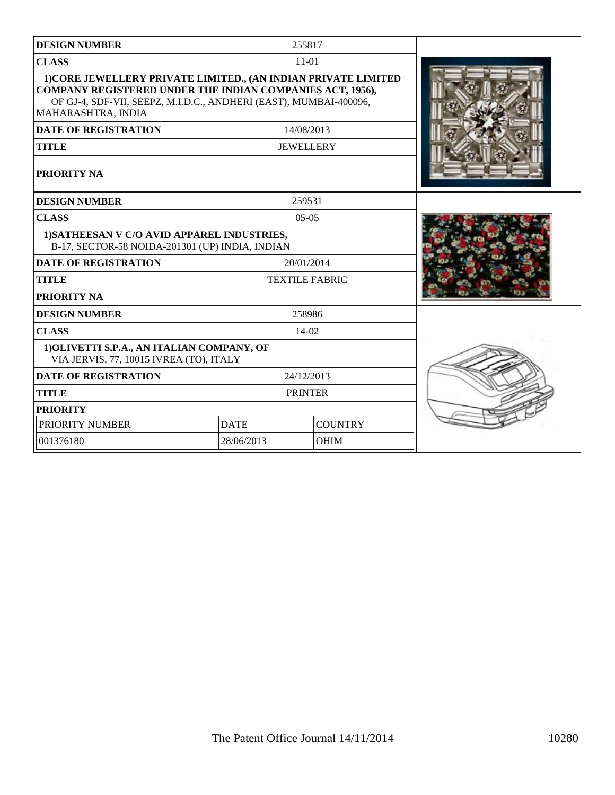| <b>DESIGN NUMBER</b>                                                                                                                                                                                                   |                               | 255817                |  |
|------------------------------------------------------------------------------------------------------------------------------------------------------------------------------------------------------------------------|-------------------------------|-----------------------|--|
| <b>CLASS</b>                                                                                                                                                                                                           |                               | $11 - 01$             |  |
| 1) CORE JEWELLERY PRIVATE LIMITED., (AN INDIAN PRIVATE LIMITED<br>COMPANY REGISTERED UNDER THE INDIAN COMPANIES ACT, 1956),<br>OF GJ-4, SDF-VII, SEEPZ, M.I.D.C., ANDHERI (EAST), MUMBAI-400096,<br>MAHARASHTRA, INDIA |                               |                       |  |
| <b>DATE OF REGISTRATION</b>                                                                                                                                                                                            |                               | 14/08/2013            |  |
| <b>TITLE</b>                                                                                                                                                                                                           |                               | <b>JEWELLERY</b>      |  |
| PRIORITY NA                                                                                                                                                                                                            |                               |                       |  |
| <b>DESIGN NUMBER</b>                                                                                                                                                                                                   |                               | 259531                |  |
| <b>CLASS</b>                                                                                                                                                                                                           |                               | $0.5 - 0.5$           |  |
| 1) SATHEESAN V C/O AVID APPAREL INDUSTRIES,<br>B-17, SECTOR-58 NOIDA-201301 (UP) INDIA, INDIAN                                                                                                                         |                               |                       |  |
| <b>DATE OF REGISTRATION</b>                                                                                                                                                                                            |                               | 20/01/2014            |  |
| <b>TITLE</b>                                                                                                                                                                                                           |                               | <b>TEXTILE FABRIC</b> |  |
| PRIORITY NA                                                                                                                                                                                                            |                               |                       |  |
| <b>DESIGN NUMBER</b>                                                                                                                                                                                                   |                               | 258986                |  |
| <b>CLASS</b>                                                                                                                                                                                                           |                               | $14-02$               |  |
| 1) OLIVETTI S.P.A., AN ITALIAN COMPANY, OF<br>VIA JERVIS, 77, 10015 IVREA (TO), ITALY                                                                                                                                  |                               |                       |  |
| <b>DATE OF REGISTRATION</b>                                                                                                                                                                                            |                               | 24/12/2013            |  |
| <b>TITLE</b>                                                                                                                                                                                                           |                               | <b>PRINTER</b>        |  |
| <b>PRIORITY</b>                                                                                                                                                                                                        |                               |                       |  |
| PRIORITY NUMBER                                                                                                                                                                                                        | <b>COUNTRY</b><br><b>DATE</b> |                       |  |
| 001376180                                                                                                                                                                                                              | 28/06/2013                    | <b>OHIM</b>           |  |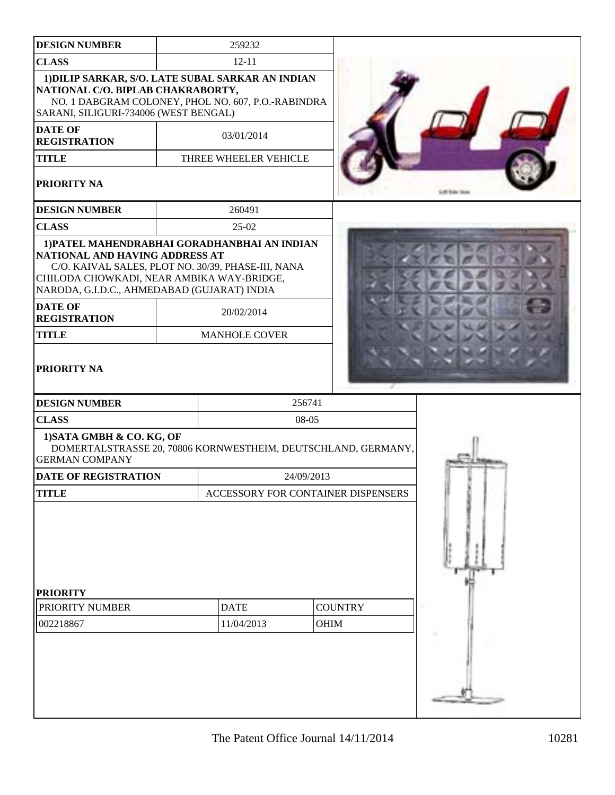| <b>DESIGN NUMBER</b>                                                                                                                                                                                                                               | 259232                             |             |                |  |
|----------------------------------------------------------------------------------------------------------------------------------------------------------------------------------------------------------------------------------------------------|------------------------------------|-------------|----------------|--|
| <b>CLASS</b>                                                                                                                                                                                                                                       | $12 - 11$                          |             |                |  |
| 1) DILIP SARKAR, S/O. LATE SUBAL SARKAR AN INDIAN<br>NATIONAL C/O. BIPLAB CHAKRABORTY,<br>NO. 1 DABGRAM COLONEY, PHOL NO. 607, P.O.-RABINDRA<br>SARANI, SILIGURI-734006 (WEST BENGAL)                                                              |                                    |             |                |  |
| <b>DATE OF</b><br><b>REGISTRATION</b>                                                                                                                                                                                                              | 03/01/2014                         |             |                |  |
| <b>TITLE</b>                                                                                                                                                                                                                                       | THREE WHEELER VEHICLE              |             |                |  |
| PRIORITY NA                                                                                                                                                                                                                                        |                                    |             |                |  |
| <b>DESIGN NUMBER</b>                                                                                                                                                                                                                               | 260491                             |             |                |  |
| <b>CLASS</b>                                                                                                                                                                                                                                       | $25-02$                            |             |                |  |
| 1) PATEL MAHENDRABHAI GORADHANBHAI AN INDIAN<br>NATIONAL AND HAVING ADDRESS AT<br>C/O. KAIVAL SALES, PLOT NO. 30/39, PHASE-III, NANA<br>CHILODA CHOWKADI, NEAR AMBIKA WAY-BRIDGE,<br>NARODA, G.I.D.C., AHMEDABAD (GUJARAT) INDIA<br><b>DATE OF</b> | 20/02/2014                         |             |                |  |
| <b>REGISTRATION</b>                                                                                                                                                                                                                                |                                    |             |                |  |
| <b>TITLE</b>                                                                                                                                                                                                                                       | <b>MANHOLE COVER</b>               |             |                |  |
| PRIORITY NA                                                                                                                                                                                                                                        |                                    |             |                |  |
| <b>DESIGN NUMBER</b>                                                                                                                                                                                                                               |                                    | 256741      |                |  |
| <b>CLASS</b>                                                                                                                                                                                                                                       |                                    | 08-05       |                |  |
| 1) SATA GMBH & CO. KG, OF<br>DOMERTALSTRASSE 20, 70806 KORNWESTHEIM, DEUTSCHLAND, GERMANY,<br><b>GERMAN COMPANY</b>                                                                                                                                |                                    |             |                |  |
| <b>DATE OF REGISTRATION</b>                                                                                                                                                                                                                        |                                    | 24/09/2013  |                |  |
| <b>TITLE</b>                                                                                                                                                                                                                                       | ACCESSORY FOR CONTAINER DISPENSERS |             |                |  |
|                                                                                                                                                                                                                                                    |                                    |             |                |  |
| <b>PRIORITY</b><br>PRIORITY NUMBER                                                                                                                                                                                                                 | <b>DATE</b>                        |             | <b>COUNTRY</b> |  |
| 002218867                                                                                                                                                                                                                                          | 11/04/2013                         | <b>OHIM</b> |                |  |
|                                                                                                                                                                                                                                                    |                                    |             |                |  |
|                                                                                                                                                                                                                                                    |                                    |             |                |  |
|                                                                                                                                                                                                                                                    |                                    |             |                |  |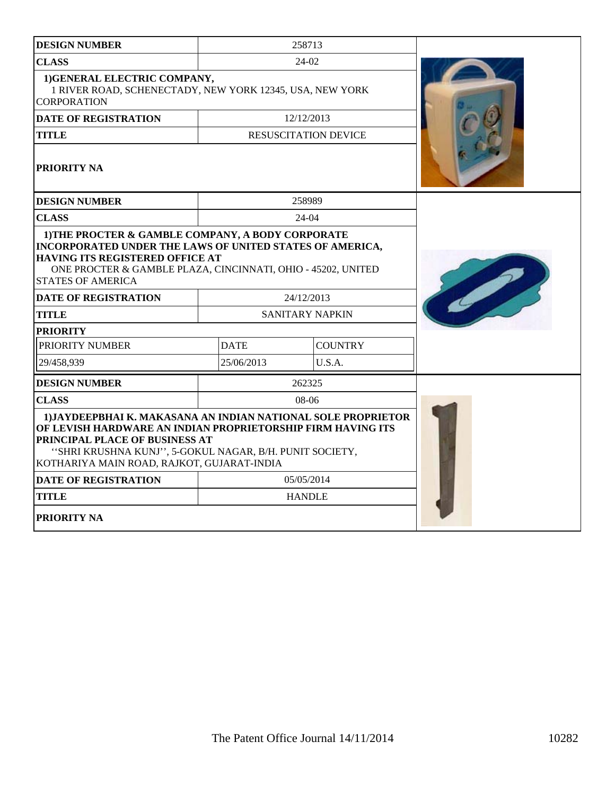| <b>DESIGN NUMBER</b>                                                                                                                                                                                                                                                    |             | 258713                      |  |
|-------------------------------------------------------------------------------------------------------------------------------------------------------------------------------------------------------------------------------------------------------------------------|-------------|-----------------------------|--|
| <b>CLASS</b>                                                                                                                                                                                                                                                            | 24-02       |                             |  |
| 1) GENERAL ELECTRIC COMPANY,<br>1 RIVER ROAD, SCHENECTADY, NEW YORK 12345, USA, NEW YORK<br><b>CORPORATION</b>                                                                                                                                                          |             |                             |  |
| <b>DATE OF REGISTRATION</b>                                                                                                                                                                                                                                             |             | 12/12/2013                  |  |
| <b>TITLE</b>                                                                                                                                                                                                                                                            |             | <b>RESUSCITATION DEVICE</b> |  |
| PRIORITY NA                                                                                                                                                                                                                                                             |             |                             |  |
| <b>DESIGN NUMBER</b>                                                                                                                                                                                                                                                    |             | 258989                      |  |
| <b>CLASS</b>                                                                                                                                                                                                                                                            |             | $24-04$                     |  |
| <b>INCORPORATED UNDER THE LAWS OF UNITED STATES OF AMERICA,</b><br>HAVING ITS REGISTERED OFFICE AT<br>ONE PROCTER & GAMBLE PLAZA, CINCINNATI, OHIO - 45202, UNITED<br><b>STATES OF AMERICA</b><br><b>DATE OF REGISTRATION</b>                                           |             | 24/12/2013                  |  |
| <b>TITLE</b>                                                                                                                                                                                                                                                            |             | <b>SANITARY NAPKIN</b>      |  |
| <b>PRIORITY</b>                                                                                                                                                                                                                                                         |             |                             |  |
| PRIORITY NUMBER                                                                                                                                                                                                                                                         | <b>DATE</b> | <b>COUNTRY</b>              |  |
| 29/458,939                                                                                                                                                                                                                                                              | 25/06/2013  | U.S.A.                      |  |
| <b>DESIGN NUMBER</b>                                                                                                                                                                                                                                                    |             | 262325                      |  |
| <b>CLASS</b>                                                                                                                                                                                                                                                            | $08-06$     |                             |  |
| 1) JAYDEEPBHAI K. MAKASANA AN INDIAN NATIONAL SOLE PROPRIETOR<br>OF LEVISH HARDWARE AN INDIAN PROPRIETORSHIP FIRM HAVING ITS<br>PRINCIPAL PLACE OF BUSINESS AT<br>"SHRI KRUSHNA KUNJ", 5-GOKUL NAGAR, B/H. PUNIT SOCIETY,<br>KOTHARIYA MAIN ROAD, RAJKOT, GUJARAT-INDIA |             |                             |  |
| <b>DATE OF REGISTRATION</b>                                                                                                                                                                                                                                             | 05/05/2014  |                             |  |
| <b>TITLE</b>                                                                                                                                                                                                                                                            |             | <b>HANDLE</b>               |  |
| PRIORITY NA                                                                                                                                                                                                                                                             |             |                             |  |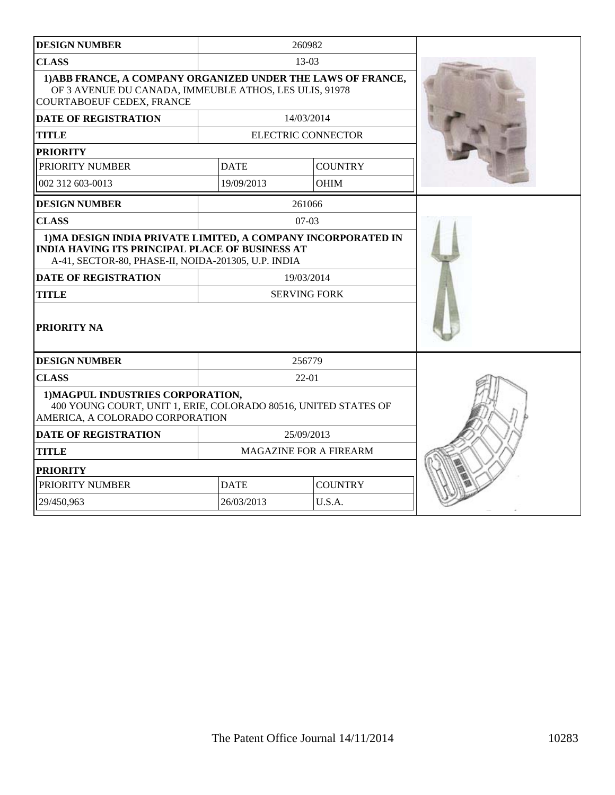|                                                                                                                                                                                                               |                        | 260982                    |  |
|---------------------------------------------------------------------------------------------------------------------------------------------------------------------------------------------------------------|------------------------|---------------------------|--|
| <b>CLASS</b>                                                                                                                                                                                                  | 13-03                  |                           |  |
| 1) ABB FRANCE, A COMPANY ORGANIZED UNDER THE LAWS OF FRANCE,<br>OF 3 AVENUE DU CANADA, IMMEUBLE ATHOS, LES ULIS, 91978<br>COURTABOEUF CEDEX, FRANCE                                                           |                        |                           |  |
| <b>DATE OF REGISTRATION</b>                                                                                                                                                                                   |                        | 14/03/2014                |  |
| <b>TITLE</b>                                                                                                                                                                                                  |                        | <b>ELECTRIC CONNECTOR</b> |  |
| <b>PRIORITY</b>                                                                                                                                                                                               |                        |                           |  |
| PRIORITY NUMBER                                                                                                                                                                                               | <b>DATE</b>            | <b>COUNTRY</b>            |  |
| 002 312 603-0013                                                                                                                                                                                              | 19/09/2013             | <b>OHIM</b>               |  |
| <b>DESIGN NUMBER</b>                                                                                                                                                                                          |                        | 261066                    |  |
| <b>CLASS</b>                                                                                                                                                                                                  |                        | $07-03$                   |  |
| 1) MA DESIGN INDIA PRIVATE LIMITED, A COMPANY INCORPORATED IN<br><b>INDIA HAVING ITS PRINCIPAL PLACE OF BUSINESS AT</b><br>A-41, SECTOR-80, PHASE-II, NOIDA-201305, U.P. INDIA<br><b>DATE OF REGISTRATION</b> |                        | 19/03/2014                |  |
| <b>TITLE</b>                                                                                                                                                                                                  | <b>SERVING FORK</b>    |                           |  |
| <b>PRIORITY NA</b>                                                                                                                                                                                            |                        |                           |  |
| <b>DESIGN NUMBER</b>                                                                                                                                                                                          | 256779                 |                           |  |
| <b>CLASS</b>                                                                                                                                                                                                  | $22 - 01$              |                           |  |
| 1) MAGPUL INDUSTRIES CORPORATION,<br>400 YOUNG COURT, UNIT 1, ERIE, COLORADO 80516, UNITED STATES OF<br>AMERICA, A COLORADO CORPORATION                                                                       |                        |                           |  |
| <b>DATE OF REGISTRATION</b>                                                                                                                                                                                   | 25/09/2013             |                           |  |
| <b>TITLE</b>                                                                                                                                                                                                  | MAGAZINE FOR A FIREARM |                           |  |
| <b>PRIORITY</b>                                                                                                                                                                                               |                        |                           |  |
| PRIORITY NUMBER                                                                                                                                                                                               | <b>DATE</b>            | <b>COUNTRY</b>            |  |
| 29/450,963                                                                                                                                                                                                    | 26/03/2013<br>U.S.A.   |                           |  |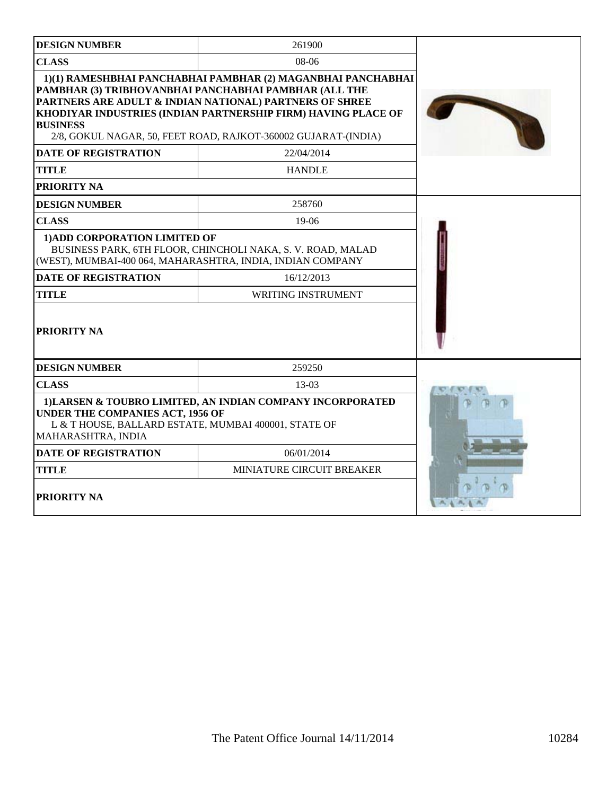| <b>DESIGN NUMBER</b>                                                                                                                                                                | 261900                                                                                                                                                                                                                                                                                                              |  |
|-------------------------------------------------------------------------------------------------------------------------------------------------------------------------------------|---------------------------------------------------------------------------------------------------------------------------------------------------------------------------------------------------------------------------------------------------------------------------------------------------------------------|--|
| <b>CLASS</b>                                                                                                                                                                        | $08-06$                                                                                                                                                                                                                                                                                                             |  |
| <b>BUSINESS</b>                                                                                                                                                                     | 1)(1) RAMESHBHAI PANCHABHAI PAMBHAR (2) MAGANBHAI PANCHABHAI<br>PAMBHAR (3) TRIBHOVANBHAI PANCHABHAI PAMBHAR (ALL THE<br>PARTNERS ARE ADULT & INDIAN NATIONAL) PARTNERS OF SHREE<br>KHODIYAR INDUSTRIES (INDIAN PARTNERSHIP FIRM) HAVING PLACE OF<br>2/8, GOKUL NAGAR, 50, FEET ROAD, RAJKOT-360002 GUJARAT-(INDIA) |  |
| <b>DATE OF REGISTRATION</b>                                                                                                                                                         | 22/04/2014                                                                                                                                                                                                                                                                                                          |  |
| <b>TITLE</b>                                                                                                                                                                        | <b>HANDLE</b>                                                                                                                                                                                                                                                                                                       |  |
| <b>PRIORITY NA</b>                                                                                                                                                                  |                                                                                                                                                                                                                                                                                                                     |  |
| <b>DESIGN NUMBER</b>                                                                                                                                                                | 258760                                                                                                                                                                                                                                                                                                              |  |
| <b>CLASS</b>                                                                                                                                                                        | $19-06$                                                                                                                                                                                                                                                                                                             |  |
| 1) ADD CORPORATION LIMITED OF                                                                                                                                                       | BUSINESS PARK, 6TH FLOOR, CHINCHOLI NAKA, S. V. ROAD, MALAD<br>(WEST), MUMBAI-400 064, MAHARASHTRA, INDIA, INDIAN COMPANY                                                                                                                                                                                           |  |
| <b>DATE OF REGISTRATION</b>                                                                                                                                                         | 16/12/2013                                                                                                                                                                                                                                                                                                          |  |
| <b>TITLE</b>                                                                                                                                                                        | <b>WRITING INSTRUMENT</b>                                                                                                                                                                                                                                                                                           |  |
| <b>PRIORITY NA</b>                                                                                                                                                                  |                                                                                                                                                                                                                                                                                                                     |  |
| <b>DESIGN NUMBER</b>                                                                                                                                                                | 259250                                                                                                                                                                                                                                                                                                              |  |
| <b>CLASS</b>                                                                                                                                                                        | 13-03                                                                                                                                                                                                                                                                                                               |  |
| 1) LARSEN & TOUBRO LIMITED, AN INDIAN COMPANY INCORPORATED<br><b>UNDER THE COMPANIES ACT, 1956 OF</b><br>L & T HOUSE, BALLARD ESTATE, MUMBAI 400001, STATE OF<br>MAHARASHTRA, INDIA |                                                                                                                                                                                                                                                                                                                     |  |
| <b>DATE OF REGISTRATION</b>                                                                                                                                                         | 06/01/2014                                                                                                                                                                                                                                                                                                          |  |
| <b>TITLE</b>                                                                                                                                                                        | MINIATURE CIRCUIT BREAKER                                                                                                                                                                                                                                                                                           |  |
| <b>PRIORITY NA</b>                                                                                                                                                                  |                                                                                                                                                                                                                                                                                                                     |  |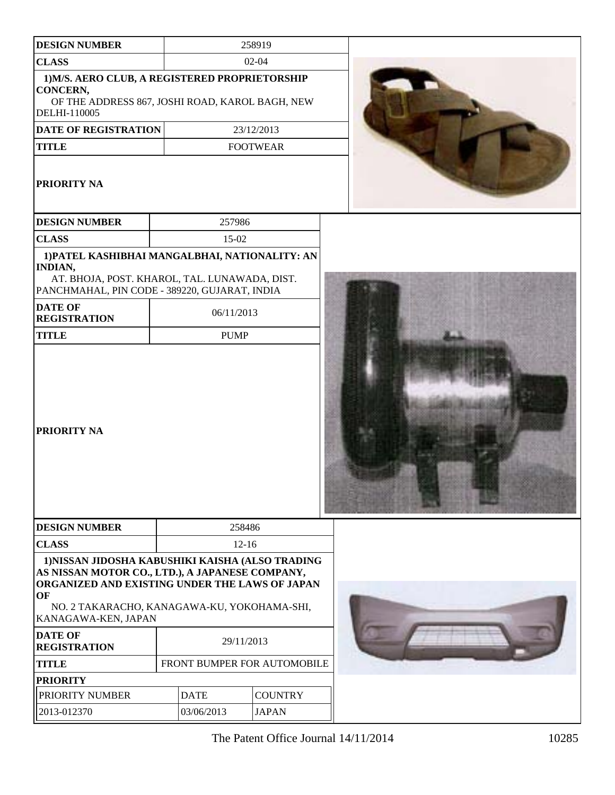| <b>DESIGN NUMBER</b>                                                                                                                                                                                                                                                                     |                             | 258919          |  |
|------------------------------------------------------------------------------------------------------------------------------------------------------------------------------------------------------------------------------------------------------------------------------------------|-----------------------------|-----------------|--|
| <b>CLASS</b>                                                                                                                                                                                                                                                                             |                             | $02 - 04$       |  |
| 1) M/S. AERO CLUB, A REGISTERED PROPRIETORSHIP<br>CONCERN,<br>OF THE ADDRESS 867, JOSHI ROAD, KAROL BAGH, NEW<br>DELHI-110005                                                                                                                                                            |                             |                 |  |
| DATE OF REGISTRATION                                                                                                                                                                                                                                                                     |                             | 23/12/2013      |  |
| <b>TITLE</b>                                                                                                                                                                                                                                                                             |                             | <b>FOOTWEAR</b> |  |
| PRIORITY NA                                                                                                                                                                                                                                                                              |                             |                 |  |
| <b>DESIGN NUMBER</b>                                                                                                                                                                                                                                                                     | 257986                      |                 |  |
| <b>CLASS</b>                                                                                                                                                                                                                                                                             | 15-02                       |                 |  |
| 1) PATEL KASHIBHAI MANGALBHAI, NATIONALITY: AN<br><b>INDIAN,</b><br>AT. BHOJA, POST. KHAROL, TAL. LUNAWADA, DIST.<br>PANCHMAHAL, PIN CODE - 389220, GUJARAT, INDIA<br><b>DATE OF</b><br><b>REGISTRATION</b><br><b>TITLE</b><br>PRIORITY NA                                               | 06/11/2013<br><b>PUMP</b>   |                 |  |
| <b>DESIGN NUMBER</b>                                                                                                                                                                                                                                                                     | 258486                      |                 |  |
| <b>CLASS</b>                                                                                                                                                                                                                                                                             | $12 - 16$                   |                 |  |
| 1) NISSAN JIDOSHA KABUSHIKI KAISHA (ALSO TRADING<br>AS NISSAN MOTOR CO., LTD.), A JAPANESE COMPANY,<br>ORGANIZED AND EXISTING UNDER THE LAWS OF JAPAN<br>OF<br>NO. 2 TAKARACHO, KANAGAWA-KU, YOKOHAMA-SHI,<br>KANAGAWA-KEN, JAPAN<br><b>DATE OF</b><br>29/11/2013<br><b>REGISTRATION</b> |                             |                 |  |
| <b>TITLE</b>                                                                                                                                                                                                                                                                             | FRONT BUMPER FOR AUTOMOBILE |                 |  |
| <b>PRIORITY</b>                                                                                                                                                                                                                                                                          |                             |                 |  |
| PRIORITY NUMBER                                                                                                                                                                                                                                                                          | <b>DATE</b>                 | <b>COUNTRY</b>  |  |
| 2013-012370                                                                                                                                                                                                                                                                              | 03/06/2013                  | <b>JAPAN</b>    |  |

The Patent Office Journal  $14/11/2014$  10285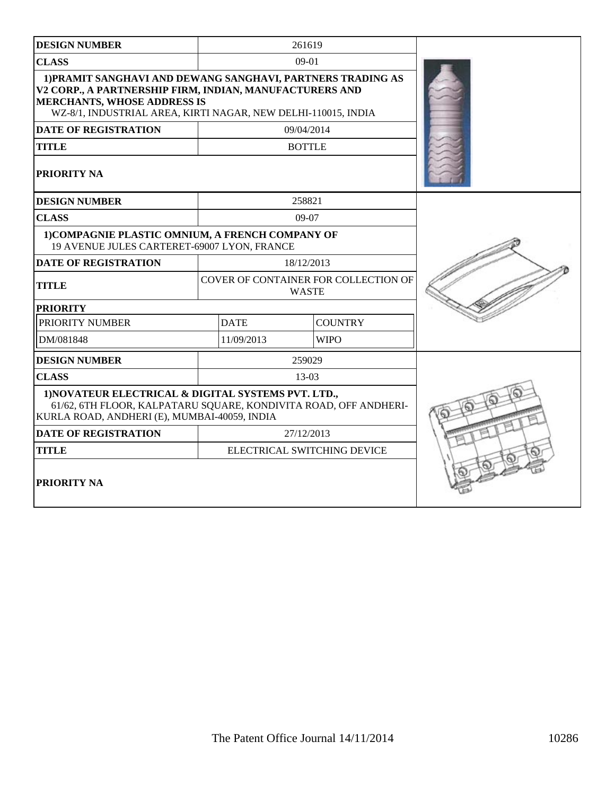| <b>DESIGN NUMBER</b>                                                                                                                                                                                                          |                                                      | 261619        |                |  |
|-------------------------------------------------------------------------------------------------------------------------------------------------------------------------------------------------------------------------------|------------------------------------------------------|---------------|----------------|--|
| <b>CLASS</b>                                                                                                                                                                                                                  |                                                      | $09-01$       |                |  |
| 1) PRAMIT SANGHAVI AND DEWANG SANGHAVI, PARTNERS TRADING AS<br>V2 CORP., A PARTNERSHIP FIRM, INDIAN, MANUFACTURERS AND<br><b>MERCHANTS, WHOSE ADDRESS IS</b><br>WZ-8/1, INDUSTRIAL AREA, KIRTI NAGAR, NEW DELHI-110015, INDIA |                                                      |               |                |  |
| <b>DATE OF REGISTRATION</b>                                                                                                                                                                                                   |                                                      | 09/04/2014    |                |  |
| <b>TITLE</b>                                                                                                                                                                                                                  |                                                      | <b>BOTTLE</b> |                |  |
| PRIORITY NA                                                                                                                                                                                                                   |                                                      |               |                |  |
| <b>DESIGN NUMBER</b>                                                                                                                                                                                                          |                                                      | 258821        |                |  |
| <b>CLASS</b>                                                                                                                                                                                                                  |                                                      | $09-07$       |                |  |
| 1) COMPAGNIE PLASTIC OMNIUM, A FRENCH COMPANY OF<br>19 AVENUE JULES CARTERET-69007 LYON, FRANCE                                                                                                                               |                                                      |               |                |  |
| <b>DATE OF REGISTRATION</b>                                                                                                                                                                                                   | 18/12/2013                                           |               |                |  |
| <b>TITLE</b>                                                                                                                                                                                                                  | COVER OF CONTAINER FOR COLLECTION OF<br><b>WASTE</b> |               |                |  |
| <b>PRIORITY</b>                                                                                                                                                                                                               |                                                      |               |                |  |
| PRIORITY NUMBER                                                                                                                                                                                                               | <b>DATE</b>                                          |               | <b>COUNTRY</b> |  |
| DM/081848                                                                                                                                                                                                                     | 11/09/2013                                           |               | <b>WIPO</b>    |  |
| <b>DESIGN NUMBER</b>                                                                                                                                                                                                          |                                                      | 259029        |                |  |
| <b>CLASS</b>                                                                                                                                                                                                                  |                                                      | 13-03         |                |  |
| 1) NOVATEUR ELECTRICAL & DIGITAL SYSTEMS PVT. LTD.,<br>61/62, 6TH FLOOR, KALPATARU SQUARE, KONDIVITA ROAD, OFF ANDHERI-<br>KURLA ROAD, ANDHERI (E), MUMBAI-40059, INDIA                                                       |                                                      |               |                |  |
| <b>DATE OF REGISTRATION</b>                                                                                                                                                                                                   | 27/12/2013                                           |               |                |  |
| <b>TITLE</b>                                                                                                                                                                                                                  | ELECTRICAL SWITCHING DEVICE                          |               |                |  |
| <b>PRIORITY NA</b>                                                                                                                                                                                                            |                                                      |               |                |  |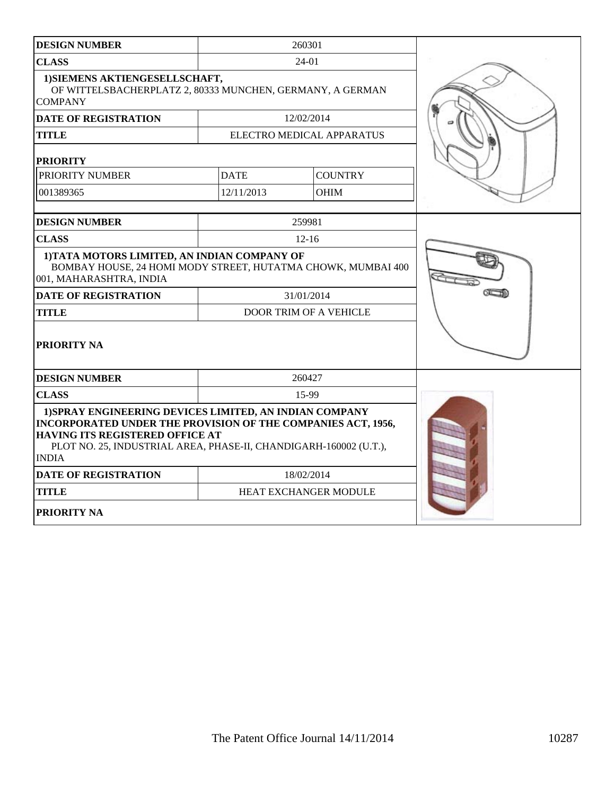| <b>DESIGN NUMBER</b>                                                                                                                                                                                                                                   | 260301      |                           |  |
|--------------------------------------------------------------------------------------------------------------------------------------------------------------------------------------------------------------------------------------------------------|-------------|---------------------------|--|
| <b>CLASS</b>                                                                                                                                                                                                                                           | $24-01$     |                           |  |
| 1) SIEMENS AKTIENGESELLSCHAFT,<br>OF WITTELSBACHERPLATZ 2, 80333 MUNCHEN, GERMANY, A GERMAN<br><b>COMPANY</b>                                                                                                                                          |             |                           |  |
| <b>DATE OF REGISTRATION</b>                                                                                                                                                                                                                            |             | 12/02/2014                |  |
| <b>TITLE</b>                                                                                                                                                                                                                                           |             | ELECTRO MEDICAL APPARATUS |  |
| <b>PRIORITY</b>                                                                                                                                                                                                                                        |             |                           |  |
| PRIORITY NUMBER                                                                                                                                                                                                                                        | <b>DATE</b> | <b>COUNTRY</b>            |  |
| 001389365                                                                                                                                                                                                                                              | 12/11/2013  | <b>OHIM</b>               |  |
|                                                                                                                                                                                                                                                        |             |                           |  |
| <b>DESIGN NUMBER</b>                                                                                                                                                                                                                                   |             | 259981                    |  |
| <b>CLASS</b>                                                                                                                                                                                                                                           |             | $12 - 16$                 |  |
| 1) TATA MOTORS LIMITED, AN INDIAN COMPANY OF<br>BOMBAY HOUSE, 24 HOMI MODY STREET, HUTATMA CHOWK, MUMBAI 400<br>001, MAHARASHTRA, INDIA                                                                                                                |             |                           |  |
| <b>DATE OF REGISTRATION</b>                                                                                                                                                                                                                            |             | 31/01/2014                |  |
| <b>TITLE</b>                                                                                                                                                                                                                                           |             | DOOR TRIM OF A VEHICLE    |  |
| PRIORITY NA                                                                                                                                                                                                                                            |             |                           |  |
| <b>DESIGN NUMBER</b>                                                                                                                                                                                                                                   | 260427      |                           |  |
| <b>CLASS</b>                                                                                                                                                                                                                                           |             | 15-99                     |  |
| 1) SPRAY ENGINEERING DEVICES LIMITED, AN INDIAN COMPANY<br>INCORPORATED UNDER THE PROVISION OF THE COMPANIES ACT, 1956,<br><b>HAVING ITS REGISTERED OFFICE AT</b><br>PLOT NO. 25, INDUSTRIAL AREA, PHASE-II, CHANDIGARH-160002 (U.T.),<br><b>INDIA</b> |             |                           |  |
| <b>DATE OF REGISTRATION</b>                                                                                                                                                                                                                            |             | 18/02/2014                |  |
| <b>TITLE</b>                                                                                                                                                                                                                                           |             | HEAT EXCHANGER MODULE     |  |
| PRIORITY NA                                                                                                                                                                                                                                            |             |                           |  |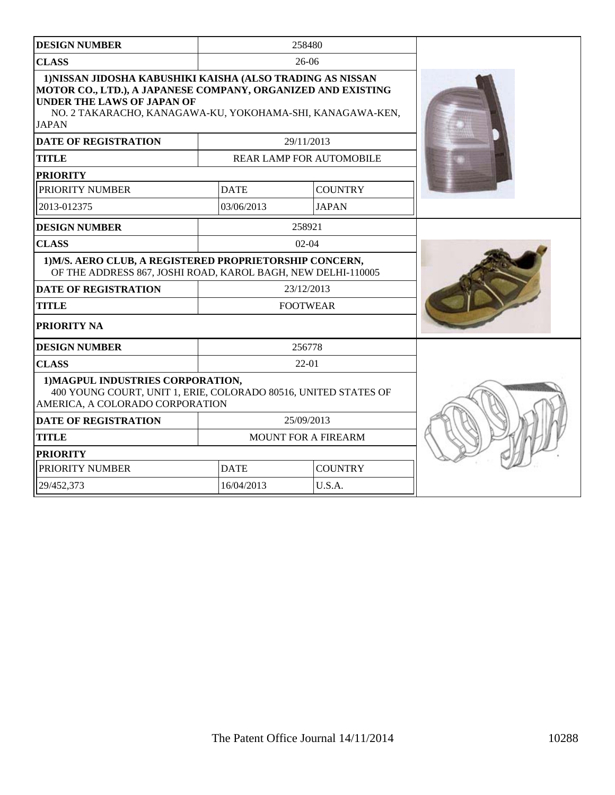| <b>DESIGN NUMBER</b>                                                                                                                                                                                                                         |                               | 258480                          |  |
|----------------------------------------------------------------------------------------------------------------------------------------------------------------------------------------------------------------------------------------------|-------------------------------|---------------------------------|--|
| <b>CLASS</b>                                                                                                                                                                                                                                 | $26-06$                       |                                 |  |
| 1) NISSAN JIDOSHA KABUSHIKI KAISHA (ALSO TRADING AS NISSAN<br>MOTOR CO., LTD.), A JAPANESE COMPANY, ORGANIZED AND EXISTING<br><b>UNDER THE LAWS OF JAPAN OF</b><br>NO. 2 TAKARACHO, KANAGAWA-KU, YOKOHAMA-SHI, KANAGAWA-KEN,<br><b>JAPAN</b> |                               |                                 |  |
| <b>DATE OF REGISTRATION</b>                                                                                                                                                                                                                  |                               | 29/11/2013                      |  |
| <b>TITLE</b>                                                                                                                                                                                                                                 |                               | <b>REAR LAMP FOR AUTOMOBILE</b> |  |
| <b>PRIORITY</b>                                                                                                                                                                                                                              |                               |                                 |  |
| PRIORITY NUMBER                                                                                                                                                                                                                              | <b>DATE</b>                   | <b>COUNTRY</b>                  |  |
| 2013-012375                                                                                                                                                                                                                                  | 03/06/2013                    | <b>JAPAN</b>                    |  |
| <b>DESIGN NUMBER</b>                                                                                                                                                                                                                         |                               | 258921                          |  |
| <b>CLASS</b>                                                                                                                                                                                                                                 | $02-04$                       |                                 |  |
| 1) M/S. AERO CLUB, A REGISTERED PROPRIETORSHIP CONCERN,<br>OF THE ADDRESS 867, JOSHI ROAD, KAROL BAGH, NEW DELHI-110005                                                                                                                      |                               |                                 |  |
| <b>DATE OF REGISTRATION</b>                                                                                                                                                                                                                  | 23/12/2013                    |                                 |  |
| <b>TITLE</b>                                                                                                                                                                                                                                 | <b>FOOTWEAR</b>               |                                 |  |
| PRIORITY NA                                                                                                                                                                                                                                  |                               |                                 |  |
| <b>DESIGN NUMBER</b>                                                                                                                                                                                                                         |                               | 256778                          |  |
| <b>CLASS</b>                                                                                                                                                                                                                                 | 22-01                         |                                 |  |
| 1) MAGPUL INDUSTRIES CORPORATION,<br>400 YOUNG COURT, UNIT 1, ERIE, COLORADO 80516, UNITED STATES OF<br>AMERICA, A COLORADO CORPORATION                                                                                                      |                               |                                 |  |
| <b>DATE OF REGISTRATION</b>                                                                                                                                                                                                                  | 25/09/2013                    |                                 |  |
| <b>TITLE</b>                                                                                                                                                                                                                                 | <b>MOUNT FOR A FIREARM</b>    |                                 |  |
| <b>PRIORITY</b>                                                                                                                                                                                                                              |                               |                                 |  |
| PRIORITY NUMBER                                                                                                                                                                                                                              | <b>DATE</b><br><b>COUNTRY</b> |                                 |  |
| 29/452,373                                                                                                                                                                                                                                   | 16/04/2013<br>U.S.A.          |                                 |  |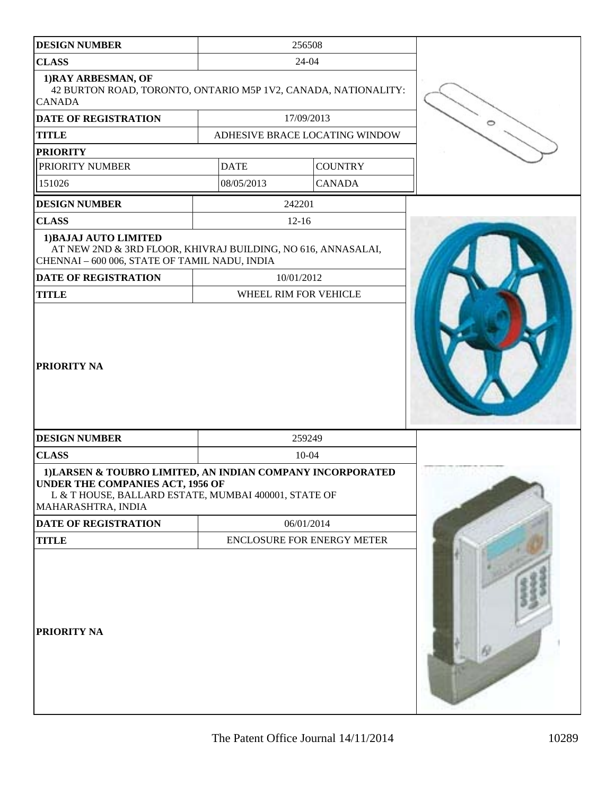| <b>DESIGN NUMBER</b>                                                                                                                                                         |             | 256508                         |  |
|------------------------------------------------------------------------------------------------------------------------------------------------------------------------------|-------------|--------------------------------|--|
| <b>CLASS</b>                                                                                                                                                                 | 24-04       |                                |  |
| 1) RAY ARBESMAN, OF<br>42 BURTON ROAD, TORONTO, ONTARIO M5P 1V2, CANADA, NATIONALITY:<br><b>CANADA</b>                                                                       |             |                                |  |
| <b>DATE OF REGISTRATION</b>                                                                                                                                                  |             | 17/09/2013                     |  |
| <b>TITLE</b>                                                                                                                                                                 |             | ADHESIVE BRACE LOCATING WINDOW |  |
| <b>PRIORITY</b>                                                                                                                                                              |             |                                |  |
| PRIORITY NUMBER                                                                                                                                                              | <b>DATE</b> | <b>COUNTRY</b>                 |  |
| 151026                                                                                                                                                                       | 08/05/2013  | <b>CANADA</b>                  |  |
| <b>DESIGN NUMBER</b>                                                                                                                                                         |             | 242201                         |  |
| <b>CLASS</b>                                                                                                                                                                 |             | $12 - 16$                      |  |
| 1) BAJAJ AUTO LIMITED<br>AT NEW 2ND & 3RD FLOOR, KHIVRAJ BUILDING, NO 616, ANNASALAI,<br>CHENNAI - 600 006, STATE OF TAMIL NADU, INDIA                                       |             |                                |  |
| DATE OF REGISTRATION                                                                                                                                                         |             | 10/01/2012                     |  |
| <b>TITLE</b>                                                                                                                                                                 |             | WHEEL RIM FOR VEHICLE          |  |
| <b>PRIORITY NA</b>                                                                                                                                                           |             |                                |  |
| <b>DESIGN NUMBER</b>                                                                                                                                                         |             | 259249                         |  |
| <b>CLASS</b>                                                                                                                                                                 |             | $10 - 04$                      |  |
| 1) LARSEN & TOUBRO LIMITED, AN INDIAN COMPANY INCORPORATED<br>UNDER THE COMPANIES ACT, 1956 OF<br>L & T HOUSE, BALLARD ESTATE, MUMBAI 400001, STATE OF<br>MAHARASHTRA, INDIA |             |                                |  |
| DATE OF REGISTRATION                                                                                                                                                         |             | 06/01/2014                     |  |
| <b>TITLE</b>                                                                                                                                                                 |             | ENCLOSURE FOR ENERGY METER     |  |
| PRIORITY NA                                                                                                                                                                  |             |                                |  |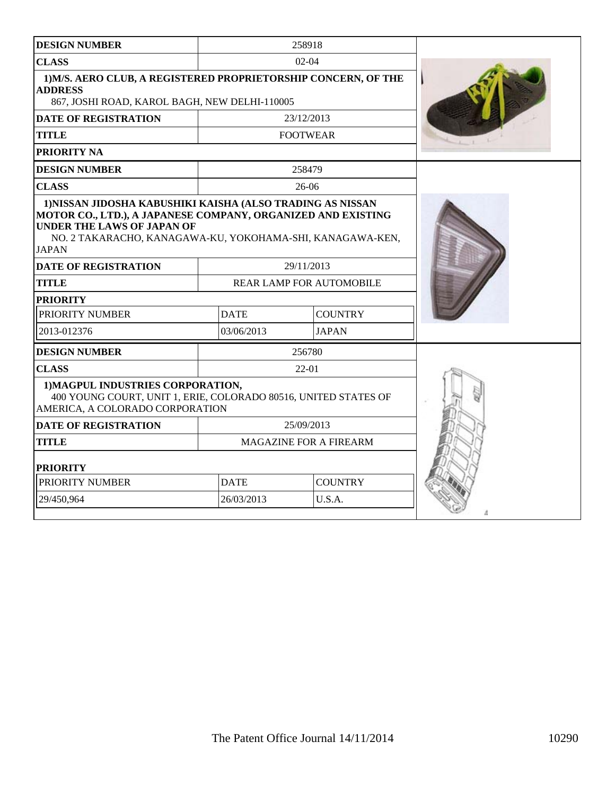| <b>DESIGN NUMBER</b>                                                                                                                                                                                                                         |                        | 258918                          |  |
|----------------------------------------------------------------------------------------------------------------------------------------------------------------------------------------------------------------------------------------------|------------------------|---------------------------------|--|
| <b>CLASS</b>                                                                                                                                                                                                                                 |                        | $02-04$                         |  |
| 1) M/S. AERO CLUB, A REGISTERED PROPRIETORSHIP CONCERN, OF THE<br><b>ADDRESS</b><br>867, JOSHI ROAD, KAROL BAGH, NEW DELHI-110005                                                                                                            |                        |                                 |  |
| <b>DATE OF REGISTRATION</b>                                                                                                                                                                                                                  |                        | 23/12/2013                      |  |
| <b>TITLE</b>                                                                                                                                                                                                                                 |                        | <b>FOOTWEAR</b>                 |  |
| PRIORITY NA                                                                                                                                                                                                                                  |                        |                                 |  |
| <b>DESIGN NUMBER</b>                                                                                                                                                                                                                         |                        | 258479                          |  |
| <b>CLASS</b>                                                                                                                                                                                                                                 |                        | 26-06                           |  |
| 1) NISSAN JIDOSHA KABUSHIKI KAISHA (ALSO TRADING AS NISSAN<br>MOTOR CO., LTD.), A JAPANESE COMPANY, ORGANIZED AND EXISTING<br><b>UNDER THE LAWS OF JAPAN OF</b><br>NO. 2 TAKARACHO, KANAGAWA-KU, YOKOHAMA-SHI, KANAGAWA-KEN,<br><b>JAPAN</b> |                        |                                 |  |
| <b>DATE OF REGISTRATION</b>                                                                                                                                                                                                                  |                        | 29/11/2013                      |  |
| <b>TITLE</b>                                                                                                                                                                                                                                 |                        | <b>REAR LAMP FOR AUTOMOBILE</b> |  |
| <b>PRIORITY</b>                                                                                                                                                                                                                              |                        |                                 |  |
| PRIORITY NUMBER                                                                                                                                                                                                                              | <b>DATE</b>            | <b>COUNTRY</b>                  |  |
| 2013-012376                                                                                                                                                                                                                                  | 03/06/2013             | <b>JAPAN</b>                    |  |
| <b>DESIGN NUMBER</b>                                                                                                                                                                                                                         |                        | 256780                          |  |
| <b>CLASS</b>                                                                                                                                                                                                                                 |                        | $22-01$                         |  |
| 1) MAGPUL INDUSTRIES CORPORATION,<br>400 YOUNG COURT, UNIT 1, ERIE, COLORADO 80516, UNITED STATES OF<br>AMERICA, A COLORADO CORPORATION                                                                                                      |                        |                                 |  |
| <b>DATE OF REGISTRATION</b>                                                                                                                                                                                                                  | 25/09/2013             |                                 |  |
| <b>TITLE</b>                                                                                                                                                                                                                                 | MAGAZINE FOR A FIREARM |                                 |  |
| <b>PRIORITY</b>                                                                                                                                                                                                                              |                        |                                 |  |
| PRIORITY NUMBER                                                                                                                                                                                                                              | <b>DATE</b>            | <b>COUNTRY</b>                  |  |
| 29/450,964                                                                                                                                                                                                                                   | 26/03/2013             | U.S.A.                          |  |
|                                                                                                                                                                                                                                              |                        |                                 |  |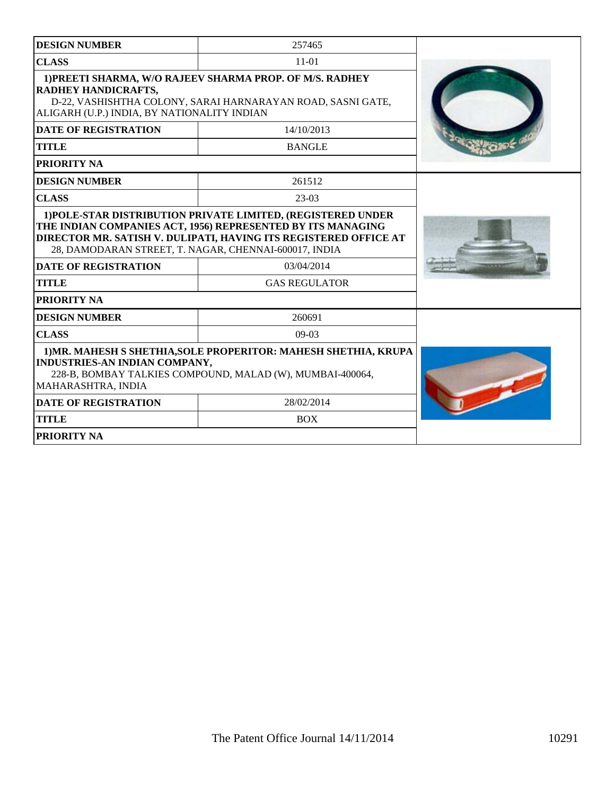| <b>DESIGN NUMBER</b>                                                                                                                                                                                                                                     | 257465                                                                                                                  |  |
|----------------------------------------------------------------------------------------------------------------------------------------------------------------------------------------------------------------------------------------------------------|-------------------------------------------------------------------------------------------------------------------------|--|
| <b>CLASS</b>                                                                                                                                                                                                                                             | $11 - 01$                                                                                                               |  |
| RADHEY HANDICRAFTS,<br>ALIGARH (U.P.) INDIA, BY NATIONALITY INDIAN                                                                                                                                                                                       | 1) PREETI SHARMA, W/O RAJEEV SHARMA PROP. OF M/S. RADHEY<br>D-22, VASHISHTHA COLONY, SARAI HARNARAYAN ROAD, SASNI GATE, |  |
| <b>DATE OF REGISTRATION</b>                                                                                                                                                                                                                              | 14/10/2013                                                                                                              |  |
| <b>TITLE</b>                                                                                                                                                                                                                                             | <b>BANGLE</b>                                                                                                           |  |
| PRIORITY NA                                                                                                                                                                                                                                              |                                                                                                                         |  |
| <b>DESIGN NUMBER</b>                                                                                                                                                                                                                                     | 261512                                                                                                                  |  |
| <b>CLASS</b>                                                                                                                                                                                                                                             | $23-03$                                                                                                                 |  |
| 1) POLE-STAR DISTRIBUTION PRIVATE LIMITED, (REGISTERED UNDER<br>THE INDIAN COMPANIES ACT, 1956) REPRESENTED BY ITS MANAGING<br>DIRECTOR MR. SATISH V. DULIPATI, HAVING ITS REGISTERED OFFICE AT<br>28, DAMODARAN STREET, T. NAGAR, CHENNAI-600017, INDIA |                                                                                                                         |  |
| <b>DATE OF REGISTRATION</b>                                                                                                                                                                                                                              | 03/04/2014                                                                                                              |  |
| <b>TITLE</b>                                                                                                                                                                                                                                             | <b>GAS REGULATOR</b>                                                                                                    |  |
| PRIORITY NA                                                                                                                                                                                                                                              |                                                                                                                         |  |
| <b>DESIGN NUMBER</b>                                                                                                                                                                                                                                     | 260691                                                                                                                  |  |
| <b>CLASS</b>                                                                                                                                                                                                                                             | $09-03$                                                                                                                 |  |
| 1) MR. MAHESH S SHETHIA, SOLE PROPERITOR: MAHESH SHETHIA, KRUPA<br>INDUSTRIES-AN INDIAN COMPANY,<br>228-B, BOMBAY TALKIES COMPOUND, MALAD (W), MUMBAI-400064,<br>MAHARASHTRA, INDIA                                                                      |                                                                                                                         |  |
| <b>DATE OF REGISTRATION</b>                                                                                                                                                                                                                              | 28/02/2014                                                                                                              |  |
| <b>TITLE</b>                                                                                                                                                                                                                                             | <b>BOX</b>                                                                                                              |  |
| <b>PRIORITY NA</b>                                                                                                                                                                                                                                       |                                                                                                                         |  |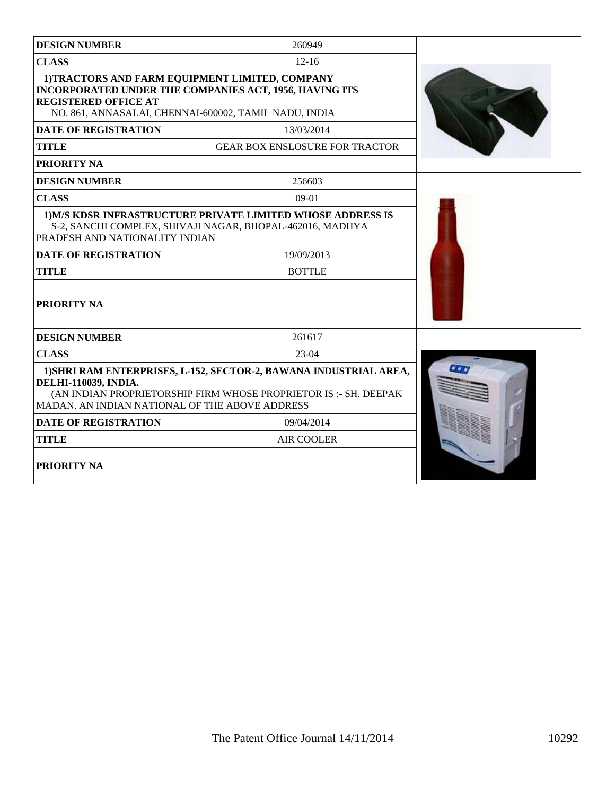| <b>DESIGN NUMBER</b>                                                                                                                                                                                                   | 260949                                                                                                                   |  |
|------------------------------------------------------------------------------------------------------------------------------------------------------------------------------------------------------------------------|--------------------------------------------------------------------------------------------------------------------------|--|
| <b>CLASS</b>                                                                                                                                                                                                           | $12 - 16$                                                                                                                |  |
| 1)TRACTORS AND FARM EQUIPMENT LIMITED, COMPANY<br><b>INCORPORATED UNDER THE COMPANIES ACT, 1956, HAVING ITS</b><br><b>REGISTERED OFFICE AT</b><br>NO. 861, ANNASALAI, CHENNAI-600002, TAMIL NADU, INDIA                |                                                                                                                          |  |
| <b>DATE OF REGISTRATION</b>                                                                                                                                                                                            | 13/03/2014                                                                                                               |  |
| <b>TITLE</b>                                                                                                                                                                                                           | <b>GEAR BOX ENSLOSURE FOR TRACTOR</b>                                                                                    |  |
| <b>PRIORITY NA</b>                                                                                                                                                                                                     |                                                                                                                          |  |
| <b>DESIGN NUMBER</b>                                                                                                                                                                                                   | 256603                                                                                                                   |  |
| <b>CLASS</b>                                                                                                                                                                                                           | $09-01$                                                                                                                  |  |
| PRADESH AND NATIONALITY INDIAN                                                                                                                                                                                         | 1) M/S KDSR INFRASTRUCTURE PRIVATE LIMITED WHOSE ADDRESS IS<br>S-2, SANCHI COMPLEX, SHIVAJI NAGAR, BHOPAL-462016, MADHYA |  |
| <b>DATE OF REGISTRATION</b>                                                                                                                                                                                            | 19/09/2013                                                                                                               |  |
| <b>TITLE</b>                                                                                                                                                                                                           | <b>BOTTLE</b>                                                                                                            |  |
| PRIORITY NA                                                                                                                                                                                                            |                                                                                                                          |  |
| <b>DESIGN NUMBER</b>                                                                                                                                                                                                   | 261617                                                                                                                   |  |
| <b>CLASS</b>                                                                                                                                                                                                           | $23-04$                                                                                                                  |  |
| 1) SHRI RAM ENTERPRISES, L-152, SECTOR-2, BAWANA INDUSTRIAL AREA,<br><b>DELHI-110039, INDIA.</b><br>(AN INDIAN PROPRIETORSHIP FIRM WHOSE PROPRIETOR IS :- SH. DEEPAK<br>MADAN. AN INDIAN NATIONAL OF THE ABOVE ADDRESS | $\bullet \bullet \bullet$                                                                                                |  |
| <b>DATE OF REGISTRATION</b>                                                                                                                                                                                            | 09/04/2014                                                                                                               |  |
| <b>TITLE</b>                                                                                                                                                                                                           | <b>AIR COOLER</b>                                                                                                        |  |
| PRIORITY NA                                                                                                                                                                                                            |                                                                                                                          |  |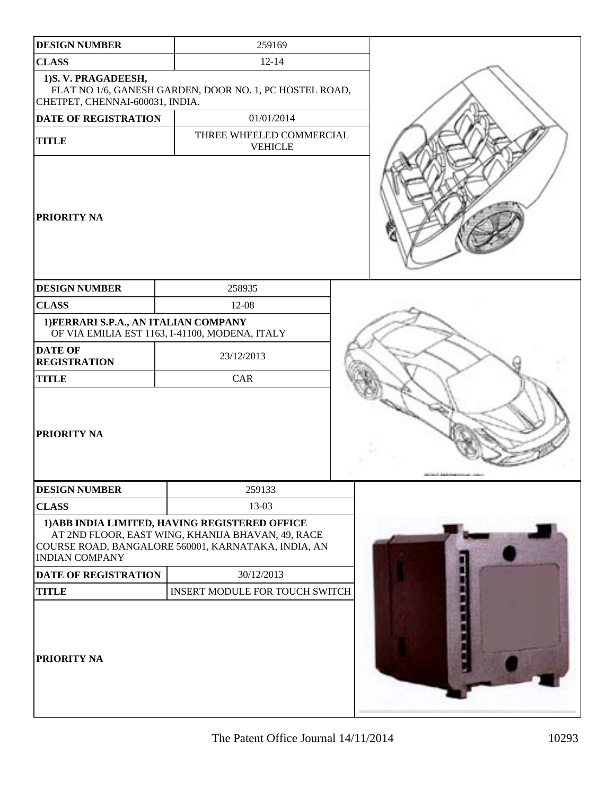| <b>DESIGN NUMBER</b>                                   | 259169                                                                                                                                                     |  |
|--------------------------------------------------------|------------------------------------------------------------------------------------------------------------------------------------------------------------|--|
| <b>CLASS</b>                                           | $12 - 14$                                                                                                                                                  |  |
| 1) S.V. PRAGADEESH,<br>CHETPET, CHENNAI-600031, INDIA. | FLAT NO 1/6, GANESH GARDEN, DOOR NO. 1, PC HOSTEL ROAD,                                                                                                    |  |
| DATE OF REGISTRATION                                   | 01/01/2014                                                                                                                                                 |  |
| <b>TITLE</b>                                           | THREE WHEELED COMMERCIAL<br><b>VEHICLE</b>                                                                                                                 |  |
| PRIORITY NA                                            |                                                                                                                                                            |  |
| <b>DESIGN NUMBER</b>                                   | 258935                                                                                                                                                     |  |
| <b>CLASS</b>                                           | 12-08                                                                                                                                                      |  |
| 1) FERRARI S.P.A., AN ITALIAN COMPANY                  | OF VIA EMILIA EST 1163, I-41100, MODENA, ITALY                                                                                                             |  |
| <b>DATE OF</b><br><b>REGISTRATION</b>                  | 23/12/2013                                                                                                                                                 |  |
| <b>TITLE</b>                                           | CAR                                                                                                                                                        |  |
| PRIORITY NA                                            |                                                                                                                                                            |  |
| <b>DESIGN NUMBER</b>                                   | 259133                                                                                                                                                     |  |
| <b>CLASS</b>                                           | 13-03                                                                                                                                                      |  |
| <b>INDIAN COMPANY</b>                                  | 1) ABB INDIA LIMITED, HAVING REGISTERED OFFICE<br>AT 2ND FLOOR, EAST WING, KHANIJA BHAVAN, 49, RACE<br>COURSE ROAD, BANGALORE 560001, KARNATAKA, INDIA, AN |  |
| <b>DATE OF REGISTRATION</b>                            | 30/12/2013                                                                                                                                                 |  |
| <b>TITLE</b>                                           | INSERT MODULE FOR TOUCH SWITCH                                                                                                                             |  |
| PRIORITY NA                                            |                                                                                                                                                            |  |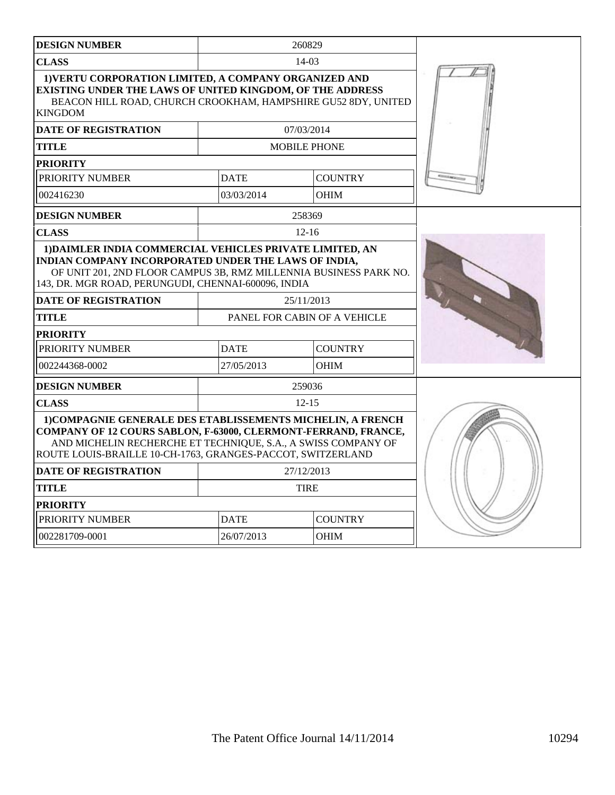| <b>DESIGN NUMBER</b>                                                                                                                                                                                                                                          |             | 260829                       |  |
|---------------------------------------------------------------------------------------------------------------------------------------------------------------------------------------------------------------------------------------------------------------|-------------|------------------------------|--|
| <b>CLASS</b>                                                                                                                                                                                                                                                  |             | 14-03                        |  |
| 1) VERTU CORPORATION LIMITED, A COMPANY ORGANIZED AND<br>EXISTING UNDER THE LAWS OF UNITED KINGDOM, OF THE ADDRESS<br>BEACON HILL ROAD, CHURCH CROOKHAM, HAMPSHIRE GU52 8DY, UNITED<br><b>KINGDOM</b>                                                         |             |                              |  |
| <b>DATE OF REGISTRATION</b>                                                                                                                                                                                                                                   |             | 07/03/2014                   |  |
| <b>TITLE</b>                                                                                                                                                                                                                                                  |             | <b>MOBILE PHONE</b>          |  |
| <b>PRIORITY</b>                                                                                                                                                                                                                                               |             |                              |  |
| PRIORITY NUMBER                                                                                                                                                                                                                                               | <b>DATE</b> | <b>COUNTRY</b>               |  |
| 002416230                                                                                                                                                                                                                                                     | 03/03/2014  | <b>OHIM</b>                  |  |
| <b>DESIGN NUMBER</b>                                                                                                                                                                                                                                          |             | 258369                       |  |
| <b>CLASS</b>                                                                                                                                                                                                                                                  |             | $12 - 16$                    |  |
| 1) DAIMLER INDIA COMMERCIAL VEHICLES PRIVATE LIMITED, AN<br>INDIAN COMPANY INCORPORATED UNDER THE LAWS OF INDIA,<br>OF UNIT 201, 2ND FLOOR CAMPUS 3B, RMZ MILLENNIA BUSINESS PARK NO.<br>143, DR. MGR ROAD, PERUNGUDI, CHENNAI-600096, INDIA                  |             |                              |  |
| <b>DATE OF REGISTRATION</b>                                                                                                                                                                                                                                   |             | 25/11/2013                   |  |
| TITLE                                                                                                                                                                                                                                                         |             | PANEL FOR CABIN OF A VEHICLE |  |
| <b>PRIORITY</b>                                                                                                                                                                                                                                               |             |                              |  |
| PRIORITY NUMBER                                                                                                                                                                                                                                               | <b>DATE</b> | <b>COUNTRY</b>               |  |
| 002244368-0002                                                                                                                                                                                                                                                | 27/05/2013  | <b>OHIM</b>                  |  |
| <b>DESIGN NUMBER</b>                                                                                                                                                                                                                                          |             | 259036                       |  |
| <b>CLASS</b>                                                                                                                                                                                                                                                  |             | $12 - 15$                    |  |
| 1) COMPAGNIE GENERALE DES ETABLISSEMENTS MICHELIN, A FRENCH<br>COMPANY OF 12 COURS SABLON, F-63000, CLERMONT-FERRAND, FRANCE,<br>AND MICHELIN RECHERCHE ET TECHNIQUE, S.A., A SWISS COMPANY OF<br>ROUTE LOUIS-BRAILLE 10-CH-1763, GRANGES-PACCOT, SWITZERLAND |             |                              |  |
| <b>DATE OF REGISTRATION</b>                                                                                                                                                                                                                                   |             | 27/12/2013                   |  |
| TITLE                                                                                                                                                                                                                                                         |             | <b>TIRE</b>                  |  |
| <b>PRIORITY</b>                                                                                                                                                                                                                                               |             |                              |  |
| PRIORITY NUMBER                                                                                                                                                                                                                                               | <b>DATE</b> | <b>COUNTRY</b>               |  |
| 002281709-0001                                                                                                                                                                                                                                                | 26/07/2013  | <b>OHIM</b>                  |  |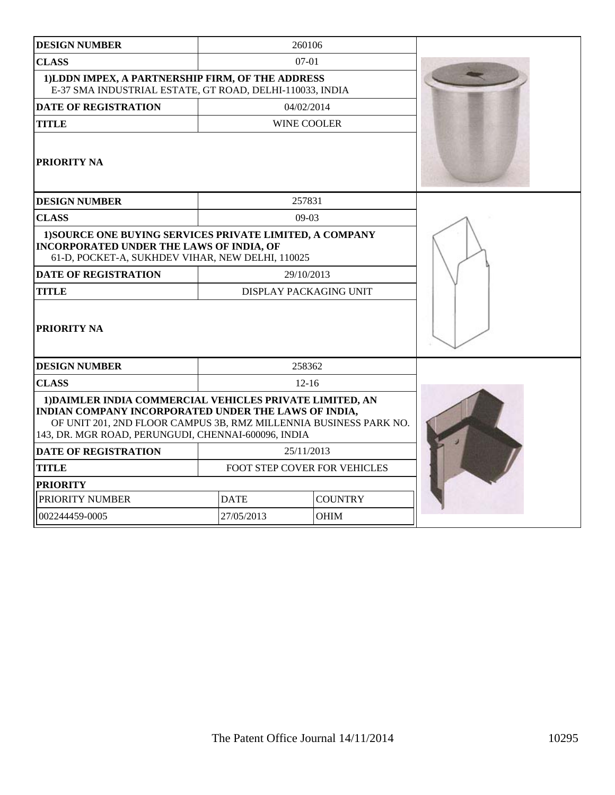| <b>DESIGN NUMBER</b>                                                                                                                                                                                                                         | 260106                        |                    |  |  |
|----------------------------------------------------------------------------------------------------------------------------------------------------------------------------------------------------------------------------------------------|-------------------------------|--------------------|--|--|
| <b>CLASS</b>                                                                                                                                                                                                                                 | $07-01$                       |                    |  |  |
| 1)LDDN IMPEX, A PARTNERSHIP FIRM, OF THE ADDRESS<br>E-37 SMA INDUSTRIAL ESTATE, GT ROAD, DELHI-110033, INDIA                                                                                                                                 |                               |                    |  |  |
| <b>DATE OF REGISTRATION</b>                                                                                                                                                                                                                  | 04/02/2014                    |                    |  |  |
| <b>TITLE</b>                                                                                                                                                                                                                                 |                               | <b>WINE COOLER</b> |  |  |
| <b>PRIORITY NA</b>                                                                                                                                                                                                                           |                               |                    |  |  |
| <b>DESIGN NUMBER</b>                                                                                                                                                                                                                         |                               | 257831             |  |  |
| <b>CLASS</b>                                                                                                                                                                                                                                 |                               | $09-03$            |  |  |
| 1) SOURCE ONE BUYING SERVICES PRIVATE LIMITED, A COMPANY<br><b>INCORPORATED UNDER THE LAWS OF INDIA, OF</b><br>61-D, POCKET-A, SUKHDEV VIHAR, NEW DELHI, 110025                                                                              |                               |                    |  |  |
| <b>DATE OF REGISTRATION</b>                                                                                                                                                                                                                  | 29/10/2013                    |                    |  |  |
| <b>TITLE</b>                                                                                                                                                                                                                                 | <b>DISPLAY PACKAGING UNIT</b> |                    |  |  |
| PRIORITY NA                                                                                                                                                                                                                                  |                               |                    |  |  |
| <b>DESIGN NUMBER</b>                                                                                                                                                                                                                         | 258362                        |                    |  |  |
| <b>CLASS</b>                                                                                                                                                                                                                                 | $12 - 16$                     |                    |  |  |
| 1) DAIMLER INDIA COMMERCIAL VEHICLES PRIVATE LIMITED, AN<br>INDIAN COMPANY INCORPORATED UNDER THE LAWS OF INDIA,<br>OF UNIT 201, 2ND FLOOR CAMPUS 3B, RMZ MILLENNIA BUSINESS PARK NO.<br>143, DR. MGR ROAD, PERUNGUDI, CHENNAI-600096, INDIA |                               |                    |  |  |
| <b>DATE OF REGISTRATION</b>                                                                                                                                                                                                                  | 25/11/2013                    |                    |  |  |
| <b>TITLE</b>                                                                                                                                                                                                                                 | FOOT STEP COVER FOR VEHICLES  |                    |  |  |
| <b>PRIORITY</b>                                                                                                                                                                                                                              |                               |                    |  |  |
| PRIORITY NUMBER                                                                                                                                                                                                                              | <b>COUNTRY</b><br><b>DATE</b> |                    |  |  |
| 002244459-0005                                                                                                                                                                                                                               | 27/05/2013<br><b>OHIM</b>     |                    |  |  |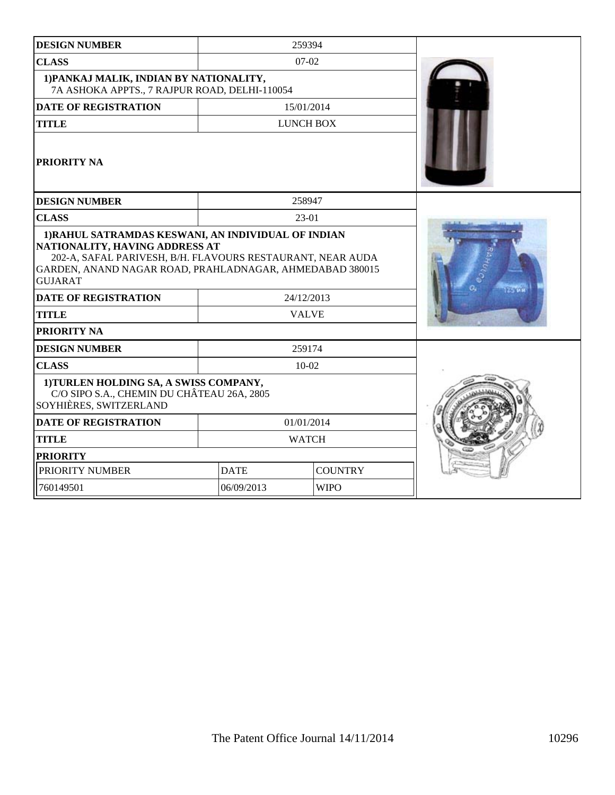| <b>DESIGN NUMBER</b>                                                                                                                                                                                                                     |                            | 259394           |  |
|------------------------------------------------------------------------------------------------------------------------------------------------------------------------------------------------------------------------------------------|----------------------------|------------------|--|
| <b>CLASS</b>                                                                                                                                                                                                                             |                            | $07-02$          |  |
| 1) PANKAJ MALIK, INDIAN BY NATIONALITY,<br>7A ASHOKA APPTS., 7 RAJPUR ROAD, DELHI-110054                                                                                                                                                 |                            |                  |  |
| <b>DATE OF REGISTRATION</b>                                                                                                                                                                                                              |                            | 15/01/2014       |  |
| <b>TITLE</b>                                                                                                                                                                                                                             |                            | <b>LUNCH BOX</b> |  |
| <b>PRIORITY NA</b>                                                                                                                                                                                                                       |                            |                  |  |
| <b>DESIGN NUMBER</b>                                                                                                                                                                                                                     |                            | 258947           |  |
| <b>CLASS</b>                                                                                                                                                                                                                             |                            | 23-01            |  |
| NATIONALITY, HAVING ADDRESS AT<br>202-A, SAFAL PARIVESH, B/H. FLAVOURS RESTAURANT, NEAR AUDA<br>GARDEN, ANAND NAGAR ROAD, PRAHLADNAGAR, AHMEDABAD 380015<br><b>GUJARAT</b><br><b>DATE OF REGISTRATION</b><br><b>TITLE</b><br>PRIORITY NA | 24/12/2013<br><b>VALVE</b> | <b>FANCY</b>     |  |
| <b>DESIGN NUMBER</b>                                                                                                                                                                                                                     |                            | 259174           |  |
| <b>CLASS</b>                                                                                                                                                                                                                             |                            | $10 - 02$        |  |
| 1) TURLEN HOLDING SA, A SWISS COMPANY,<br>C/O SIPO S.A., CHEMIN DU CHÂTEAU 26A, 2805<br>SOYHIÈRES, SWITZERLAND                                                                                                                           |                            |                  |  |
| <b>DATE OF REGISTRATION</b>                                                                                                                                                                                                              |                            | 01/01/2014       |  |
| <b>TITLE</b>                                                                                                                                                                                                                             |                            | <b>WATCH</b>     |  |
| <b>PRIORITY</b>                                                                                                                                                                                                                          |                            |                  |  |
| PRIORITY NUMBER                                                                                                                                                                                                                          | <b>DATE</b>                | <b>COUNTRY</b>   |  |
| 760149501                                                                                                                                                                                                                                | 06/09/2013                 | <b>WIPO</b>      |  |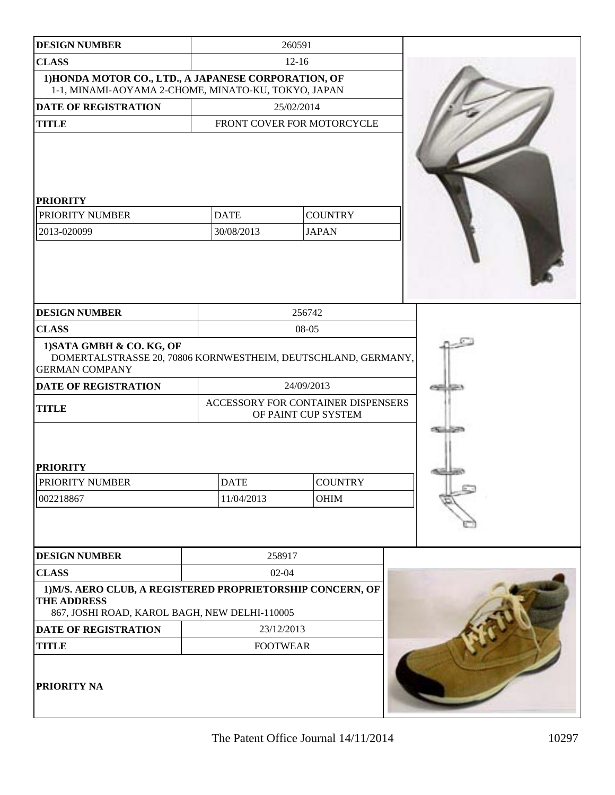| <b>DESIGN NUMBER</b>                                                                                                                               |                           | 260591                             |                      |
|----------------------------------------------------------------------------------------------------------------------------------------------------|---------------------------|------------------------------------|----------------------|
| <b>CLASS</b>                                                                                                                                       | $12 - 16$                 |                                    |                      |
| 1) HONDA MOTOR CO., LTD., A JAPANESE CORPORATION, OF<br>1-1, MINAMI-AOYAMA 2-CHOME, MINATO-KU, TOKYO, JAPAN                                        |                           |                                    |                      |
| <b>DATE OF REGISTRATION</b>                                                                                                                        |                           | 25/02/2014                         |                      |
| <b>TITLE</b>                                                                                                                                       |                           | FRONT COVER FOR MOTORCYCLE         |                      |
| <b>PRIORITY</b><br>PRIORITY NUMBER                                                                                                                 | <b>DATE</b>               | <b>COUNTRY</b>                     |                      |
| 2013-020099                                                                                                                                        | 30/08/2013                | <b>JAPAN</b>                       |                      |
| <b>DESIGN NUMBER</b>                                                                                                                               |                           | 256742                             |                      |
| <b>CLASS</b>                                                                                                                                       |                           | 08-05                              |                      |
| 1) SATA GMBH & CO. KG, OF<br>DOMERTALSTRASSE 20, 70806 KORNWESTHEIM, DEUTSCHLAND, GERMANY,<br><b>GERMAN COMPANY</b><br><b>DATE OF REGISTRATION</b> |                           | 24/09/2013                         | <b>CORPORATION</b>   |
|                                                                                                                                                    |                           | ACCESSORY FOR CONTAINER DISPENSERS |                      |
| <b>TITLE</b>                                                                                                                                       |                           | OF PAINT CUP SYSTEM                |                      |
| <b>PRIORITY</b><br><b>PRIORITY NUMBER</b><br>002218867                                                                                             | <b>DATE</b><br>11/04/2013 | <b>COUNTRY</b><br><b>OHIM</b>      | <b>Charles Corp.</b> |
| <b>DESIGN NUMBER</b>                                                                                                                               | 258917                    |                                    |                      |
| <b>CLASS</b>                                                                                                                                       | $02 - 04$                 |                                    |                      |
| 1) M/S. AERO CLUB, A REGISTERED PROPRIETORSHIP CONCERN, OF<br>THE ADDRESS<br>867, JOSHI ROAD, KAROL BAGH, NEW DELHI-110005                         |                           |                                    |                      |
| DATE OF REGISTRATION                                                                                                                               | 23/12/2013                |                                    |                      |
| <b>TITLE</b>                                                                                                                                       | <b>FOOTWEAR</b>           |                                    |                      |
| <b>PRIORITY NA</b>                                                                                                                                 |                           |                                    |                      |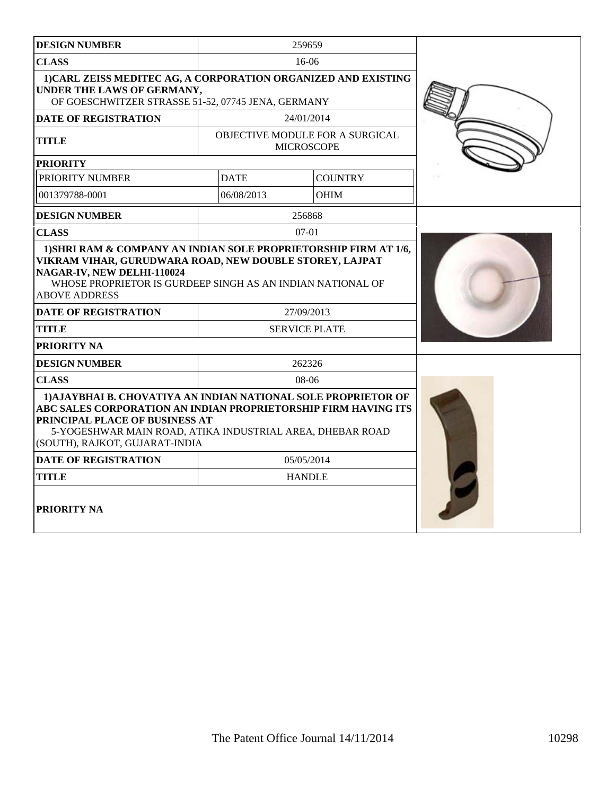| <b>DESIGN NUMBER</b>                                                                                                                                                                                                                                              |             | 259659                                               |  |
|-------------------------------------------------------------------------------------------------------------------------------------------------------------------------------------------------------------------------------------------------------------------|-------------|------------------------------------------------------|--|
| <b>CLASS</b>                                                                                                                                                                                                                                                      |             | 16-06                                                |  |
| 1) CARL ZEISS MEDITEC AG, A CORPORATION ORGANIZED AND EXISTING<br>UNDER THE LAWS OF GERMANY,<br>OF GOESCHWITZER STRASSE 51-52, 07745 JENA, GERMANY                                                                                                                |             |                                                      |  |
| <b>DATE OF REGISTRATION</b>                                                                                                                                                                                                                                       |             | 24/01/2014                                           |  |
| <b>TITLE</b>                                                                                                                                                                                                                                                      |             | OBJECTIVE MODULE FOR A SURGICAL<br><b>MICROSCOPE</b> |  |
| <b>PRIORITY</b>                                                                                                                                                                                                                                                   |             |                                                      |  |
| PRIORITY NUMBER                                                                                                                                                                                                                                                   | <b>DATE</b> | <b>COUNTRY</b>                                       |  |
| 001379788-0001                                                                                                                                                                                                                                                    | 06/08/2013  | <b>OHIM</b>                                          |  |
| <b>DESIGN NUMBER</b>                                                                                                                                                                                                                                              |             | 256868                                               |  |
| <b>CLASS</b>                                                                                                                                                                                                                                                      |             | $07-01$                                              |  |
| VIKRAM VIHAR, GURUDWARA ROAD, NEW DOUBLE STOREY, LAJPAT<br>NAGAR-IV, NEW DELHI-110024<br>WHOSE PROPRIETOR IS GURDEEP SINGH AS AN INDIAN NATIONAL OF<br><b>ABOVE ADDRESS</b><br><b>DATE OF REGISTRATION</b><br><b>TITLE</b>                                        |             | 27/09/2013<br><b>SERVICE PLATE</b>                   |  |
| <b>PRIORITY NA</b>                                                                                                                                                                                                                                                |             |                                                      |  |
| <b>DESIGN NUMBER</b>                                                                                                                                                                                                                                              |             |                                                      |  |
| <b>CLASS</b>                                                                                                                                                                                                                                                      |             | 262326<br>08-06                                      |  |
| 1) AJAYBHAI B. CHOVATIYA AN INDIAN NATIONAL SOLE PROPRIETOR OF<br>ABC SALES CORPORATION AN INDIAN PROPRIETORSHIP FIRM HAVING ITS<br>PRINCIPAL PLACE OF BUSINESS AT<br>5-YOGESHWAR MAIN ROAD, ATIKA INDUSTRIAL AREA, DHEBAR ROAD<br>(SOUTH), RAJKOT, GUJARAT-INDIA |             |                                                      |  |
| <b>DATE OF REGISTRATION</b>                                                                                                                                                                                                                                       |             | 05/05/2014                                           |  |
| <b>TITLE</b>                                                                                                                                                                                                                                                      |             | <b>HANDLE</b>                                        |  |
| <b>PRIORITY NA</b>                                                                                                                                                                                                                                                |             |                                                      |  |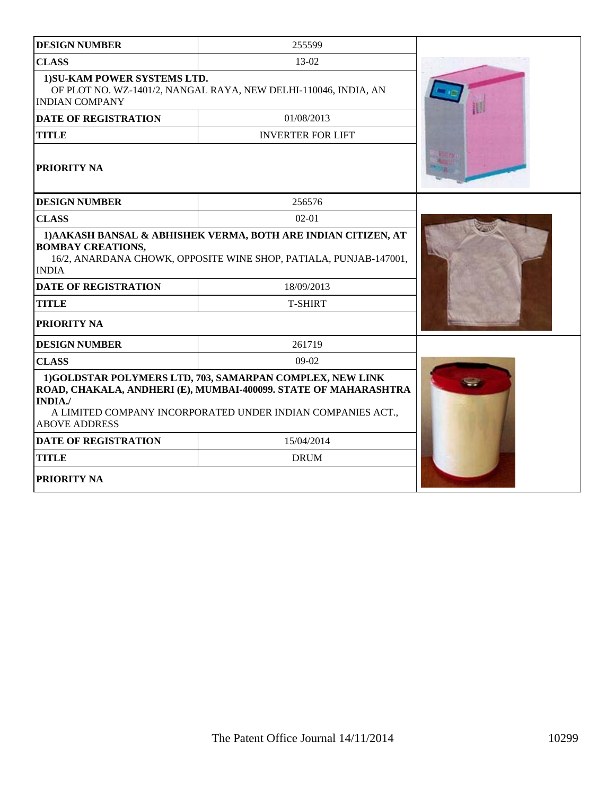| <b>DESIGN NUMBER</b>                                  | 255599                                                                                                                                                                                     |  |
|-------------------------------------------------------|--------------------------------------------------------------------------------------------------------------------------------------------------------------------------------------------|--|
| <b>CLASS</b>                                          | $13-02$                                                                                                                                                                                    |  |
| 1) SU-KAM POWER SYSTEMS LTD.<br><b>INDIAN COMPANY</b> | OF PLOT NO. WZ-1401/2, NANGAL RAYA, NEW DELHI-110046, INDIA, AN                                                                                                                            |  |
| <b>DATE OF REGISTRATION</b>                           | 01/08/2013                                                                                                                                                                                 |  |
| <b>TITLE</b>                                          | <b>INVERTER FOR LIFT</b>                                                                                                                                                                   |  |
| PRIORITY NA                                           |                                                                                                                                                                                            |  |
| <b>DESIGN NUMBER</b>                                  | 256576                                                                                                                                                                                     |  |
| <b>CLASS</b>                                          | $02-01$                                                                                                                                                                                    |  |
| <b>BOMBAY CREATIONS,</b><br><b>INDIA</b>              | 1) AAKASH BANSAL & ABHISHEK VERMA, BOTH ARE INDIAN CITIZEN, AT<br>16/2, ANARDANA CHOWK, OPPOSITE WINE SHOP, PATIALA, PUNJAB-147001,                                                        |  |
| <b>DATE OF REGISTRATION</b>                           | 18/09/2013                                                                                                                                                                                 |  |
| <b>TITLE</b>                                          | <b>T-SHIRT</b>                                                                                                                                                                             |  |
| PRIORITY NA                                           |                                                                                                                                                                                            |  |
| <b>DESIGN NUMBER</b>                                  | 261719                                                                                                                                                                                     |  |
| <b>CLASS</b>                                          | $09-02$                                                                                                                                                                                    |  |
| <b>INDIA./</b><br><b>ABOVE ADDRESS</b>                | 1)GOLDSTAR POLYMERS LTD, 703, SAMARPAN COMPLEX, NEW LINK<br>ROAD, CHAKALA, ANDHERI (E), MUMBAI-400099. STATE OF MAHARASHTRA<br>A LIMITED COMPANY INCORPORATED UNDER INDIAN COMPANIES ACT., |  |
| <b>DATE OF REGISTRATION</b>                           | 15/04/2014                                                                                                                                                                                 |  |
| <b>TITLE</b>                                          | <b>DRUM</b>                                                                                                                                                                                |  |
| <b>PRIORITY NA</b>                                    |                                                                                                                                                                                            |  |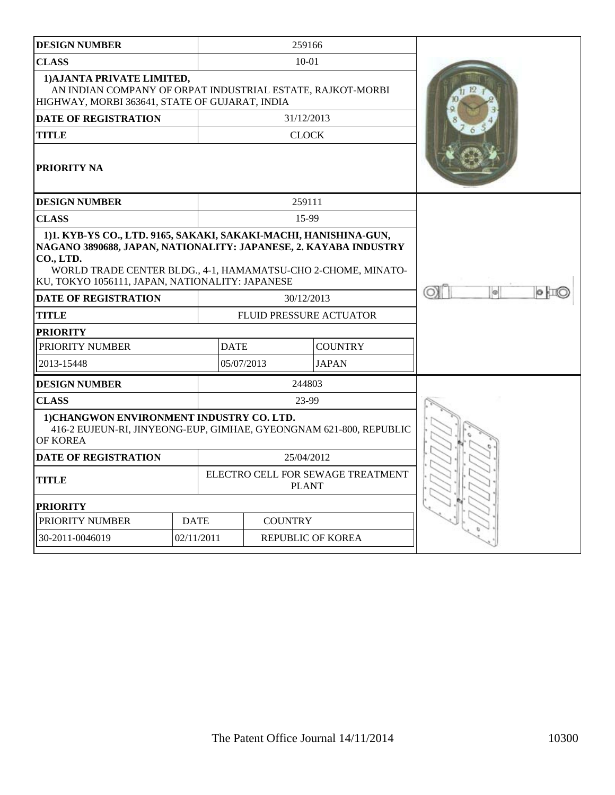| <b>DESIGN NUMBER</b>                                                                                                                       |                                                                                                                                                                                                                                                          | 259166                  |                                   |         |
|--------------------------------------------------------------------------------------------------------------------------------------------|----------------------------------------------------------------------------------------------------------------------------------------------------------------------------------------------------------------------------------------------------------|-------------------------|-----------------------------------|---------|
| <b>CLASS</b>                                                                                                                               |                                                                                                                                                                                                                                                          | $10 - 01$               |                                   |         |
| 1) AJANTA PRIVATE LIMITED,<br>AN INDIAN COMPANY OF ORPAT INDUSTRIAL ESTATE, RAJKOT-MORBI<br>HIGHWAY, MORBI 363641, STATE OF GUJARAT, INDIA |                                                                                                                                                                                                                                                          |                         |                                   |         |
| <b>DATE OF REGISTRATION</b>                                                                                                                |                                                                                                                                                                                                                                                          | 31/12/2013              |                                   |         |
| <b>TITLE</b>                                                                                                                               |                                                                                                                                                                                                                                                          | <b>CLOCK</b>            |                                   |         |
| <b>PRIORITY NA</b>                                                                                                                         |                                                                                                                                                                                                                                                          |                         |                                   |         |
| <b>DESIGN NUMBER</b>                                                                                                                       |                                                                                                                                                                                                                                                          | 259111                  |                                   |         |
| <b>CLASS</b>                                                                                                                               |                                                                                                                                                                                                                                                          | 15-99                   |                                   |         |
| CO., LTD.                                                                                                                                  | 1)1. KYB-YS CO., LTD. 9165, SAKAKI, SAKAKI-MACHI, HANISHINA-GUN,<br>NAGANO 3890688, JAPAN, NATIONALITY: JAPANESE, 2. KAYABA INDUSTRY<br>WORLD TRADE CENTER BLDG., 4-1, HAMAMATSU-CHO 2-CHOME, MINATO-<br>KU, TOKYO 1056111, JAPAN, NATIONALITY: JAPANESE |                         |                                   |         |
| <b>DATE OF REGISTRATION</b>                                                                                                                |                                                                                                                                                                                                                                                          | 30/12/2013              |                                   | ø<br>OХ |
| <b>TITLE</b>                                                                                                                               |                                                                                                                                                                                                                                                          | FLUID PRESSURE ACTUATOR |                                   |         |
| <b>PRIORITY</b>                                                                                                                            |                                                                                                                                                                                                                                                          |                         |                                   |         |
| PRIORITY NUMBER                                                                                                                            |                                                                                                                                                                                                                                                          | <b>DATE</b>             | <b>COUNTRY</b>                    |         |
| 2013-15448                                                                                                                                 |                                                                                                                                                                                                                                                          | 05/07/2013              | <b>JAPAN</b>                      |         |
| <b>DESIGN NUMBER</b>                                                                                                                       |                                                                                                                                                                                                                                                          | 244803                  |                                   |         |
| <b>CLASS</b>                                                                                                                               |                                                                                                                                                                                                                                                          | 23-99                   |                                   |         |
| 1) CHANGWON ENVIRONMENT INDUSTRY CO. LTD.<br>416-2 EUJEUN-RI, JINYEONG-EUP, GIMHAE, GYEONGNAM 621-800, REPUBLIC<br><b>OF KOREA</b>         |                                                                                                                                                                                                                                                          |                         |                                   |         |
| <b>DATE OF REGISTRATION</b>                                                                                                                |                                                                                                                                                                                                                                                          | 25/04/2012              |                                   |         |
| <b>TITLE</b>                                                                                                                               |                                                                                                                                                                                                                                                          | <b>PLANT</b>            | ELECTRO CELL FOR SEWAGE TREATMENT |         |
| <b>PRIORITY</b>                                                                                                                            |                                                                                                                                                                                                                                                          |                         |                                   |         |
| PRIORITY NUMBER                                                                                                                            | <b>DATE</b>                                                                                                                                                                                                                                              | <b>COUNTRY</b>          |                                   |         |
| 30-2011-0046019                                                                                                                            | 02/11/2011                                                                                                                                                                                                                                               |                         | <b>REPUBLIC OF KOREA</b>          |         |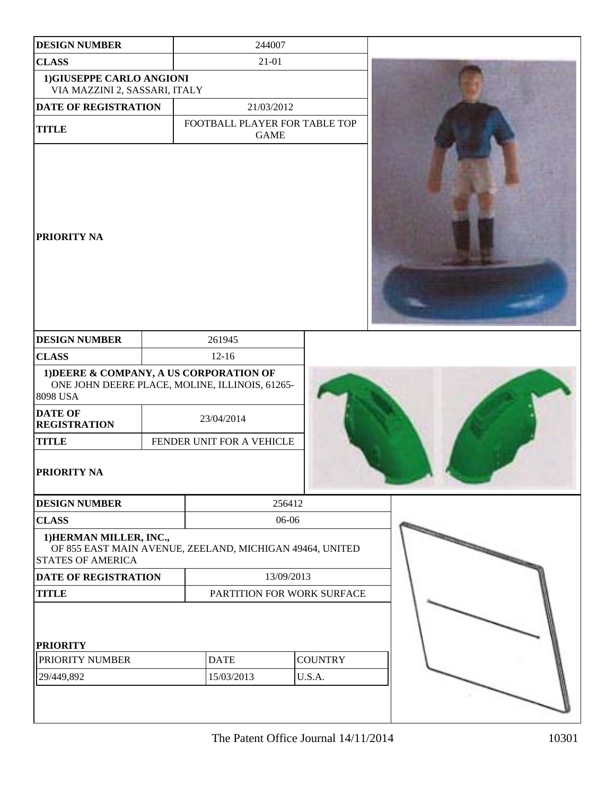| <b>DESIGN NUMBER</b>                                       | 244007                                                   |                          |  |
|------------------------------------------------------------|----------------------------------------------------------|--------------------------|--|
| <b>CLASS</b>                                               | $21 - 01$                                                |                          |  |
| 1) GIUSEPPE CARLO ANGIONI<br>VIA MAZZINI 2, SASSARI, ITALY |                                                          |                          |  |
| <b>DATE OF REGISTRATION</b>                                | 21/03/2012                                               |                          |  |
| <b>TITLE</b>                                               | FOOTBALL PLAYER FOR TABLE TOP<br><b>GAME</b>             |                          |  |
| <b>PRIORITY NA</b>                                         |                                                          |                          |  |
| <b>DESIGN NUMBER</b>                                       | 261945                                                   |                          |  |
| <b>CLASS</b>                                               | $12 - 16$                                                |                          |  |
| 1) DEERE & COMPANY, A US CORPORATION OF<br>8098 USA        | ONE JOHN DEERE PLACE, MOLINE, ILLINOIS, 61265-           |                          |  |
| <b>DATE OF</b><br><b>REGISTRATION</b>                      | 23/04/2014                                               |                          |  |
| <b>TITLE</b>                                               | FENDER UNIT FOR A VEHICLE                                |                          |  |
| <b>PRIORITY NA</b>                                         |                                                          |                          |  |
| <b>DESIGN NUMBER</b>                                       | 256412                                                   |                          |  |
| <b>CLASS</b>                                               | 06-06                                                    |                          |  |
| 1) HERMAN MILLER, INC.,<br><b>STATES OF AMERICA</b>        | OF 855 EAST MAIN AVENUE, ZEELAND, MICHIGAN 49464, UNITED |                          |  |
| <b>DATE OF REGISTRATION</b>                                | 13/09/2013                                               |                          |  |
| <b>TITLE</b>                                               | PARTITION FOR WORK SURFACE                               |                          |  |
| <b>PRIORITY</b><br>PRIORITY NUMBER<br>29/449,892           | <b>DATE</b><br>15/03/2013                                | <b>COUNTRY</b><br>U.S.A. |  |
|                                                            |                                                          |                          |  |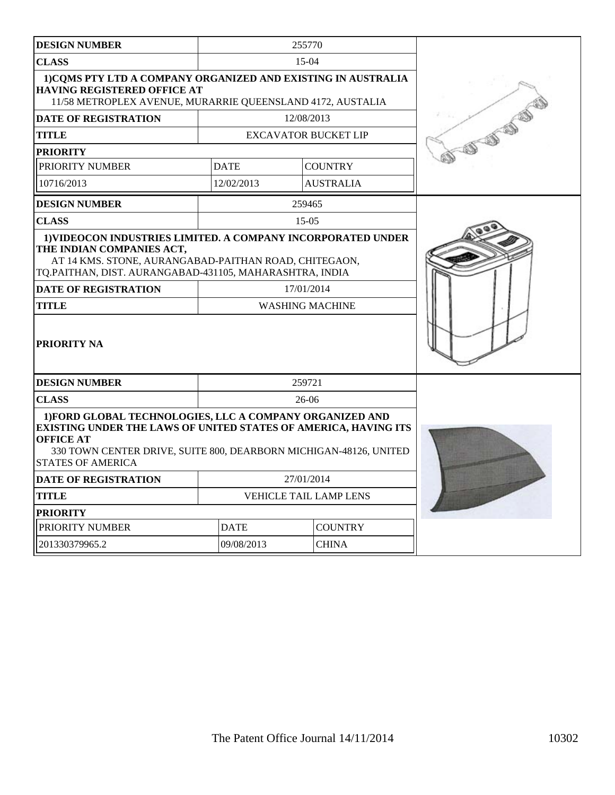|                                                                                                                                                                                                                                                         | 255770                      |                                                                                                                                                                                                                                                                                                                                                                          |
|---------------------------------------------------------------------------------------------------------------------------------------------------------------------------------------------------------------------------------------------------------|-----------------------------|--------------------------------------------------------------------------------------------------------------------------------------------------------------------------------------------------------------------------------------------------------------------------------------------------------------------------------------------------------------------------|
|                                                                                                                                                                                                                                                         | $15-04$                     |                                                                                                                                                                                                                                                                                                                                                                          |
|                                                                                                                                                                                                                                                         |                             |                                                                                                                                                                                                                                                                                                                                                                          |
|                                                                                                                                                                                                                                                         | 12/08/2013                  |                                                                                                                                                                                                                                                                                                                                                                          |
|                                                                                                                                                                                                                                                         |                             | CONSTRUCTION                                                                                                                                                                                                                                                                                                                                                             |
|                                                                                                                                                                                                                                                         |                             |                                                                                                                                                                                                                                                                                                                                                                          |
| <b>DATE</b>                                                                                                                                                                                                                                             | <b>COUNTRY</b>              |                                                                                                                                                                                                                                                                                                                                                                          |
| 12/02/2013                                                                                                                                                                                                                                              | <b>AUSTRALIA</b>            |                                                                                                                                                                                                                                                                                                                                                                          |
|                                                                                                                                                                                                                                                         | 259465                      |                                                                                                                                                                                                                                                                                                                                                                          |
|                                                                                                                                                                                                                                                         | $15-0.5$                    |                                                                                                                                                                                                                                                                                                                                                                          |
|                                                                                                                                                                                                                                                         | 17/01/2014                  |                                                                                                                                                                                                                                                                                                                                                                          |
|                                                                                                                                                                                                                                                         | 259721                      |                                                                                                                                                                                                                                                                                                                                                                          |
|                                                                                                                                                                                                                                                         | $26-06$                     |                                                                                                                                                                                                                                                                                                                                                                          |
| 1) FORD GLOBAL TECHNOLOGIES, LLC A COMPANY ORGANIZED AND<br><b>EXISTING UNDER THE LAWS OF UNITED STATES OF AMERICA, HAVING ITS</b><br><b>OFFICE AT</b><br>330 TOWN CENTER DRIVE, SUITE 800, DEARBORN MICHIGAN-48126, UNITED<br><b>STATES OF AMERICA</b> |                             |                                                                                                                                                                                                                                                                                                                                                                          |
| 27/01/2014                                                                                                                                                                                                                                              |                             |                                                                                                                                                                                                                                                                                                                                                                          |
| <b>VEHICLE TAIL LAMP LENS</b>                                                                                                                                                                                                                           |                             |                                                                                                                                                                                                                                                                                                                                                                          |
|                                                                                                                                                                                                                                                         |                             |                                                                                                                                                                                                                                                                                                                                                                          |
| <b>DATE</b><br><b>COUNTRY</b>                                                                                                                                                                                                                           |                             |                                                                                                                                                                                                                                                                                                                                                                          |
| 09/08/2013                                                                                                                                                                                                                                              | <b>CHINA</b>                |                                                                                                                                                                                                                                                                                                                                                                          |
|                                                                                                                                                                                                                                                         | HAVING REGISTERED OFFICE AT | 1) COMS PTY LTD A COMPANY ORGANIZED AND EXISTING IN AUSTRALIA<br>11/58 METROPLEX AVENUE, MURARRIE QUEENSLAND 4172, AUSTALIA<br><b>EXCAVATOR BUCKET LIP</b><br>1) VIDEOCON INDUSTRIES LIMITED. A COMPANY INCORPORATED UNDER<br>AT 14 KMS. STONE, AURANGABAD-PAITHAN ROAD, CHITEGAON,<br>TQ.PAITHAN, DIST. AURANGABAD-431105, MAHARASHTRA, INDIA<br><b>WASHING MACHINE</b> |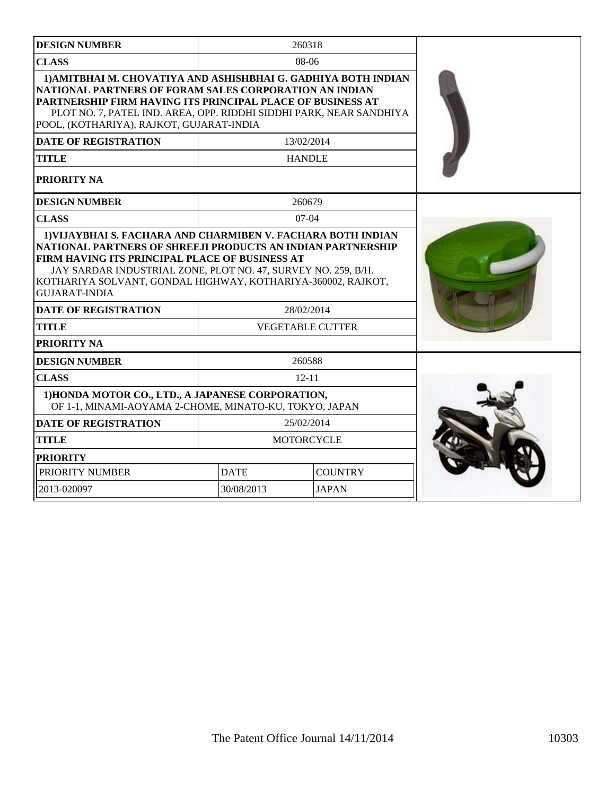| <b>DESIGN NUMBER</b>                                                                                                                                                                                                                                                                                      |             | 260318                  |  |
|-----------------------------------------------------------------------------------------------------------------------------------------------------------------------------------------------------------------------------------------------------------------------------------------------------------|-------------|-------------------------|--|
| <b>CLASS</b>                                                                                                                                                                                                                                                                                              |             | $08-06$                 |  |
| 1) AMITBHAI M. CHOVATIYA AND ASHISHBHAI G. GADHIYA BOTH INDIAN<br>NATIONAL PARTNERS OF FORAM SALES CORPORATION AN INDIAN<br>PARTNERSHIP FIRM HAVING ITS PRINCIPAL PLACE OF BUSINESS AT<br>PLOT NO. 7, PATEL IND. AREA, OPP. RIDDHI SIDDHI PARK, NEAR SANDHIYA<br>POOL, (KOTHARIYA), RAJKOT, GUJARAT-INDIA |             |                         |  |
| <b>DATE OF REGISTRATION</b>                                                                                                                                                                                                                                                                               |             | 13/02/2014              |  |
| <b>TITLE</b>                                                                                                                                                                                                                                                                                              |             | <b>HANDLE</b>           |  |
| <b>PRIORITY NA</b>                                                                                                                                                                                                                                                                                        |             |                         |  |
| <b>DESIGN NUMBER</b>                                                                                                                                                                                                                                                                                      |             | 260679                  |  |
| <b>CLASS</b>                                                                                                                                                                                                                                                                                              |             | $07-04$                 |  |
| FIRM HAVING ITS PRINCIPAL PLACE OF BUSINESS AT<br>JAY SARDAR INDUSTRIAL ZONE, PLOT NO. 47, SURVEY NO. 259, B/H.<br>KOTHARIYA SOLVANT, GONDAL HIGHWAY, KOTHARIYA-360002, RAJKOT,<br><b>GUJARAT-INDIA</b>                                                                                                   |             |                         |  |
| <b>DATE OF REGISTRATION</b>                                                                                                                                                                                                                                                                               |             | 28/02/2014              |  |
| <b>TITLE</b>                                                                                                                                                                                                                                                                                              |             | <b>VEGETABLE CUTTER</b> |  |
| PRIORITY NA                                                                                                                                                                                                                                                                                               |             |                         |  |
| <b>DESIGN NUMBER</b>                                                                                                                                                                                                                                                                                      |             | 260588                  |  |
| <b>CLASS</b>                                                                                                                                                                                                                                                                                              |             | $12 - 11$               |  |
| 1) HONDA MOTOR CO., LTD., A JAPANESE CORPORATION,<br>OF 1-1, MINAMI-AOYAMA 2-CHOME, MINATO-KU, TOKYO, JAPAN                                                                                                                                                                                               |             |                         |  |
| <b>DATE OF REGISTRATION</b>                                                                                                                                                                                                                                                                               |             | 25/02/2014              |  |
| <b>TITLE</b>                                                                                                                                                                                                                                                                                              |             | <b>MOTORCYCLE</b>       |  |
| <b>PRIORITY</b>                                                                                                                                                                                                                                                                                           |             |                         |  |
| PRIORITY NUMBER                                                                                                                                                                                                                                                                                           | <b>DATE</b> | <b>COUNTRY</b>          |  |
| 2013-020097                                                                                                                                                                                                                                                                                               | 30/08/2013  | <b>JAPAN</b>            |  |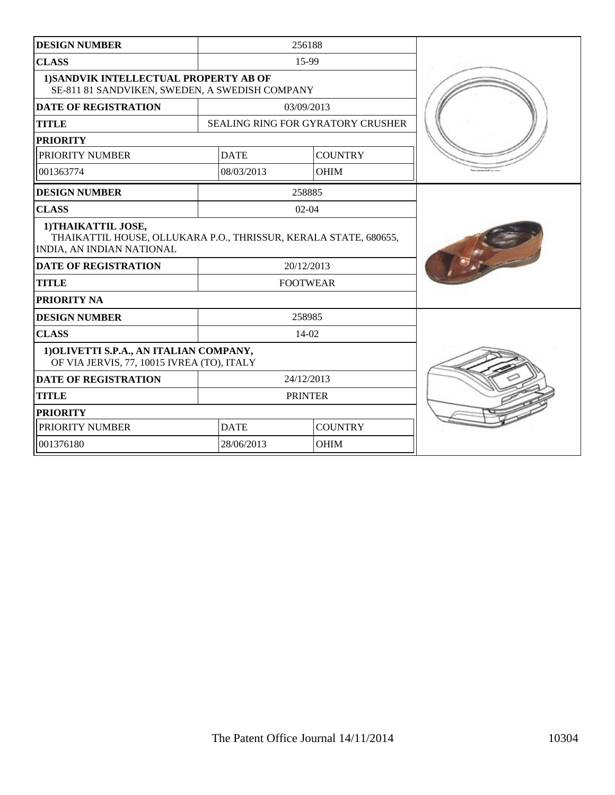| <b>DESIGN NUMBER</b>                                                                                                 |                               | 256188                                   |  |
|----------------------------------------------------------------------------------------------------------------------|-------------------------------|------------------------------------------|--|
| <b>CLASS</b>                                                                                                         |                               | 15-99                                    |  |
| 1) SANDVIK INTELLECTUAL PROPERTY AB OF<br>SE-811 81 SANDVIKEN, SWEDEN, A SWEDISH COMPANY                             |                               |                                          |  |
| <b>DATE OF REGISTRATION</b>                                                                                          |                               | 03/09/2013                               |  |
| <b>TITLE</b>                                                                                                         |                               | <b>SEALING RING FOR GYRATORY CRUSHER</b> |  |
| <b>PRIORITY</b>                                                                                                      |                               |                                          |  |
| PRIORITY NUMBER                                                                                                      | <b>DATE</b>                   | <b>COUNTRY</b>                           |  |
| 001363774                                                                                                            | 08/03/2013                    | <b>OHIM</b>                              |  |
| <b>DESIGN NUMBER</b>                                                                                                 |                               | 258885                                   |  |
| <b>CLASS</b>                                                                                                         |                               | $02 - 04$                                |  |
| 1) THAIKATTIL JOSE,<br>THAIKATTIL HOUSE, OLLUKARA P.O., THRISSUR, KERALA STATE, 680655,<br>INDIA, AN INDIAN NATIONAL |                               |                                          |  |
| <b>DATE OF REGISTRATION</b>                                                                                          |                               | 20/12/2013                               |  |
| <b>TITLE</b>                                                                                                         | <b>FOOTWEAR</b>               |                                          |  |
| <b>PRIORITY NA</b>                                                                                                   |                               |                                          |  |
| <b>DESIGN NUMBER</b>                                                                                                 |                               | 258985                                   |  |
| <b>CLASS</b>                                                                                                         |                               | 14-02                                    |  |
| 1) OLIVETTI S.P.A., AN ITALIAN COMPANY,<br>OF VIA JERVIS, 77, 10015 IVREA (TO), ITALY                                |                               |                                          |  |
| <b>DATE OF REGISTRATION</b>                                                                                          |                               | 24/12/2013                               |  |
| <b>TITLE</b>                                                                                                         | <b>PRINTER</b>                |                                          |  |
| <b>PRIORITY</b>                                                                                                      |                               |                                          |  |
| PRIORITY NUMBER                                                                                                      | <b>DATE</b><br><b>COUNTRY</b> |                                          |  |
| 001376180                                                                                                            | 28/06/2013                    | <b>OHIM</b>                              |  |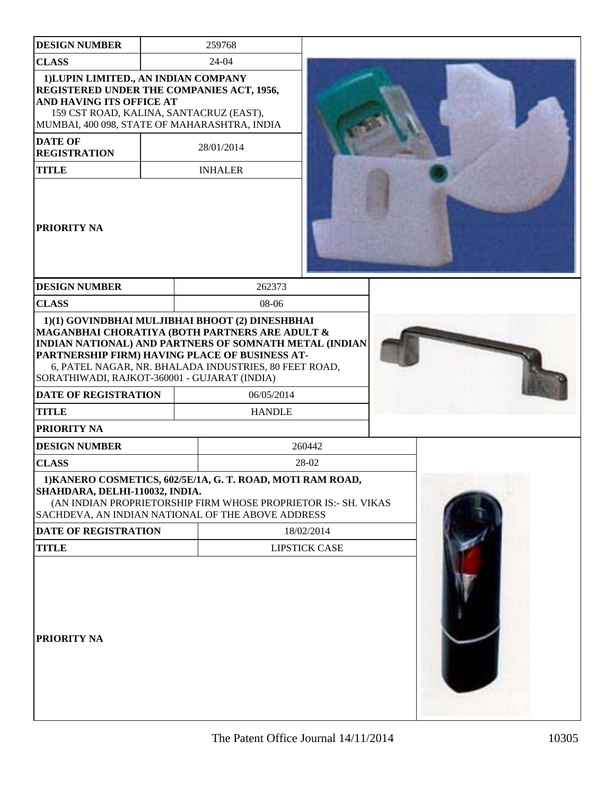| <b>DESIGN NUMBER</b>                                                                                                                                     | 259768                                                                                                                                                                                                              |                      |  |
|----------------------------------------------------------------------------------------------------------------------------------------------------------|---------------------------------------------------------------------------------------------------------------------------------------------------------------------------------------------------------------------|----------------------|--|
| <b>CLASS</b>                                                                                                                                             | 24-04                                                                                                                                                                                                               |                      |  |
| 1) LUPIN LIMITED., AN INDIAN COMPANY<br>REGISTERED UNDER THE COMPANIES ACT, 1956,<br>AND HAVING ITS OFFICE AT<br>159 CST ROAD, KALINA, SANTACRUZ (EAST), | MUMBAI, 400 098, STATE OF MAHARASHTRA, INDIA                                                                                                                                                                        |                      |  |
| <b>DATE OF</b><br><b>REGISTRATION</b>                                                                                                                    | 28/01/2014                                                                                                                                                                                                          |                      |  |
| <b>TITLE</b>                                                                                                                                             | <b>INHALER</b>                                                                                                                                                                                                      |                      |  |
| PRIORITY NA                                                                                                                                              |                                                                                                                                                                                                                     |                      |  |
| <b>DESIGN NUMBER</b>                                                                                                                                     | 262373                                                                                                                                                                                                              |                      |  |
| <b>CLASS</b>                                                                                                                                             | 08-06                                                                                                                                                                                                               |                      |  |
| SORATHIWADI, RAJKOT-360001 - GUJARAT (INDIA)                                                                                                             | MAGANBHAI CHORATIYA (BOTH PARTNERS ARE ADULT &<br>INDIAN NATIONAL) AND PARTNERS OF SOMNATH METAL (INDIAN<br>PARTNERSHIP FIRM) HAVING PLACE OF BUSINESS AT-<br>6, PATEL NAGAR, NR. BHALADA INDUSTRIES, 80 FEET ROAD, |                      |  |
| <b>DATE OF REGISTRATION</b>                                                                                                                              | 06/05/2014                                                                                                                                                                                                          |                      |  |
| <b>TITLE</b>                                                                                                                                             | <b>HANDLE</b>                                                                                                                                                                                                       |                      |  |
| PRIORITY NA                                                                                                                                              |                                                                                                                                                                                                                     |                      |  |
| <b>DESIGN NUMBER</b>                                                                                                                                     |                                                                                                                                                                                                                     | 260442               |  |
| <b>CLASS</b>                                                                                                                                             |                                                                                                                                                                                                                     | 28-02                |  |
| SHAHDARA, DELHI-110032, INDIA.                                                                                                                           | 1) KANERO COSMETICS, 602/5E/1A, G. T. ROAD, MOTI RAM ROAD,<br>(AN INDIAN PROPRIETORSHIP FIRM WHOSE PROPRIETOR IS:- SH. VIKAS<br>SACHDEVA, AN INDIAN NATIONAL OF THE ABOVE ADDRESS                                   |                      |  |
| DATE OF REGISTRATION                                                                                                                                     |                                                                                                                                                                                                                     | 18/02/2014           |  |
| <b>TITLE</b>                                                                                                                                             |                                                                                                                                                                                                                     | <b>LIPSTICK CASE</b> |  |
| PRIORITY NA                                                                                                                                              |                                                                                                                                                                                                                     |                      |  |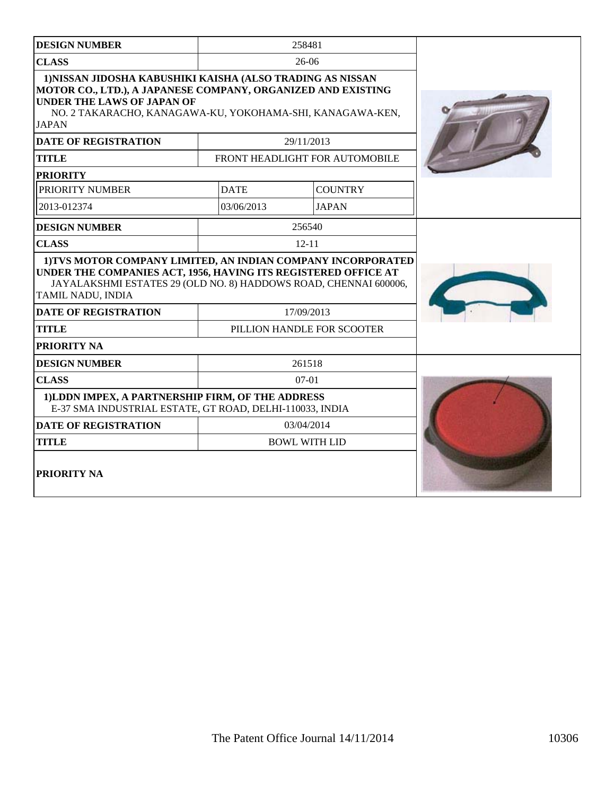| <b>DESIGN NUMBER</b>                                                                                                                                                                                                                         |                      | 258481                         |  |
|----------------------------------------------------------------------------------------------------------------------------------------------------------------------------------------------------------------------------------------------|----------------------|--------------------------------|--|
| <b>CLASS</b>                                                                                                                                                                                                                                 |                      | $26-06$                        |  |
| 1) NISSAN JIDOSHA KABUSHIKI KAISHA (ALSO TRADING AS NISSAN<br>MOTOR CO., LTD.), A JAPANESE COMPANY, ORGANIZED AND EXISTING<br><b>UNDER THE LAWS OF JAPAN OF</b><br>NO. 2 TAKARACHO, KANAGAWA-KU, YOKOHAMA-SHI, KANAGAWA-KEN,<br><b>JAPAN</b> |                      |                                |  |
| <b>DATE OF REGISTRATION</b>                                                                                                                                                                                                                  |                      | 29/11/2013                     |  |
| <b>TITLE</b>                                                                                                                                                                                                                                 |                      | FRONT HEADLIGHT FOR AUTOMOBILE |  |
| <b>PRIORITY</b>                                                                                                                                                                                                                              |                      |                                |  |
| PRIORITY NUMBER                                                                                                                                                                                                                              | <b>DATE</b>          | <b>COUNTRY</b>                 |  |
| 2013-012374                                                                                                                                                                                                                                  | 03/06/2013           | <b>JAPAN</b>                   |  |
| <b>DESIGN NUMBER</b>                                                                                                                                                                                                                         |                      | 256540                         |  |
| <b>CLASS</b>                                                                                                                                                                                                                                 |                      | $12 - 11$                      |  |
| 1) TVS MOTOR COMPANY LIMITED, AN INDIAN COMPANY INCORPORATED<br>UNDER THE COMPANIES ACT, 1956, HAVING ITS REGISTERED OFFICE AT<br>JAYALAKSHMI ESTATES 29 (OLD NO. 8) HADDOWS ROAD, CHENNAI 600006,<br>TAMIL NADU, INDIA                      |                      |                                |  |
| <b>DATE OF REGISTRATION</b>                                                                                                                                                                                                                  |                      | 17/09/2013                     |  |
| <b>TITLE</b>                                                                                                                                                                                                                                 |                      | PILLION HANDLE FOR SCOOTER     |  |
| PRIORITY NA                                                                                                                                                                                                                                  |                      |                                |  |
| <b>DESIGN NUMBER</b>                                                                                                                                                                                                                         |                      | 261518                         |  |
| <b>CLASS</b>                                                                                                                                                                                                                                 |                      | $07-01$                        |  |
| 1)LDDN IMPEX, A PARTNERSHIP FIRM, OF THE ADDRESS<br>E-37 SMA INDUSTRIAL ESTATE, GT ROAD, DELHI-110033, INDIA                                                                                                                                 |                      |                                |  |
| <b>DATE OF REGISTRATION</b>                                                                                                                                                                                                                  | 03/04/2014           |                                |  |
| <b>TITLE</b>                                                                                                                                                                                                                                 | <b>BOWL WITH LID</b> |                                |  |
| PRIORITY NA                                                                                                                                                                                                                                  |                      |                                |  |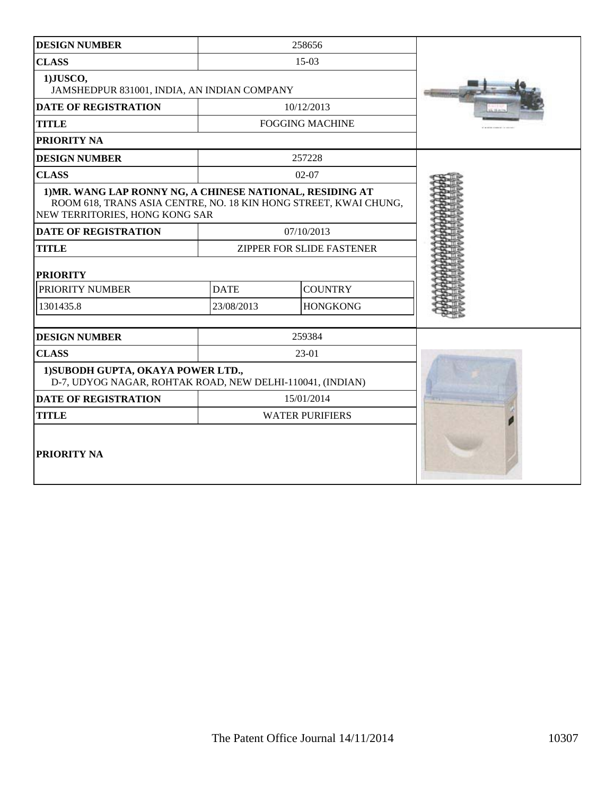| <b>DESIGN NUMBER</b>                                                                                                                                            |                        | 258656                    |  |
|-----------------------------------------------------------------------------------------------------------------------------------------------------------------|------------------------|---------------------------|--|
| <b>CLASS</b>                                                                                                                                                    |                        | 15-03                     |  |
| 1)JUSCO,<br>JAMSHEDPUR 831001, INDIA, AN INDIAN COMPANY                                                                                                         |                        |                           |  |
| <b>DATE OF REGISTRATION</b>                                                                                                                                     |                        | 10/12/2013                |  |
| <b>TITLE</b>                                                                                                                                                    | <b>FOGGING MACHINE</b> |                           |  |
| <b>PRIORITY NA</b>                                                                                                                                              |                        |                           |  |
| <b>DESIGN NUMBER</b>                                                                                                                                            |                        | 257228                    |  |
| <b>CLASS</b>                                                                                                                                                    |                        | $02 - 07$                 |  |
| 1) MR. WANG LAP RONNY NG, A CHINESE NATIONAL, RESIDING AT<br>ROOM 618, TRANS ASIA CENTRE, NO. 18 KIN HONG STREET, KWAI CHUNG,<br>NEW TERRITORIES, HONG KONG SAR |                        |                           |  |
| <b>DATE OF REGISTRATION</b>                                                                                                                                     |                        | 07/10/2013                |  |
| <b>TITLE</b>                                                                                                                                                    |                        | ZIPPER FOR SLIDE FASTENER |  |
| <b>PRIORITY</b>                                                                                                                                                 |                        |                           |  |
| PRIORITY NUMBER                                                                                                                                                 | <b>DATE</b>            | <b>COUNTRY</b>            |  |
| 1301435.8                                                                                                                                                       | 23/08/2013             | <b>HONGKONG</b>           |  |
| <b>DESIGN NUMBER</b>                                                                                                                                            |                        | 259384                    |  |
| <b>CLASS</b>                                                                                                                                                    |                        | $23-01$                   |  |
| 1) SUBODH GUPTA, OKAYA POWER LTD.,<br>D-7, UDYOG NAGAR, ROHTAK ROAD, NEW DELHI-110041, (INDIAN)                                                                 |                        |                           |  |
| <b>DATE OF REGISTRATION</b>                                                                                                                                     | 15/01/2014             |                           |  |
| <b>TITLE</b>                                                                                                                                                    | <b>WATER PURIFIERS</b> |                           |  |
| PRIORITY NA                                                                                                                                                     |                        |                           |  |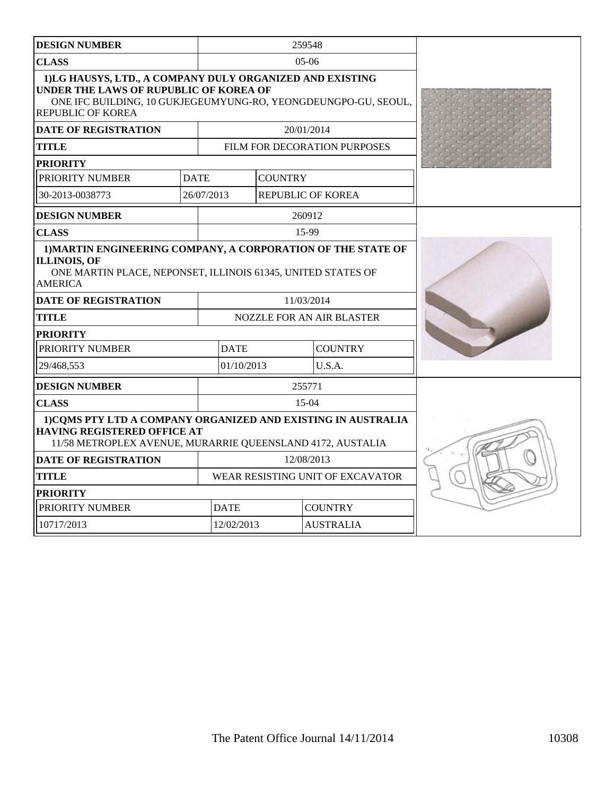| <b>DESIGN NUMBER</b>                                                                                                                                                                      |             |                                  |                | 259548                           |  |  |
|-------------------------------------------------------------------------------------------------------------------------------------------------------------------------------------------|-------------|----------------------------------|----------------|----------------------------------|--|--|
| <b>CLASS</b>                                                                                                                                                                              |             |                                  |                | $05-06$                          |  |  |
| 1)LG HAUSYS, LTD., A COMPANY DULY ORGANIZED AND EXISTING<br>UNDER THE LAWS OF RUPUBLIC OF KOREA OF<br>ONE IFC BUILDING, 10 GUKJEGEUMYUNG-RO, YEONGDEUNGPO-GU, SEOUL,<br>REPUBLIC OF KOREA |             |                                  |                |                                  |  |  |
| <b>DATE OF REGISTRATION</b>                                                                                                                                                               |             |                                  |                | 20/01/2014                       |  |  |
| <b>TITLE</b>                                                                                                                                                                              |             |                                  |                | FILM FOR DECORATION PURPOSES     |  |  |
| <b>PRIORITY</b>                                                                                                                                                                           |             |                                  |                |                                  |  |  |
| PRIORITY NUMBER                                                                                                                                                                           | <b>DATE</b> |                                  | <b>COUNTRY</b> |                                  |  |  |
| 30-2013-0038773                                                                                                                                                                           | 26/07/2013  |                                  |                | <b>REPUBLIC OF KOREA</b>         |  |  |
| <b>DESIGN NUMBER</b>                                                                                                                                                                      |             |                                  |                | 260912                           |  |  |
| <b>CLASS</b>                                                                                                                                                                              |             |                                  |                | 15-99                            |  |  |
| 1) MARTIN ENGINEERING COMPANY, A CORPORATION OF THE STATE OF<br><b>ILLINOIS, OF</b><br>ONE MARTIN PLACE, NEPONSET, ILLINOIS 61345, UNITED STATES OF<br><b>AMERICA</b>                     |             |                                  |                |                                  |  |  |
| <b>DATE OF REGISTRATION</b>                                                                                                                                                               |             |                                  |                | 11/03/2014                       |  |  |
| <b>TITLE</b>                                                                                                                                                                              |             |                                  |                | <b>NOZZLE FOR AN AIR BLASTER</b> |  |  |
| <b>PRIORITY</b>                                                                                                                                                                           |             |                                  |                |                                  |  |  |
| PRIORITY NUMBER                                                                                                                                                                           |             | <b>DATE</b>                      |                | <b>COUNTRY</b>                   |  |  |
| 29/468,553                                                                                                                                                                                |             | 01/10/2013                       |                | U.S.A.                           |  |  |
| <b>DESIGN NUMBER</b>                                                                                                                                                                      |             |                                  |                | 255771                           |  |  |
| <b>CLASS</b>                                                                                                                                                                              |             |                                  |                | $15-04$                          |  |  |
| 1) COMS PTY LTD A COMPANY ORGANIZED AND EXISTING IN AUSTRALIA<br><b>HAVING REGISTERED OFFICE AT</b><br>11/58 METROPLEX AVENUE, MURARRIE QUEENSLAND 4172, AUSTALIA                         |             |                                  |                |                                  |  |  |
| <b>DATE OF REGISTRATION</b>                                                                                                                                                               |             | 12/08/2013                       |                |                                  |  |  |
| <b>TITLE</b>                                                                                                                                                                              |             | WEAR RESISTING UNIT OF EXCAVATOR |                |                                  |  |  |
| <b>PRIORITY</b>                                                                                                                                                                           |             |                                  |                |                                  |  |  |
| PRIORITY NUMBER                                                                                                                                                                           |             | <b>DATE</b>                      |                | <b>COUNTRY</b>                   |  |  |
| 10717/2013                                                                                                                                                                                |             | 12/02/2013                       |                | <b>AUSTRALIA</b>                 |  |  |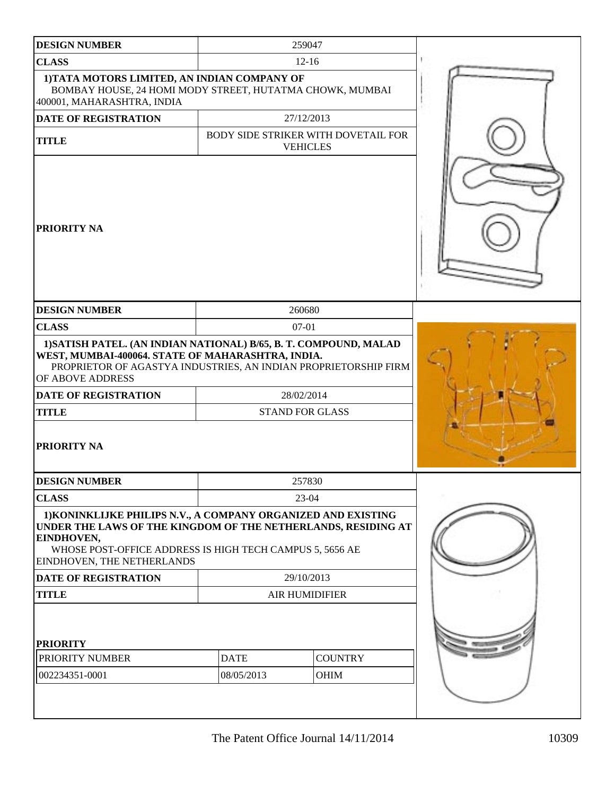| <b>DESIGN NUMBER</b>                                                                                                                                                                                                                                                               |                           | 259047                                                 |  |
|------------------------------------------------------------------------------------------------------------------------------------------------------------------------------------------------------------------------------------------------------------------------------------|---------------------------|--------------------------------------------------------|--|
| <b>CLASS</b>                                                                                                                                                                                                                                                                       |                           | $12 - 16$                                              |  |
| 1) TATA MOTORS LIMITED, AN INDIAN COMPANY OF<br>BOMBAY HOUSE, 24 HOMI MODY STREET, HUTATMA CHOWK, MUMBAI<br>400001, MAHARASHTRA, INDIA                                                                                                                                             |                           |                                                        |  |
| <b>DATE OF REGISTRATION</b>                                                                                                                                                                                                                                                        |                           | 27/12/2013                                             |  |
| <b>TITLE</b>                                                                                                                                                                                                                                                                       |                           | BODY SIDE STRIKER WITH DOVETAIL FOR<br><b>VEHICLES</b> |  |
| <b>PRIORITY NA</b>                                                                                                                                                                                                                                                                 |                           |                                                        |  |
| <b>DESIGN NUMBER</b>                                                                                                                                                                                                                                                               |                           | 260680                                                 |  |
| <b>CLASS</b>                                                                                                                                                                                                                                                                       |                           | $07-01$                                                |  |
| 1) SATISH PATEL. (AN INDIAN NATIONAL) B/65, B. T. COMPOUND, MALAD<br>WEST, MUMBAI-400064. STATE OF MAHARASHTRA, INDIA.<br>PROPRIETOR OF AGASTYA INDUSTRIES, AN INDIAN PROPRIETORSHIP FIRM<br>OF ABOVE ADDRESS<br><b>DATE OF REGISTRATION</b><br><b>TITLE</b><br><b>PRIORITY NA</b> |                           | 28/02/2014<br><b>STAND FOR GLASS</b>                   |  |
| <b>DESIGN NUMBER</b>                                                                                                                                                                                                                                                               |                           | 257830                                                 |  |
| <b>CLASS</b>                                                                                                                                                                                                                                                                       |                           | 23-04                                                  |  |
| 1) KONINKLIJKE PHILIPS N.V., A COMPANY ORGANIZED AND EXISTING<br>UNDER THE LAWS OF THE KINGDOM OF THE NETHERLANDS, RESIDING AT<br>EINDHOVEN,<br>WHOSE POST-OFFICE ADDRESS IS HIGH TECH CAMPUS 5, 5656 AE<br>EINDHOVEN, THE NETHERLANDS                                             |                           |                                                        |  |
| <b>DATE OF REGISTRATION</b>                                                                                                                                                                                                                                                        | 29/10/2013                |                                                        |  |
| <b>TITLE</b>                                                                                                                                                                                                                                                                       | <b>AIR HUMIDIFIER</b>     |                                                        |  |
| <b>PRIORITY</b><br>PRIORITY NUMBER<br>002234351-0001                                                                                                                                                                                                                               | <b>DATE</b><br>08/05/2013 | <b>COUNTRY</b><br>OHIM                                 |  |
|                                                                                                                                                                                                                                                                                    |                           |                                                        |  |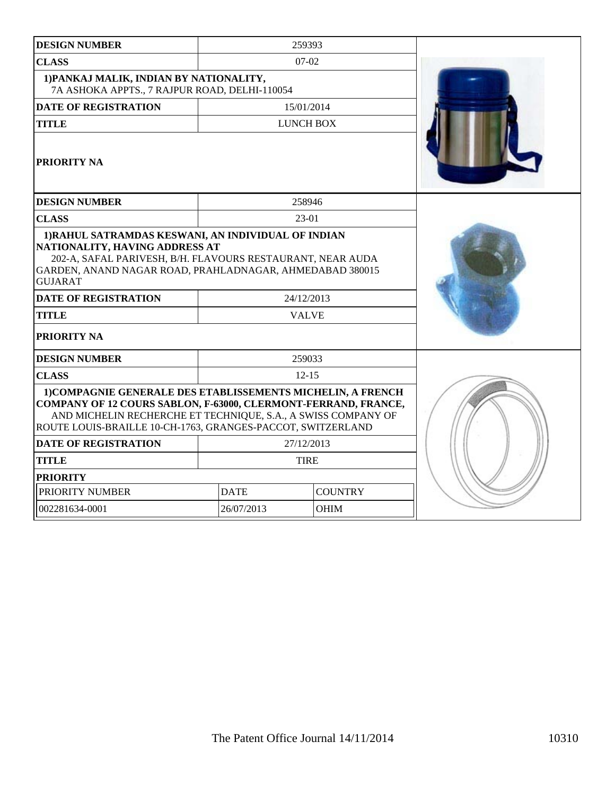| <b>DESIGN NUMBER</b>                                                                                                                                                                                                                                                          |             | 259393           |  |
|-------------------------------------------------------------------------------------------------------------------------------------------------------------------------------------------------------------------------------------------------------------------------------|-------------|------------------|--|
| <b>CLASS</b>                                                                                                                                                                                                                                                                  |             | $07-02$          |  |
| 1) PANKAJ MALIK, INDIAN BY NATIONALITY,<br>7A ASHOKA APPTS., 7 RAJPUR ROAD, DELHI-110054                                                                                                                                                                                      |             |                  |  |
| <b>DATE OF REGISTRATION</b>                                                                                                                                                                                                                                                   |             | 15/01/2014       |  |
| <b>TITLE</b>                                                                                                                                                                                                                                                                  |             | <b>LUNCH BOX</b> |  |
| <b>PRIORITY NA</b>                                                                                                                                                                                                                                                            |             |                  |  |
| <b>DESIGN NUMBER</b>                                                                                                                                                                                                                                                          |             | 258946           |  |
| <b>CLASS</b>                                                                                                                                                                                                                                                                  |             | 23-01            |  |
| NATIONALITY, HAVING ADDRESS AT<br>202-A, SAFAL PARIVESH, B/H. FLAVOURS RESTAURANT, NEAR AUDA<br>GARDEN, ANAND NAGAR ROAD, PRAHLADNAGAR, AHMEDABAD 380015<br><b>GUJARAT</b><br><b>DATE OF REGISTRATION</b><br>24/12/2013<br><b>TITLE</b><br><b>VALVE</b><br><b>PRIORITY NA</b> |             |                  |  |
| <b>DESIGN NUMBER</b>                                                                                                                                                                                                                                                          |             | 259033           |  |
| <b>CLASS</b>                                                                                                                                                                                                                                                                  |             | $12 - 15$        |  |
| 1) COMPAGNIE GENERALE DES ETABLISSEMENTS MICHELIN, A FRENCH<br>COMPANY OF 12 COURS SABLON, F-63000, CLERMONT-FERRAND, FRANCE,<br>AND MICHELIN RECHERCHE ET TECHNIQUE, S.A., A SWISS COMPANY OF<br>ROUTE LOUIS-BRAILLE 10-CH-1763, GRANGES-PACCOT, SWITZERLAND                 |             |                  |  |
| <b>DATE OF REGISTRATION</b>                                                                                                                                                                                                                                                   |             | 27/12/2013       |  |
| <b>TITLE</b>                                                                                                                                                                                                                                                                  | <b>TIRE</b> |                  |  |
| <b>PRIORITY</b>                                                                                                                                                                                                                                                               |             |                  |  |
| PRIORITY NUMBER                                                                                                                                                                                                                                                               | <b>DATE</b> | <b>COUNTRY</b>   |  |
| 002281634-0001                                                                                                                                                                                                                                                                | 26/07/2013  | <b>OHIM</b>      |  |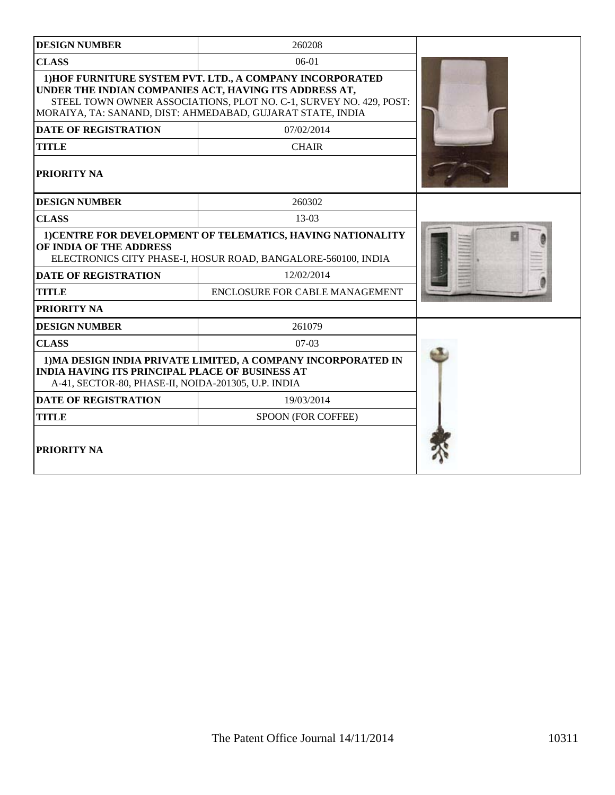| <b>DESIGN NUMBER</b>                                                                                                                                    | 260208                                                                                                                                                                                        |  |
|---------------------------------------------------------------------------------------------------------------------------------------------------------|-----------------------------------------------------------------------------------------------------------------------------------------------------------------------------------------------|--|
| <b>CLASS</b>                                                                                                                                            | $06-01$                                                                                                                                                                                       |  |
| UNDER THE INDIAN COMPANIES ACT, HAVING ITS ADDRESS AT,                                                                                                  | 1) HOF FURNITURE SYSTEM PVT. LTD., A COMPANY INCORPORATED<br>STEEL TOWN OWNER ASSOCIATIONS, PLOT NO. C-1, SURVEY NO. 429, POST:<br>MORAIYA, TA: SANAND, DIST: AHMEDABAD, GUJARAT STATE, INDIA |  |
| <b>DATE OF REGISTRATION</b>                                                                                                                             | 07/02/2014                                                                                                                                                                                    |  |
| <b>TITLE</b>                                                                                                                                            | <b>CHAIR</b>                                                                                                                                                                                  |  |
| PRIORITY NA                                                                                                                                             |                                                                                                                                                                                               |  |
| <b>DESIGN NUMBER</b>                                                                                                                                    | 260302                                                                                                                                                                                        |  |
| <b>CLASS</b>                                                                                                                                            | 13-03                                                                                                                                                                                         |  |
| 1) CENTRE FOR DEVELOPMENT OF TELEMATICS, HAVING NATIONALITY<br>OF INDIA OF THE ADDRESS<br>ELECTRONICS CITY PHASE-I, HOSUR ROAD, BANGALORE-560100, INDIA |                                                                                                                                                                                               |  |
| <b>DATE OF REGISTRATION</b>                                                                                                                             | 12/02/2014                                                                                                                                                                                    |  |
| <b>TITLE</b>                                                                                                                                            | ENCLOSURE FOR CABLE MANAGEMENT                                                                                                                                                                |  |
| PRIORITY NA                                                                                                                                             |                                                                                                                                                                                               |  |
| <b>DESIGN NUMBER</b>                                                                                                                                    | 261079                                                                                                                                                                                        |  |
| <b>CLASS</b>                                                                                                                                            | $07-03$                                                                                                                                                                                       |  |
| <b>INDIA HAVING ITS PRINCIPAL PLACE OF BUSINESS AT</b><br>A-41, SECTOR-80, PHASE-II, NOIDA-201305, U.P. INDIA                                           | 1) MA DESIGN INDIA PRIVATE LIMITED, A COMPANY INCORPORATED IN                                                                                                                                 |  |
| <b>DATE OF REGISTRATION</b>                                                                                                                             | 19/03/2014                                                                                                                                                                                    |  |
| <b>TITLE</b>                                                                                                                                            | SPOON (FOR COFFEE)                                                                                                                                                                            |  |
| PRIORITY NA                                                                                                                                             |                                                                                                                                                                                               |  |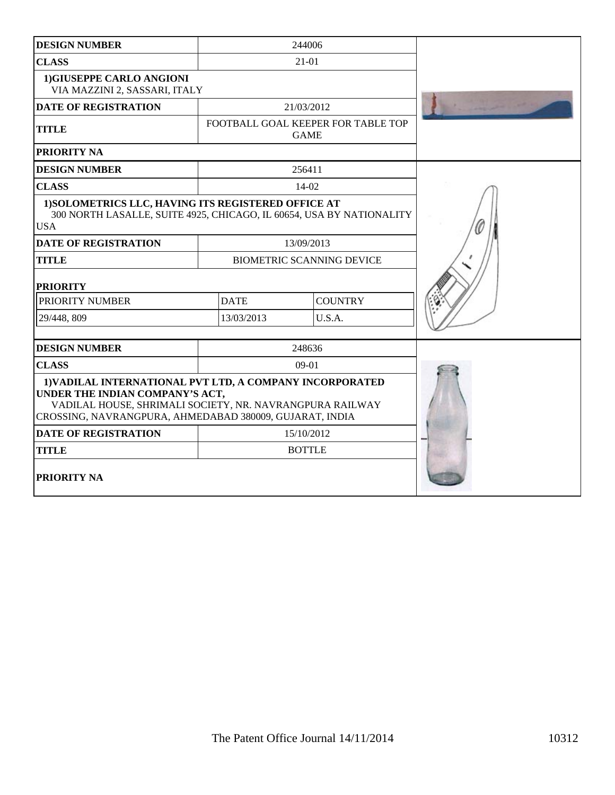| <b>DESIGN NUMBER</b>                                                                                                                                                                                               |             | 244006                                            |  |
|--------------------------------------------------------------------------------------------------------------------------------------------------------------------------------------------------------------------|-------------|---------------------------------------------------|--|
| <b>CLASS</b>                                                                                                                                                                                                       |             | $21 - 01$                                         |  |
| 1) GIUSEPPE CARLO ANGIONI<br>VIA MAZZINI 2, SASSARI, ITALY                                                                                                                                                         |             |                                                   |  |
| <b>DATE OF REGISTRATION</b>                                                                                                                                                                                        |             | 21/03/2012                                        |  |
| <b>TITLE</b>                                                                                                                                                                                                       |             | FOOTBALL GOAL KEEPER FOR TABLE TOP<br><b>GAME</b> |  |
| <b>PRIORITY NA</b>                                                                                                                                                                                                 |             |                                                   |  |
| <b>DESIGN NUMBER</b>                                                                                                                                                                                               |             | 256411                                            |  |
| <b>CLASS</b>                                                                                                                                                                                                       |             | 14-02                                             |  |
| 1) SOLOMETRICS LLC, HAVING ITS REGISTERED OFFICE AT<br>300 NORTH LASALLE, SUITE 4925, CHICAGO, IL 60654, USA BY NATIONALITY<br><b>USA</b>                                                                          |             |                                                   |  |
| <b>DATE OF REGISTRATION</b>                                                                                                                                                                                        |             | 13/09/2013                                        |  |
| <b>TITLE</b>                                                                                                                                                                                                       |             | <b>BIOMETRIC SCANNING DEVICE</b>                  |  |
| <b>PRIORITY</b>                                                                                                                                                                                                    |             |                                                   |  |
| PRIORITY NUMBER                                                                                                                                                                                                    | <b>DATE</b> | <b>COUNTRY</b>                                    |  |
| 29/448, 809                                                                                                                                                                                                        | 13/03/2013  | U.S.A.                                            |  |
| <b>DESIGN NUMBER</b>                                                                                                                                                                                               |             | 248636                                            |  |
| <b>CLASS</b>                                                                                                                                                                                                       |             | $09-01$                                           |  |
| 1) VADILAL INTERNATIONAL PVT LTD, A COMPANY INCORPORATED<br>UNDER THE INDIAN COMPANY'S ACT,<br>VADILAL HOUSE, SHRIMALI SOCIETY, NR. NAVRANGPURA RAILWAY<br>CROSSING, NAVRANGPURA, AHMEDABAD 380009, GUJARAT, INDIA |             |                                                   |  |
| <b>DATE OF REGISTRATION</b>                                                                                                                                                                                        |             | 15/10/2012                                        |  |
| <b>TITLE</b>                                                                                                                                                                                                       |             | <b>BOTTLE</b>                                     |  |
| <b>PRIORITY NA</b>                                                                                                                                                                                                 |             |                                                   |  |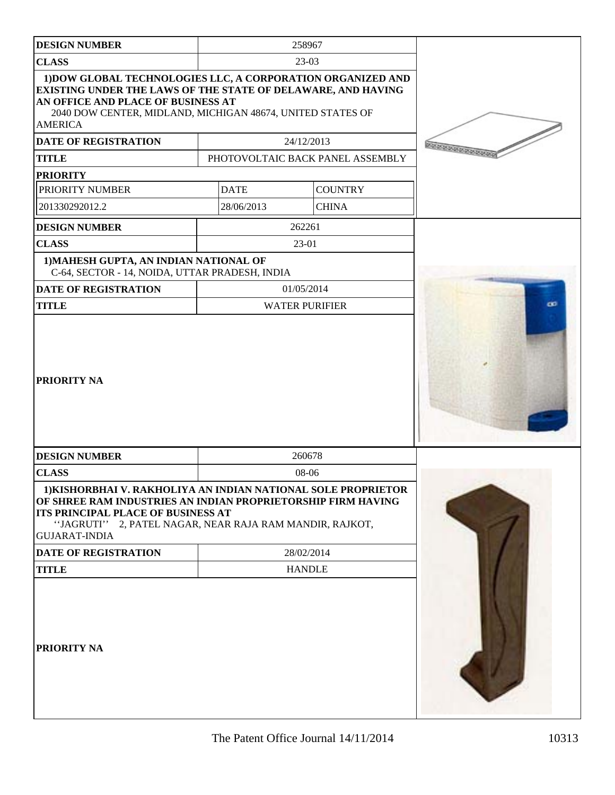| <b>DESIGN NUMBER</b>                                                                                                                                                                                                                                   |             | 258967                           |              |
|--------------------------------------------------------------------------------------------------------------------------------------------------------------------------------------------------------------------------------------------------------|-------------|----------------------------------|--------------|
| <b>CLASS</b>                                                                                                                                                                                                                                           |             | $23-03$                          |              |
| 1) DOW GLOBAL TECHNOLOGIES LLC, A CORPORATION ORGANIZED AND<br>EXISTING UNDER THE LAWS OF THE STATE OF DELAWARE, AND HAVING<br>AN OFFICE AND PLACE OF BUSINESS AT<br>2040 DOW CENTER, MIDLAND, MICHIGAN 48674, UNITED STATES OF<br><b>AMERICA</b>      |             |                                  |              |
| <b>DATE OF REGISTRATION</b>                                                                                                                                                                                                                            |             | 24/12/2013                       |              |
| <b>TITLE</b>                                                                                                                                                                                                                                           |             | PHOTOVOLTAIC BACK PANEL ASSEMBLY | 200000000000 |
| <b>PRIORITY</b>                                                                                                                                                                                                                                        |             |                                  |              |
| PRIORITY NUMBER                                                                                                                                                                                                                                        | <b>DATE</b> | <b>COUNTRY</b>                   |              |
| 201330292012.2                                                                                                                                                                                                                                         | 28/06/2013  | <b>CHINA</b>                     |              |
| <b>DESIGN NUMBER</b>                                                                                                                                                                                                                                   |             | 262261                           |              |
| <b>CLASS</b>                                                                                                                                                                                                                                           |             | $23-01$                          |              |
| 1) MAHESH GUPTA, AN INDIAN NATIONAL OF<br>C-64, SECTOR - 14, NOIDA, UTTAR PRADESH, INDIA                                                                                                                                                               |             |                                  |              |
| DATE OF REGISTRATION                                                                                                                                                                                                                                   |             | 01/05/2014                       |              |
| <b>TITLE</b>                                                                                                                                                                                                                                           |             | <b>WATER PURIFIER</b>            | œ            |
| <b>PRIORITY NA</b>                                                                                                                                                                                                                                     |             |                                  |              |
| <b>DESIGN NUMBER</b>                                                                                                                                                                                                                                   |             | 260678                           |              |
| <b>CLASS</b>                                                                                                                                                                                                                                           |             | 08-06                            |              |
| 1) KISHORBHAI V. RAKHOLIYA AN INDIAN NATIONAL SOLE PROPRIETOR<br>OF SHREE RAM INDUSTRIES AN INDIAN PROPRIETORSHIP FIRM HAVING<br>ITS PRINCIPAL PLACE OF BUSINESS AT<br>"JAGRUTI" 2, PATEL NAGAR, NEAR RAJA RAM MANDIR, RAJKOT,<br><b>GUJARAT-INDIA</b> |             |                                  |              |
| DATE OF REGISTRATION                                                                                                                                                                                                                                   |             | 28/02/2014                       |              |
| <b>TITLE</b>                                                                                                                                                                                                                                           |             | <b>HANDLE</b>                    |              |
| <b>PRIORITY NA</b>                                                                                                                                                                                                                                     |             |                                  |              |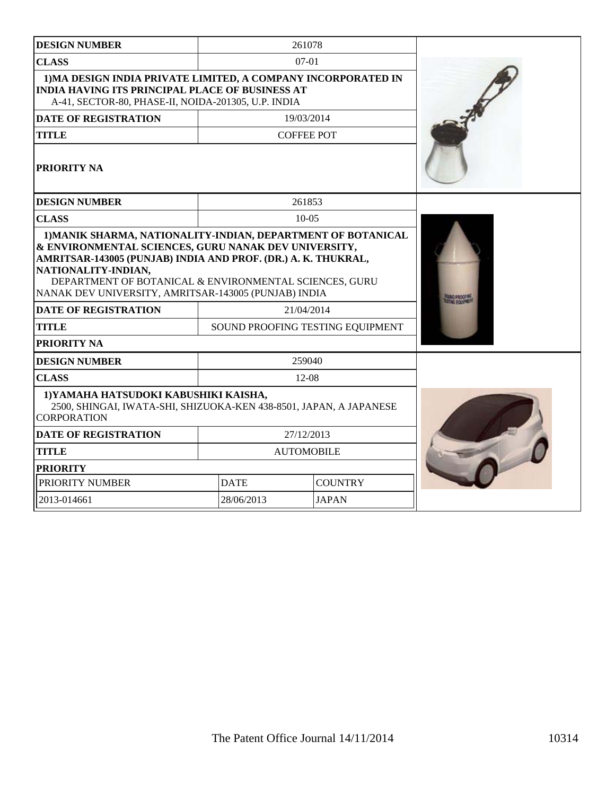| <b>DESIGN NUMBER</b>                                                                                                                                                                                                                                |                   | 261078                           |  |
|-----------------------------------------------------------------------------------------------------------------------------------------------------------------------------------------------------------------------------------------------------|-------------------|----------------------------------|--|
| <b>CLASS</b>                                                                                                                                                                                                                                        |                   | $07-01$                          |  |
| 1) MA DESIGN INDIA PRIVATE LIMITED, A COMPANY INCORPORATED IN<br><b>INDIA HAVING ITS PRINCIPAL PLACE OF BUSINESS AT</b><br>A-41, SECTOR-80, PHASE-II, NOIDA-201305, U.P. INDIA                                                                      |                   |                                  |  |
| <b>DATE OF REGISTRATION</b>                                                                                                                                                                                                                         |                   | 19/03/2014                       |  |
| <b>TITLE</b>                                                                                                                                                                                                                                        |                   | <b>COFFEE POT</b>                |  |
| <b>PRIORITY NA</b>                                                                                                                                                                                                                                  |                   |                                  |  |
| <b>DESIGN NUMBER</b>                                                                                                                                                                                                                                |                   | 261853                           |  |
| <b>CLASS</b>                                                                                                                                                                                                                                        |                   | $10-0.5$                         |  |
| AMRITSAR-143005 (PUNJAB) INDIA AND PROF. (DR.) A. K. THUKRAL,<br>NATIONALITY-INDIAN,<br>DEPARTMENT OF BOTANICAL & ENVIRONMENTAL SCIENCES, GURU<br>NANAK DEV UNIVERSITY, AMRITSAR-143005 (PUNJAB) INDIA<br><b>DATE OF REGISTRATION</b><br>21/04/2014 |                   |                                  |  |
| <b>TITLE</b>                                                                                                                                                                                                                                        |                   | SOUND PROOFING TESTING EQUIPMENT |  |
| <b>PRIORITY NA</b>                                                                                                                                                                                                                                  |                   |                                  |  |
| <b>DESIGN NUMBER</b>                                                                                                                                                                                                                                |                   | 259040                           |  |
| <b>CLASS</b>                                                                                                                                                                                                                                        |                   | $12 - 08$                        |  |
| 1) YAMAHA HATSUDOKI KABUSHIKI KAISHA,<br>2500, SHINGAI, IWATA-SHI, SHIZUOKA-KEN 438-8501, JAPAN, A JAPANESE<br><b>CORPORATION</b>                                                                                                                   |                   |                                  |  |
| <b>DATE OF REGISTRATION</b>                                                                                                                                                                                                                         | 27/12/2013        |                                  |  |
| <b>TITLE</b>                                                                                                                                                                                                                                        | <b>AUTOMOBILE</b> |                                  |  |
| <b>PRIORITY</b>                                                                                                                                                                                                                                     |                   |                                  |  |
| PRIORITY NUMBER                                                                                                                                                                                                                                     | <b>DATE</b>       | <b>COUNTRY</b>                   |  |
| 2013-014661                                                                                                                                                                                                                                         | 28/06/2013        | <b>JAPAN</b>                     |  |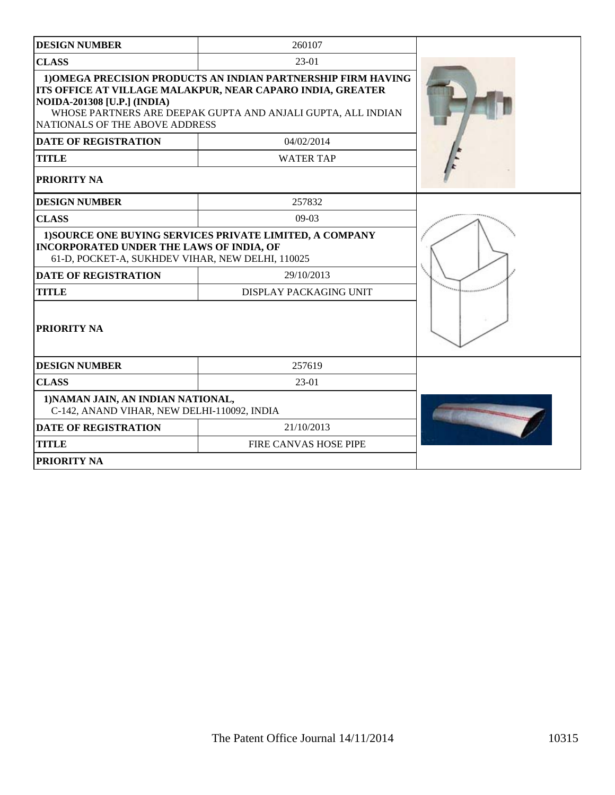| <b>DESIGN NUMBER</b>                                                                                | 260107                                                                                                                                                                                      |  |
|-----------------------------------------------------------------------------------------------------|---------------------------------------------------------------------------------------------------------------------------------------------------------------------------------------------|--|
| <b>CLASS</b>                                                                                        | $23-01$                                                                                                                                                                                     |  |
| <b>NOIDA-201308 [U.P.] (INDIA)</b><br>NATIONALS OF THE ABOVE ADDRESS                                | 1) OMEGA PRECISION PRODUCTS AN INDIAN PARTNERSHIP FIRM HAVING<br>ITS OFFICE AT VILLAGE MALAKPUR, NEAR CAPARO INDIA, GREATER<br>WHOSE PARTNERS ARE DEEPAK GUPTA AND ANJALI GUPTA, ALL INDIAN |  |
| <b>DATE OF REGISTRATION</b>                                                                         | 04/02/2014                                                                                                                                                                                  |  |
| <b>TITLE</b>                                                                                        | <b>WATER TAP</b>                                                                                                                                                                            |  |
| <b>PRIORITY NA</b>                                                                                  |                                                                                                                                                                                             |  |
| <b>DESIGN NUMBER</b>                                                                                | 257832                                                                                                                                                                                      |  |
| <b>CLASS</b>                                                                                        | $09-03$                                                                                                                                                                                     |  |
| <b>INCORPORATED UNDER THE LAWS OF INDIA, OF</b><br>61-D, POCKET-A, SUKHDEV VIHAR, NEW DELHI, 110025 | 1) SOURCE ONE BUYING SERVICES PRIVATE LIMITED, A COMPANY                                                                                                                                    |  |
| <b>DATE OF REGISTRATION</b>                                                                         | 29/10/2013                                                                                                                                                                                  |  |
| <b>TITLE</b>                                                                                        | DISPLAY PACKAGING UNIT                                                                                                                                                                      |  |
| <b>PRIORITY NA</b>                                                                                  |                                                                                                                                                                                             |  |
| <b>DESIGN NUMBER</b>                                                                                | 257619                                                                                                                                                                                      |  |
| <b>CLASS</b>                                                                                        | $23-01$                                                                                                                                                                                     |  |
| 1) NAMAN JAIN, AN INDIAN NATIONAL,<br>C-142, ANAND VIHAR, NEW DELHI-110092, INDIA                   |                                                                                                                                                                                             |  |
| <b>DATE OF REGISTRATION</b>                                                                         | 21/10/2013                                                                                                                                                                                  |  |
| <b>TITLE</b>                                                                                        | FIRE CANVAS HOSE PIPE                                                                                                                                                                       |  |
| <b>PRIORITY NA</b>                                                                                  |                                                                                                                                                                                             |  |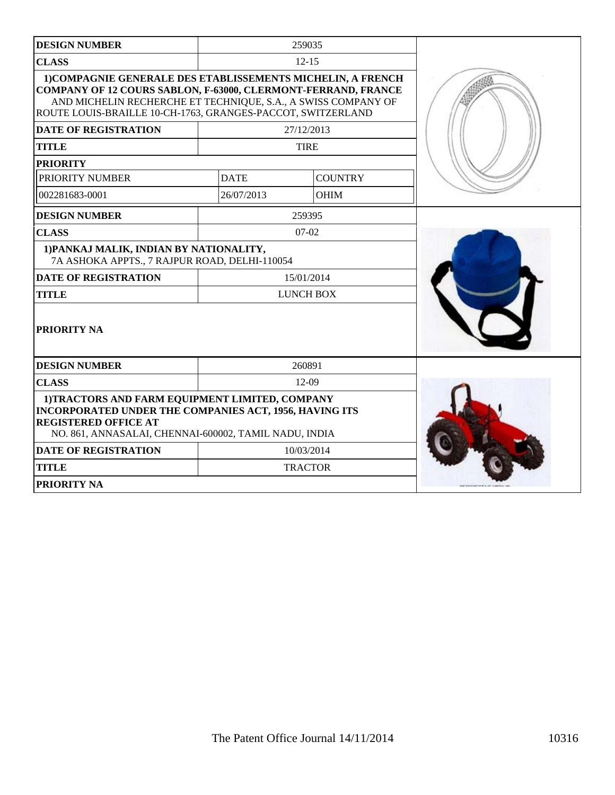| <b>DESIGN NUMBER</b>                                                                                                                                                                                                                                                |             | 259035           |  |
|---------------------------------------------------------------------------------------------------------------------------------------------------------------------------------------------------------------------------------------------------------------------|-------------|------------------|--|
| <b>CLASS</b>                                                                                                                                                                                                                                                        |             | $12 - 15$        |  |
| 1) COMPAGNIE GENERALE DES ETABLISSEMENTS MICHELIN, A FRENCH<br><b>COMPANY OF 12 COURS SABLON, F-63000, CLERMONT-FERRAND, FRANCE</b><br>AND MICHELIN RECHERCHE ET TECHNIQUE, S.A., A SWISS COMPANY OF<br>ROUTE LOUIS-BRAILLE 10-CH-1763, GRANGES-PACCOT, SWITZERLAND |             |                  |  |
| <b>DATE OF REGISTRATION</b>                                                                                                                                                                                                                                         |             | 27/12/2013       |  |
| <b>TITLE</b>                                                                                                                                                                                                                                                        |             | <b>TIRE</b>      |  |
| <b>PRIORITY</b>                                                                                                                                                                                                                                                     |             |                  |  |
| PRIORITY NUMBER                                                                                                                                                                                                                                                     | <b>DATE</b> | <b>COUNTRY</b>   |  |
| 002281683-0001                                                                                                                                                                                                                                                      | 26/07/2013  | <b>OHIM</b>      |  |
| <b>DESIGN NUMBER</b>                                                                                                                                                                                                                                                |             | 259395           |  |
| <b>CLASS</b>                                                                                                                                                                                                                                                        |             | $07-02$          |  |
| 1) PANKAJ MALIK, INDIAN BY NATIONALITY,<br>7A ASHOKA APPTS., 7 RAJPUR ROAD, DELHI-110054                                                                                                                                                                            |             |                  |  |
| <b>DATE OF REGISTRATION</b>                                                                                                                                                                                                                                         | 15/01/2014  |                  |  |
| <b>TITLE</b>                                                                                                                                                                                                                                                        |             | <b>LUNCH BOX</b> |  |
| <b>PRIORITY NA</b>                                                                                                                                                                                                                                                  |             |                  |  |
| <b>DESIGN NUMBER</b>                                                                                                                                                                                                                                                |             | 260891           |  |
| <b>CLASS</b>                                                                                                                                                                                                                                                        |             | $12-09$          |  |
| 1)TRACTORS AND FARM EQUIPMENT LIMITED, COMPANY<br><b>INCORPORATED UNDER THE COMPANIES ACT, 1956, HAVING ITS</b><br><b>REGISTERED OFFICE AT</b><br>NO. 861, ANNASALAI, CHENNAI-600002, TAMIL NADU, INDIA                                                             |             |                  |  |
| <b>DATE OF REGISTRATION</b>                                                                                                                                                                                                                                         |             | 10/03/2014       |  |
| <b>TITLE</b>                                                                                                                                                                                                                                                        |             | <b>TRACTOR</b>   |  |
| <b>PRIORITY NA</b>                                                                                                                                                                                                                                                  |             |                  |  |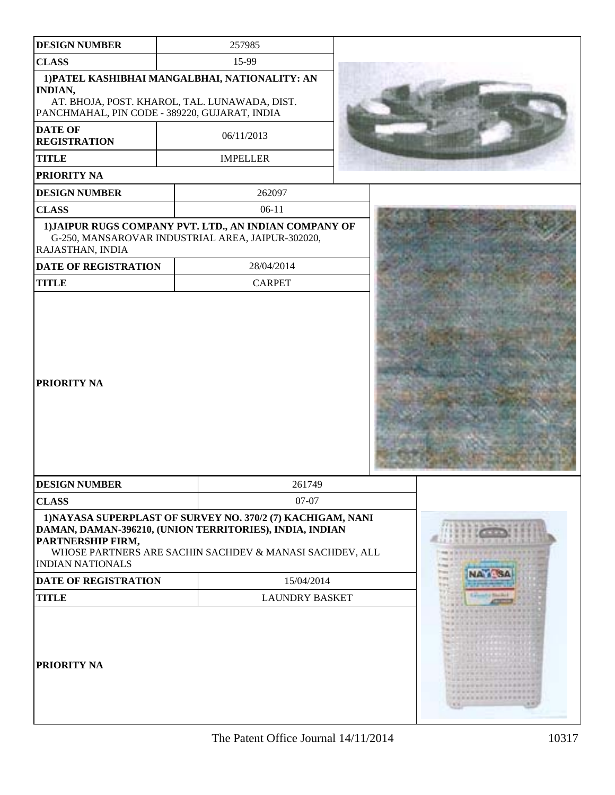| <b>DESIGN NUMBER</b>                                                                                             | 257985                                                                                                                 |  |                                                     |                                                                                                                  |         |  |
|------------------------------------------------------------------------------------------------------------------|------------------------------------------------------------------------------------------------------------------------|--|-----------------------------------------------------|------------------------------------------------------------------------------------------------------------------|---------|--|
| <b>CLASS</b>                                                                                                     | 15-99                                                                                                                  |  |                                                     |                                                                                                                  |         |  |
|                                                                                                                  | 1) PATEL KASHIBHAI MANGALBHAI, NATIONALITY: AN                                                                         |  |                                                     |                                                                                                                  |         |  |
| <b>INDIAN,</b><br>AT. BHOJA, POST. KHAROL, TAL. LUNAWADA, DIST.<br>PANCHMAHAL, PIN CODE - 389220, GUJARAT, INDIA |                                                                                                                        |  |                                                     |                                                                                                                  |         |  |
| <b>DATE OF</b><br><b>REGISTRATION</b>                                                                            | 06/11/2013                                                                                                             |  |                                                     |                                                                                                                  |         |  |
| <b>TITLE</b>                                                                                                     | <b>IMPELLER</b>                                                                                                        |  |                                                     |                                                                                                                  |         |  |
| PRIORITY NA                                                                                                      |                                                                                                                        |  |                                                     |                                                                                                                  |         |  |
| <b>DESIGN NUMBER</b>                                                                                             | 262097                                                                                                                 |  |                                                     |                                                                                                                  |         |  |
| <b>CLASS</b>                                                                                                     | $06-11$                                                                                                                |  |                                                     |                                                                                                                  |         |  |
| RAJASTHAN, INDIA                                                                                                 | 1) JAIPUR RUGS COMPANY PVT. LTD., AN INDIAN COMPANY OF<br>G-250, MANSAROVAR INDUSTRIAL AREA, JAIPUR-302020,            |  |                                                     |                                                                                                                  |         |  |
| DATE OF REGISTRATION                                                                                             | 28/04/2014                                                                                                             |  |                                                     |                                                                                                                  |         |  |
| <b>TITLE</b>                                                                                                     | <b>CARPET</b>                                                                                                          |  |                                                     |                                                                                                                  |         |  |
| <b>PRIORITY NA</b>                                                                                               |                                                                                                                        |  |                                                     |                                                                                                                  |         |  |
| <b>DESIGN NUMBER</b>                                                                                             | 261749                                                                                                                 |  |                                                     |                                                                                                                  |         |  |
| <b>CLASS</b>                                                                                                     | $07-07$                                                                                                                |  |                                                     |                                                                                                                  |         |  |
| DAMAN, DAMAN-396210, (UNION TERRITORIES), INDIA, INDIAN<br><b>PARTNERSHIP FIRM,</b><br><b>INDIAN NATIONALS</b>   | 1) NAYASA SUPERPLAST OF SURVEY NO. 370/2 (7) KACHIGAM, NANI<br>WHOSE PARTNERS ARE SACHIN SACHDEV & MANASI SACHDEV, ALL |  | 11.9997<br>49-14039-1-120<br><b>CRANE DE REI DE</b> | Fifth the first that the first time and all of<br><b>Texture</b><br>shows an interest the country of the country |         |  |
| <b>DATE OF REGISTRATION</b>                                                                                      | 15/04/2014                                                                                                             |  | <b>TERRIT</b><br><b>CONST</b><br><b>STORY</b>       | <b>NATI SA</b>                                                                                                   |         |  |
| <b>TITLE</b>                                                                                                     | <b>LAUNDRY BASKET</b>                                                                                                  |  | <b>SERVICE</b>                                      | Loundy Smith                                                                                                     |         |  |
| <b>PRIORITY NA</b>                                                                                               |                                                                                                                        |  |                                                     | 18 年度日本市支出日<br>1.11127<br>$-111111111111$<br>CARD AND RESIDENCE<br>.<br>                                         | 1970年11 |  |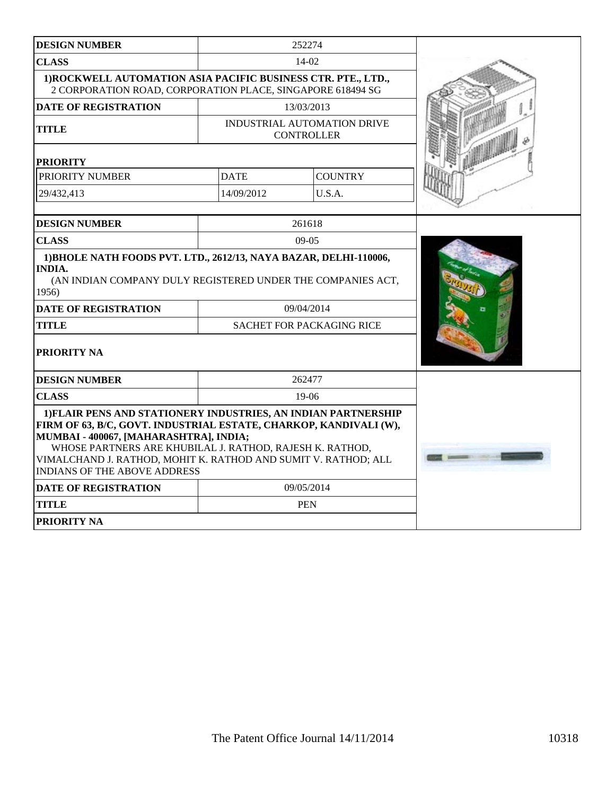| <b>DESIGN NUMBER</b>                                                                                                                                                                                                                                                                                                                               | 252274                                                                                                        |                |  |
|----------------------------------------------------------------------------------------------------------------------------------------------------------------------------------------------------------------------------------------------------------------------------------------------------------------------------------------------------|---------------------------------------------------------------------------------------------------------------|----------------|--|
| <b>CLASS</b>                                                                                                                                                                                                                                                                                                                                       | 14-02                                                                                                         |                |  |
| 1) ROCKWELL AUTOMATION ASIA PACIFIC BUSINESS CTR. PTE., LTD.,<br>2 CORPORATION ROAD, CORPORATION PLACE, SINGAPORE 618494 SG                                                                                                                                                                                                                        |                                                                                                               |                |  |
| <b>DATE OF REGISTRATION</b>                                                                                                                                                                                                                                                                                                                        | 13/03/2013                                                                                                    |                |  |
| <b>TITLE</b>                                                                                                                                                                                                                                                                                                                                       | INDUSTRIAL AUTOMATION DRIVE<br><b>CONTROLLER</b>                                                              |                |  |
| <b>PRIORITY</b>                                                                                                                                                                                                                                                                                                                                    |                                                                                                               |                |  |
| PRIORITY NUMBER                                                                                                                                                                                                                                                                                                                                    | <b>DATE</b>                                                                                                   | <b>COUNTRY</b> |  |
| 29/432,413                                                                                                                                                                                                                                                                                                                                         | 14/09/2012                                                                                                    | U.S.A.         |  |
| <b>DESIGN NUMBER</b>                                                                                                                                                                                                                                                                                                                               |                                                                                                               | 261618         |  |
| <b>CLASS</b>                                                                                                                                                                                                                                                                                                                                       | $09-05$                                                                                                       |                |  |
| 1956)<br><b>DATE OF REGISTRATION</b><br><b>TITLE</b><br>PRIORITY NA                                                                                                                                                                                                                                                                                | (AN INDIAN COMPANY DULY REGISTERED UNDER THE COMPANIES ACT,<br>09/04/2014<br><b>SACHET FOR PACKAGING RICE</b> |                |  |
| <b>DESIGN NUMBER</b>                                                                                                                                                                                                                                                                                                                               | 262477                                                                                                        |                |  |
| <b>CLASS</b>                                                                                                                                                                                                                                                                                                                                       | $19-06$                                                                                                       |                |  |
| 1) FLAIR PENS AND STATIONERY INDUSTRIES, AN INDIAN PARTNERSHIP<br>FIRM OF 63, B/C, GOVT. INDUSTRIAL ESTATE, CHARKOP, KANDIVALI (W),<br>MUMBAI - 400067, [MAHARASHTRA], INDIA;<br>WHOSE PARTNERS ARE KHUBILAL J. RATHOD, RAJESH K. RATHOD,<br>VIMALCHAND J. RATHOD, MOHIT K. RATHOD AND SUMIT V. RATHOD; ALL<br><b>INDIANS OF THE ABOVE ADDRESS</b> |                                                                                                               |                |  |
| <b>DATE OF REGISTRATION</b>                                                                                                                                                                                                                                                                                                                        | 09/05/2014                                                                                                    |                |  |
| <b>TITLE</b>                                                                                                                                                                                                                                                                                                                                       | <b>PEN</b>                                                                                                    |                |  |
| PRIORITY NA                                                                                                                                                                                                                                                                                                                                        |                                                                                                               |                |  |